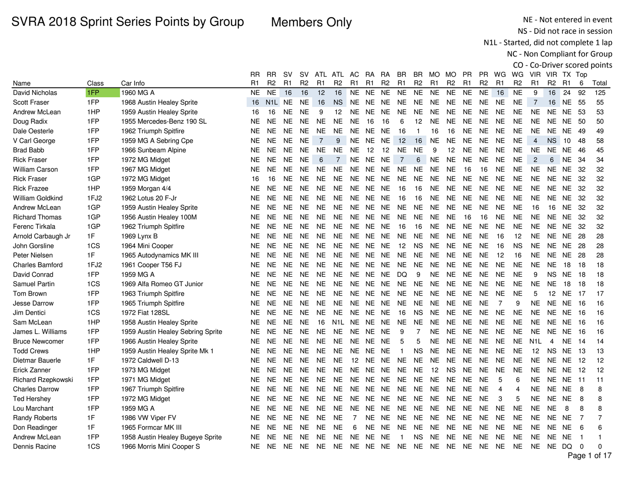Members Only

NE - Not entered in event NS - Did not race in session

N1L - Started, did not complete 1 lap

|                        |                  |                                   |                |                |           |                |                |                  |                |                |                |                |                |           |                |                |                |                |                |                  |                |                |          | CO - Co-Driver scored points |
|------------------------|------------------|-----------------------------------|----------------|----------------|-----------|----------------|----------------|------------------|----------------|----------------|----------------|----------------|----------------|-----------|----------------|----------------|----------------|----------------|----------------|------------------|----------------|----------------|----------|------------------------------|
|                        |                  |                                   | RR.            | <b>RR</b>      | <b>SV</b> | SV.            |                | ATL ATL AC       |                | <b>RA</b>      | <b>RA</b>      | <b>BR</b>      | <b>BR</b>      | MO.       | MO             | <b>PR</b>      | PR.            | WG             | WG             |                  | VIR VIR TX Top |                |          |                              |
| Name                   | Class            | Car Info                          | R <sub>1</sub> | R <sub>2</sub> | R1        | R <sub>2</sub> | R1             | R <sub>2</sub>   | R <sub>1</sub> | R <sub>1</sub> | R <sub>2</sub> | R <sub>1</sub> | R <sub>2</sub> | R1        | R <sub>2</sub> | R <sub>1</sub> | R <sub>2</sub> | R <sub>1</sub> | R <sub>2</sub> | R <sub>1</sub>   | R <sub>2</sub> | R <sub>1</sub> | 6        | Total                        |
| David Nicholas         | 1FP              | 1960 MG A                         | NE.            | <b>NE</b>      | 16        | 16             | 12             | 16               | <b>NE</b>      | <b>NE</b>      | <b>NE</b>      | <b>NE</b>      | <b>NE</b>      | <b>NE</b> | <b>NE</b>      | <b>NE</b>      | <b>NE</b>      | 16             | <b>NE</b>      | 9                | 16             | 24             | 92       | 125                          |
| <b>Scott Fraser</b>    | 1FP              | 1968 Austin Healey Sprite         | 16             | N <sub>1</sub> | <b>NE</b> | NE.            | 16             | <b>NS</b>        | <b>NE</b>      | NE             | <b>NE</b>      | <b>NE</b>      | <b>NE</b>      | <b>NE</b> | <b>NE</b>      | <b>NE</b>      | <b>NE</b>      | <b>NE</b>      | <b>NE</b>      | $\overline{7}$   | 16             | NE             | 55       | 55                           |
| Andrew McLean          | 1HP              | 1959 Austin Healey Sprite         | 16             | 16             | <b>NE</b> | <b>NE</b>      | 9              | 12               | <b>NE</b>      | NE.            | NE             | <b>NE</b>      | NE.            | <b>NE</b> | <b>NE</b>      | <b>NE</b>      | <b>NE</b>      | <b>NE</b>      | <b>NE</b>      | <b>NE</b>        | NE.            | NE 53          |          | 53                           |
| Doug Radix             | 1FP              | 1955 Mercedes-Benz 190 SL         | NE             | <b>NE</b>      | <b>NE</b> | NE.            | <b>NE</b>      | <b>NE</b>        | NE.            | 16             | 16             | 6              | 12             | NE.       | NE.            | NE.            | $N\mathsf{E}$  | <b>NE</b>      | <b>NE</b>      | <b>NE</b>        | NE             | NE             | -50      | 50                           |
| Dale Oesterle          | 1FP              | 1962 Triumph Spitfire             | <b>NE</b>      | <b>NE</b>      | <b>NE</b> | <b>NE</b>      | <b>NE</b>      | <b>NE</b>        | <b>NE</b>      | NE.            | <b>NE</b>      | 16             | $\mathbf{1}$   | 16        | 16             | <b>NE</b>      | <b>NE</b>      | <b>NE</b>      | <b>NE</b>      | <b>NE</b>        | <b>NE</b>      | <b>NE</b>      | 49       | 49                           |
| V Carl George          | 1FP              | 1959 MG A Sebring Cpe             | <b>NE</b>      | <b>NE</b>      | <b>NE</b> | <b>NE</b>      | $\overline{7}$ | 9                | <b>NE</b>      | NE             | <b>NE</b>      | 12             | 16             | <b>NE</b> | <b>NE</b>      | <b>NE</b>      | <b>NE</b>      | <b>NE</b>      | <b>NE</b>      | $\overline{4}$   | <b>NS</b>      | 10             | 48       | 58                           |
| <b>Brad Babb</b>       | 1FP              | 1966 Sunbeam Alpine               | NE.            | <b>NE</b>      | <b>NE</b> | <b>NE</b>      | <b>NE</b>      | <b>NE</b>        | <b>NE</b>      | 12             | 12             | <b>NE</b>      | <b>NE</b>      | 9         | 12             | <b>NE</b>      | <b>NE</b>      | <b>NE</b>      | <b>NE</b>      | <b>NE</b>        | <b>NE</b>      | <b>NE</b>      | 46       | 45                           |
| <b>Rick Fraser</b>     | 1FP              | 1972 MG Midget                    | NE             | <b>NE</b>      | <b>NE</b> | <b>NE</b>      | 6              | $\overline{7}$   | <b>NE</b>      | NE NE          |                | $\overline{7}$ | 6              | <b>NE</b> | <b>NE</b>      | <b>NE</b>      | <b>NE</b>      | <b>NE</b>      | <b>NE</b>      | $\mathbf{2}$     | 6              | NE             | - 34     | 34                           |
| <b>William Carson</b>  | 1FP              | 1967 MG Midget                    | NE.            | NE.            | <b>NE</b> | NE.            | <b>NE</b>      | NE.              | <b>NE</b>      | NE.            | <b>NE</b>      | <b>NE</b>      | NE.            | <b>NE</b> | <b>NE</b>      | 16             | 16             | <b>NE</b>      | <b>NE</b>      | <b>NE</b>        | NE.            | NE             | -32      | 32                           |
| <b>Rick Fraser</b>     | 1GP              | 1972 MG Midget                    | 16             | 16             | <b>NE</b> | <b>NE</b>      | <b>NE</b>      | NE.              | <b>NE</b>      | NE.            | <b>NE</b>      | <b>NE</b>      | NE.            | <b>NE</b> | <b>NE</b>      | <b>NE</b>      | <b>NE</b>      | <b>NE</b>      | <b>NE</b>      | <b>NE</b>        | NE.            | NE             | 32       | 32                           |
| <b>Rick Frazee</b>     | 1HP              | 1959 Morgan 4/4                   | NE             | <b>NE</b>      | <b>NE</b> | NE.            | <b>NE</b>      | <b>NE</b>        | NE.            | NE.            | <b>NE</b>      | 16             | 16             | NE.       | <b>NE</b>      | <b>NE</b>      | <b>NE</b>      | <b>NE</b>      | <b>NE</b>      | NE.              | NE.            | NE.            | -32      | 32                           |
| William Goldkind       | 1FJ2             | 1962 Lotus 20 F-Jr                | <b>NE</b>      | <b>NE</b>      | <b>NE</b> | <b>NE</b>      | <b>NE</b>      | <b>NE</b>        | <b>NE</b>      | <b>NE</b>      | <b>NE</b>      | 16             | 16             | <b>NE</b> | <b>NE</b>      | <b>NE</b>      | <b>NE</b>      | <b>NE</b>      | <b>NE</b>      | <b>NE</b>        | <b>NE</b>      | NE             | 32       | 32                           |
| Andrew McLean          | 1GP              | 1959 Austin Healey Sprite         | NE.            | <b>NE</b>      | <b>NE</b> | <b>NE</b>      | <b>NE</b>      | <b>NE</b>        | NE.            | NE.            | <b>NE</b>      | NE.            | <b>NE</b>      | <b>NE</b> | <b>NE</b>      | <b>NE</b>      | <b>NE</b>      | <b>NE</b>      | <b>NE</b>      | 16               | 16             | NE.            | -32      | 32                           |
| <b>Richard Thomas</b>  | 1GP              | 1956 Austin Healey 100M           | NE.            | NE.            | <b>NE</b> | NE.            | <b>NE</b>      | <b>NE</b>        | <b>NE</b>      | NE.            | <b>NE</b>      | <b>NE</b>      | <b>NE</b>      | <b>NE</b> | <b>NE</b>      | 16             | 16             | <b>NE</b>      | <b>NE</b>      | <b>NE</b>        | NE.            | <b>NE</b>      | 32       | 32                           |
| Ferenc Tirkala         | 1GP              | 1962 Triumph Spitfire             | NE             | <b>NE</b>      | <b>NE</b> | <b>NE</b>      | <b>NE</b>      | NE.              | <b>NE</b>      | NE.            | <b>NE</b>      | 16             | 16             | <b>NE</b> | <b>NE</b>      | <b>NE</b>      | <b>NE</b>      | <b>NE</b>      | <b>NE</b>      | <b>NE</b>        | NE.            | <b>NE</b>      | -32      | 32                           |
| Arnold Carbaugh Jr     | 1F               | 1969 Lynx B                       | NE.            | <b>NE</b>      | <b>NE</b> | <b>NE</b>      | <b>NE</b>      | <b>NE</b>        | <b>NE</b>      | NE.            | <b>NE</b>      | <b>NE</b>      | <b>NE</b>      | <b>NE</b> | NE.            | <b>NE</b>      | <b>NE</b>      | 16             | 12             | <b>NE</b>        | NE.            | NE             | 28       | 28                           |
| John Gorsline          | 1CS              | 1964 Mini Cooper                  | NE             | <b>NE</b>      | <b>NE</b> | <b>NE</b>      | <b>NE</b>      | NE.              | <b>NE</b>      | NE.            | <b>NE</b>      | 12             | <b>NS</b>      | <b>NE</b> | <b>NE</b>      | <b>NE</b>      | <b>NE</b>      | 16             | <b>NS</b>      | <b>NE</b>        | <b>NE</b>      | <b>NE</b>      | 28       | 28                           |
| Peter Nielsen          | 1F               | 1965 Autodynamics MK III          | NE             | <b>NE</b>      | <b>NE</b> | <b>NE</b>      | <b>NE</b>      | <b>NE</b>        | <b>NE</b>      | NE             | <b>NE</b>      | <b>NE</b>      | <b>NE</b>      | <b>NE</b> | <b>NE</b>      | <b>NE</b>      | <b>NE</b>      | 12             | 16             | <b>NE</b>        | <b>NE</b>      | <b>NE</b>      | -28      | 28                           |
| <b>Charles Bamford</b> | 1FJ <sub>2</sub> | 1961 Cooper T56 FJ                | NE.            | NE.            | <b>NE</b> | NE.            | <b>NE</b>      | <b>NE</b>        | <b>NE</b>      | NE.            | <b>NE</b>      | <b>NE</b>      | <b>NE</b>      | <b>NE</b> | NE             | NE             | <b>NE</b>      | <b>NE</b>      | <b>NE</b>      | <b>NE</b>        | <b>NE</b>      | 18             | 18       | 18                           |
| David Conrad           | 1FP              | 1959 MG A                         | <b>NE</b>      | <b>NE</b>      | <b>NE</b> | <b>NE</b>      | <b>NE</b>      | <b>NE</b>        | <b>NE</b>      | NE.            | <b>NE</b>      | DQ             | 9              | <b>NE</b> | <b>NE</b>      | <b>NE</b>      | <b>NE</b>      | <b>NE</b>      | <b>NE</b>      | 9                | <b>NS</b>      | <b>NE</b>      | 18       | 18                           |
| Samuel Partin          | 1CS              | 1969 Alfa Romeo GT Junior         | NE.            | <b>NE</b>      | <b>NE</b> | <b>NE</b>      | <b>NE</b>      | <b>NE</b>        | <b>NE</b>      | NE.            | <b>NE</b>      | <b>NE</b>      | NE.            | <b>NE</b> | <b>NE</b>      | <b>NE</b>      | <b>NE</b>      | <b>NE</b>      | <b>NE</b>      | <b>NE</b>        | <b>NE</b>      | 18             | 18       | 18                           |
| Tom Brown              | 1FP              | 1963 Triumph Spitfire             | NE             | <b>NE</b>      | <b>NE</b> | <b>NE</b>      | <b>NE</b>      | NE.              | <b>NE</b>      | NE.            | <b>NE</b>      | <b>NE</b>      | <b>NE</b>      | <b>NE</b> | <b>NE</b>      | <b>NE</b>      | <b>NE</b>      | <b>NE</b>      | <b>NE</b>      | 5                | 12             | NE.            | -17      | 17                           |
| Jesse Darrow           | 1FP              | 1965 Triumph Spitfire             | NE             | <b>NE</b>      | <b>NE</b> | <b>NE</b>      | <b>NE</b>      | <b>NE</b>        | <b>NE</b>      | NE NE          |                | <b>NE</b>      | NE.            | <b>NE</b> | <b>NE</b>      | <b>NE</b>      | <b>NE</b>      | $\overline{7}$ | 9              | <b>NE</b>        | <b>NE</b>      | NE             | - 16     | 16                           |
| Jim Dentici            | 1CS              | 1972 Fiat 128SL                   | NE             | <b>NE</b>      | <b>NE</b> | <b>NE</b>      | <b>NE</b>      | <b>NE</b>        | NE             | NE             | <b>NE</b>      | 16             | NS.            | <b>NE</b> | NE.            | <b>NE</b>      | <b>NE</b>      | <b>NE</b>      | <b>NE</b>      | NE               | NE.            | NE.            | 16       | 16                           |
| Sam McLean             | 1HP              | 1958 Austin Healey Sprite         | <b>NE</b>      | <b>NE</b>      | <b>NE</b> | <b>NE</b>      | 16             | N <sub>1</sub> L | <b>NE</b>      | NE             | <b>NE</b>      | <b>NE</b>      | <b>NE</b>      | <b>NE</b> | <b>NE</b>      | <b>NE</b>      | $N\mathsf{E}$  | <b>NE</b>      | <b>NE</b>      | <b>NE</b>        | <b>NE</b>      | <b>NE</b>      | 16       | 16                           |
| James L. Williams      | 1FP              | 1959 Austin Healey Sebring Sprite | NE.            | <b>NE</b>      | NE.       | <b>NE</b>      | <b>NE</b>      | <b>NE</b>        | <b>NE</b>      | NE.            | <b>NE</b>      | 9              | $\overline{7}$ | <b>NE</b> | NE.            | <b>NE</b>      | <b>NE</b>      | <b>NE</b>      | <b>NE</b>      | <b>NE</b>        | NE.            | NE.            | -16      | 16                           |
| <b>Bruce Newcomer</b>  | 1FP              | 1966 Austin Healey Sprite         | NE.            | <b>NE</b>      | <b>NE</b> | <b>NE</b>      | <b>NE</b>      | <b>NE</b>        | <b>NE</b>      | NE.            | <b>NE</b>      | 5              | 5              | <b>NE</b> | <b>NE</b>      | <b>NE</b>      | <b>NE</b>      | <b>NE</b>      | <b>NE</b>      | N <sub>1</sub> L | $\overline{4}$ | NE.            | -14      | 14                           |
| <b>Todd Crews</b>      | 1HP              | 1959 Austin Healey Sprite Mk 1    | NE             | <b>NE</b>      | <b>NE</b> | <b>NE</b>      | <b>NE</b>      | <b>NE</b>        | <b>NE</b>      | NE NE          |                | $\mathbf 1$    | <b>NS</b>      | <b>NE</b> | <b>NE</b>      | <b>NE</b>      | <b>NE</b>      | <b>NE</b>      | <b>NE</b>      | 12 <sup>2</sup>  | NS.            | NE.            | - 13     | 13                           |
| Dietmar Bauerle        | 1F               | 1972 Caldwell D-13                | NE             | NE.            | <b>NE</b> | NE.            | <b>NE</b>      | <b>NE</b>        | 12             | NE             | <b>NE</b>      | <b>NE</b>      | NE.            | NE.       | NE.            | <b>NE</b>      | <b>NE</b>      | <b>NE</b>      | <b>NE</b>      | NE               | NE             | NE             | -12      | 12                           |
| Erick Zanner           | 1FP              | 1973 MG Midget                    | <b>NE</b>      | <b>NE</b>      | <b>NE</b> | <b>NE</b>      | <b>NE</b>      | NE.              | <b>NE</b>      | NE.            | <b>NE</b>      | <b>NE</b>      | NE.            | 12        | <b>NS</b>      | <b>NE</b>      | <b>NE</b>      | <b>NE</b>      | <b>NE</b>      | <b>NE</b>        | NE             | <b>NE</b>      | 12       | 12                           |
| Richard Rzepkowski     | 1FP              | 1971 MG Midget                    | <b>NE</b>      | <b>NE</b>      | <b>NE</b> | <b>NE</b>      | <b>NE</b>      | NE.              | <b>NE</b>      | NE.            | <b>NE</b>      | NE.            | NE.            | <b>NE</b> | <b>NE</b>      | <b>NE</b>      | <b>NE</b>      | 5              | 6              | <b>NE</b>        | <b>NE</b>      | <b>NE</b>      | $-11$    | 11                           |
| <b>Charles Darrow</b>  | 1FP              | 1967 Triumph Spitfire             | NE             | <b>NE</b>      | <b>NE</b> | <b>NE</b>      | <b>NE</b>      | <b>NE</b>        | <b>NE</b>      | NE.            | <b>NE</b>      | <b>NE</b>      | <b>NE</b>      | <b>NE</b> | <b>NE</b>      | <b>NE</b>      | <b>NE</b>      | 4              | $\overline{4}$ | <b>NE</b>        | <b>NE</b>      | <b>NE</b>      | 8        | 8                            |
| <b>Ted Hershey</b>     | 1FP              | 1972 MG Midget                    | NE             | <b>NE</b>      | <b>NE</b> | <b>NE</b>      | <b>NE</b>      | <b>NE</b>        | NE.            | NE             | <b>NE</b>      | NE.            | <b>NE</b>      | <b>NE</b> | <b>NE</b>      | <b>NE</b>      | <b>NE</b>      | 3              | 5              | <b>NE</b>        | <b>NE</b>      | <b>NE</b>      | 8        | 8                            |
| Lou Marchant           | 1FP              | 1959 MG A                         | NE.            | NE.            | <b>NE</b> | NE.            | <b>NE</b>      | NE.              | <b>NE</b>      | NE.            | <b>NE</b>      | <b>NE</b>      | NE.            | <b>NE</b> | <b>NE</b>      | <b>NE</b>      | <b>NE</b>      | <b>NE</b>      | <b>NE</b>      | <b>NE</b>        | <b>NE</b>      | 8              | 8        | 8                            |
| <b>Randy Roberts</b>   | 1F               | 1986 VW Viper FV                  | <b>NE</b>      | <b>NE</b>      | <b>NE</b> | <b>NE</b>      | <b>NE</b>      | <b>NE</b>        | $\overline{7}$ | NE             | <b>NE</b>      | <b>NE</b>      | NE.            | <b>NE</b> | <b>NE</b>      | <b>NE</b>      | <b>NE</b>      | <b>NE</b>      | <b>NE</b>      | <b>NE</b>        | NE.            | <b>NE</b>      | -7       | $\overline{7}$               |
| Don Readinger          | 1F               | 1965 Formcar MK III               | NE.            | <b>NE</b>      | NE.       | <b>NE</b>      | <b>NE</b>      | <b>NE</b>        | 6              | NE.            | <b>NE</b>      | <b>NE</b>      | NE.            | <b>NE</b> | <b>NE</b>      | <b>NE</b>      | <b>NE</b>      | <b>NE</b>      | <b>NE</b>      | <b>NE</b>        | NE.            | NE.            | 6        | 6                            |
| Andrew McLean          | 1FP              | 1958 Austin Healey Bugeye Sprite  | <b>NE</b>      | <b>NE</b>      | <b>NE</b> | <b>NE</b>      | <b>NE</b>      | <b>NE</b>        | <b>NE</b>      | <b>NE</b>      | <b>NE</b>      | -1             | ΝS             | <b>NE</b> | <b>NE</b>      | <b>NE</b>      | <b>NE</b>      | <b>NE</b>      | <b>NE</b>      | <b>NE</b>        | <b>NE</b>      | NE.            |          | $\mathbf 1$                  |
| Dennis Racine          | 1CS              | 1966 Morris Mini Cooper S         | NE.            | NE.            | <b>NE</b> | <b>NE</b>      | <b>NE</b>      | NE.              | NE.            | NE NE          |                | NE.            | NE             | NE.       | NE.            | <b>NE</b>      | NE.            | <b>NE</b>      | <b>NE</b>      |                  | NE NE DQ       |                | $\Omega$ | $\Omega$                     |
|                        |                  |                                   |                |                |           |                |                |                  |                |                |                |                |                |           |                |                |                |                |                |                  |                |                |          | Page 1 of 17                 |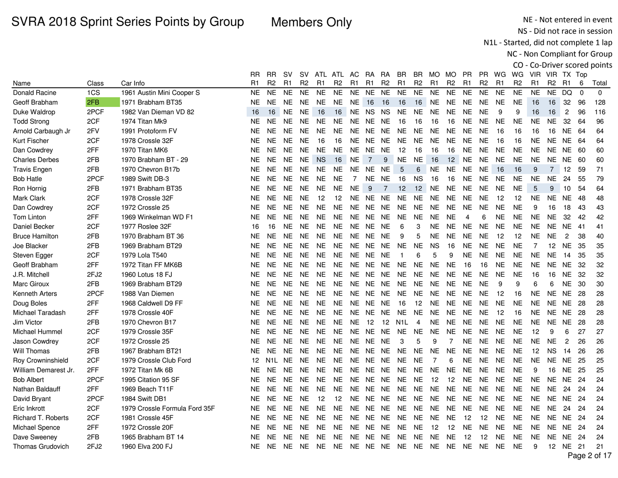Members Only

NE - Not entered in event NS - Did not race in session

N1L - Started, did not complete 1 lap

|                          |                  |                               |                |                  |                |                |           |                         |                |                |                |                |                |                |                |                |                |                |                |                 |                |                |          | CO - Co-Driver scored points |
|--------------------------|------------------|-------------------------------|----------------|------------------|----------------|----------------|-----------|-------------------------|----------------|----------------|----------------|----------------|----------------|----------------|----------------|----------------|----------------|----------------|----------------|-----------------|----------------|----------------|----------|------------------------------|
|                          |                  |                               | RR             | <b>RR</b>        | <b>SV</b>      | <b>SV</b>      |           | ATL ATL AC RA           |                |                | <b>RA</b>      | BR.            | BR             | MO MO          |                | <b>PR</b>      |                | PR WG          | WG             |                 | VIR VIR TX Top |                |          |                              |
| Name                     | Class            | Car Info                      | R <sub>1</sub> | R <sub>2</sub>   | R <sub>1</sub> | R <sub>2</sub> | R1        | R <sub>2</sub>          | R <sub>1</sub> | R <sub>1</sub> | R <sub>2</sub> | R <sub>1</sub> | R <sub>2</sub> | R <sub>1</sub> | R <sub>2</sub> | R <sub>1</sub> | R <sub>2</sub> | R <sub>1</sub> | R <sub>2</sub> | R <sub>1</sub>  | R <sub>2</sub> | R <sub>1</sub> | 6        | Total                        |
| Donald Racine            | 1CS              | 1961 Austin Mini Cooper S     | <b>NE</b>      | <b>NE</b>        | <b>NE</b>      | <b>NE</b>      | <b>NE</b> | <b>NE</b>               | <b>NE</b>      | <b>NE</b>      | <b>NE</b>      | <b>NE</b>      | <b>NE</b>      | <b>NE</b>      | <b>NE</b>      | <b>NE</b>      | <b>NE</b>      | <b>NE</b>      | <b>NE</b>      | <b>NE</b>       | <b>NE</b>      | DQ.            | $\Omega$ | $\Omega$                     |
| Geoff Brabham            | 2FB              | 1971 Brabham BT35             | <b>NE</b>      | <b>NE</b>        | <b>NE</b>      | <b>NE</b>      | <b>NE</b> | <b>NE</b>               | <b>NE</b>      | 16             | 16             | 16             | 16             | <b>NE</b>      | <b>NE</b>      | NE.            | <b>NE</b>      | <b>NE</b>      | <b>NE</b>      | 16              | 16             | 32             | 96       | 128                          |
| Duke Waldrop             | 2PCF             | 1982 Van Dieman VD 82         | 16             | 16               | <b>NE</b>      | <b>NE</b>      | 16        | 16                      |                | NE NS          | NS.            | <b>NE</b>      | <b>NE</b>      | <b>NE</b>      | <b>NE</b>      | <b>NE</b>      | <b>NE</b>      | 9              | 9              | 16              | 16             | $\overline{2}$ | 96       | 116                          |
| <b>Todd Strong</b>       | 2CF              | 1974 Titan Mk9                | <b>NE</b>      | NE.              | <b>NE</b>      | NE.            | <b>NE</b> | NE                      | NE.            | NE.            | NE             | 16             | 16             | 16             | 16             | NE             | NE             | <b>NE</b>      | <b>NE</b>      | <b>NE</b>       | NE.            | 32             | -64      | 96                           |
| Arnold Carbaugh Jr       | 2FV              | 1991 Protoform FV             | <b>NE</b>      | <b>NE</b>        | <b>NE</b>      | <b>NE</b>      | <b>NE</b> | <b>NE</b>               | <b>NE</b>      | NE.            | NE             | NE.            | <b>NE</b>      | <b>NE</b>      | <b>NE</b>      | <b>NE</b>      | <b>NE</b>      | 16             | 16             | 16              | 16             | NE             | -64      | 64                           |
| <b>Kurt Fischer</b>      | 2CF              | 1978 Crossle 32F              | <b>NE</b>      | <b>NE</b>        | <b>NE</b>      | <b>NE</b>      | 16        | 16                      | <b>NE</b>      | NE.            | NE.            | <b>NE</b>      | NE.            | <b>NE</b>      | <b>NE</b>      | <b>NE</b>      | <b>NE</b>      | 16             | 16             | <b>NE</b>       | <b>NE</b>      | NE 64          |          | 64                           |
| Dan Cowdrey              | 2FF              | 1970 Titan MK6                | <b>NE</b>      | <b>NE</b>        | <b>NE</b>      | <b>NE</b>      | <b>NE</b> | <b>NE</b>               | <b>NE</b>      | <b>NE</b>      | <b>NE</b>      | 12             | 16             | 16             | 16             | <b>NE</b>      | <b>NE</b>      | <b>NE</b>      | <b>NE</b>      | <b>NE</b>       | <b>NE</b>      | <b>NE</b>      | -60      | 60                           |
| <b>Charles Derbes</b>    | 2FB              | 1970 Brabham BT - 29          | NE             | <b>NE</b>        | <b>NE</b>      | <b>NE</b>      | <b>NS</b> | 16                      | <b>NE</b>      | $\overline{7}$ | 9              | <b>NE</b>      | <b>NE</b>      | 16             | 12             | <b>NE</b>      | <b>NE</b>      | <b>NE</b>      | <b>NE</b>      | <b>NE</b>       |                | NE NE 60       |          | 60                           |
| <b>Travis Engen</b>      | 2FB              | 1970 Chevron B17b             | NE.            | <b>NE</b>        | <b>NE</b>      | <b>NE</b>      | <b>NE</b> | <b>NE</b>               | NE             | NE             | <b>NE</b>      | 5              | 6              | NE             | <b>NE</b>      | <b>NE</b>      | <b>NE</b>      | 16             | 16             | 9               | $\overline{7}$ | 12             | 59       | 71                           |
| <b>Bob Hatle</b>         | 2PCF             | 1989 Swift DB-3               | <b>NE</b>      | <b>NE</b>        | <b>NE</b>      | <b>NE</b>      | <b>NE</b> | <b>NE</b>               | $\overline{7}$ | <b>NE</b>      | NE.            | 16             | <b>NS</b>      | 16             | 16             | NE             | <b>NE</b>      | <b>NE</b>      | <b>NE</b>      | <b>NE</b>       | <b>NE</b>      | 24             | 55       | 79                           |
| Ron Hornig               | 2FB              | 1971 Brabham BT35             | <b>NE</b>      | <b>NE</b>        | <b>NE</b>      | <b>NE</b>      | <b>NE</b> | <b>NE</b>               | <b>NE</b>      | 9              | 7              | 12             | 12             | <b>NE</b>      | <b>NE</b>      | <b>NE</b>      | <b>NE</b>      | <b>NE</b>      | <b>NE</b>      | 5               | 9              | 10             | 54       | 64                           |
| Mark Clark               | 2CF              | 1978 Crossle 32F              | <b>NE</b>      | <b>NE</b>        | <b>NE</b>      | <b>NE</b>      | 12        | 12                      | <b>NE</b>      | <b>NE</b>      | <b>NE</b>      | <b>NE</b>      | <b>NE</b>      | <b>NE</b>      | <b>NE</b>      | <b>NE</b>      | <b>NE</b>      | 12             | 12             | <b>NE</b>       | <b>NE</b>      | <b>NE</b>      | -48      | 48                           |
| Dan Cowdrey              | 2CF              | 1972 Crossle 25               | NE.            | <b>NE</b>        | <b>NE</b>      | <b>NE</b>      | NE.       | NE.                     |                | NE NE          | NE.            | <b>NE</b>      | <b>NE</b>      | <b>NE</b>      | <b>NE</b>      | <b>NE</b>      | <b>NE</b>      | <b>NE</b>      | <b>NE</b>      | 9               | 16             | 18             | -43      | 43                           |
| Tom Linton               | 2FF              | 1969 Winkelman WD F1          | NE             | NE.              | <b>NE</b>      | <b>NE</b>      | <b>NE</b> | NE                      | NE             | NE.            | NE.            | <b>NE</b>      | <b>NE</b>      | <b>NE</b>      | <b>NE</b>      | 4              | 6              | <b>NE</b>      | <b>NE</b>      | NE.             | <b>NE</b>      | 32             | 42       | 42                           |
| Daniel Becker            | 2CF              | 1977 Roslee 32F               | 16             | 16               | <b>NE</b>      | <b>NE</b>      | <b>NE</b> | NE.                     | NE.            | NE.            | <b>NE</b>      | 6              | 3              | NE             | NE             | <b>NE</b>      | <b>NE</b>      | <b>NE</b>      | <b>NE</b>      | NE.             | <b>NE</b>      | NE.            | - 41     | 41                           |
| <b>Bruce Hamilton</b>    | 2FB              | 1970 Brabham BT 36            | NE             | <b>NE</b>        | <b>NE</b>      | <b>NE</b>      | NE.       | <b>NE</b>               | NE             | NE.            | <b>NE</b>      | 9              | 5              | <b>NE</b>      | <b>NE</b>      | <b>NE</b>      | <b>NE</b>      | 12             | 12             | NE.             | <b>NE</b>      | $\overline{c}$ | 38       | 40                           |
| Joe Blacker              | 2FB              | 1969 Brabham BT29             | <b>NE</b>      | <b>NE</b>        | <b>NE</b>      | <b>NE</b>      | <b>NE</b> | <b>NE</b>               | <b>NE</b>      | <b>NE</b>      | <b>NE</b>      | <b>NE</b>      | <b>NE</b>      | <b>NS</b>      | 16             | <b>NE</b>      | <b>NE</b>      | <b>NE</b>      | <b>NE</b>      | $\overline{7}$  | 12             | <b>NE</b>      | 35       | 35                           |
| Steven Egger             | 2CF              | 1979 Lola T540                | NE.            | <b>NE</b>        | NE.            | <b>NE</b>      | NE.       | <b>NE</b>               |                | NE NE          | <b>NE</b>      | -1             | 6              | 5              | 9              | <b>NE</b>      | <b>NE</b>      | <b>NE</b>      | <b>NE</b>      | <b>NE</b>       | <b>NE</b>      | 14             | 35       | 35                           |
| Geoff Brabham            | 2FF              | 1972 Titan FF MK6B            | NE.            | NE.              | <b>NE</b>      | <b>NE</b>      | <b>NE</b> | <b>NE</b>               | <b>NE</b>      | <b>NE</b>      | NE.            | <b>NE</b>      | <b>NE</b>      | <b>NE</b>      | <b>NE</b>      | 16             | 16             | <b>NE</b>      | <b>NE</b>      | <b>NE</b>       | NE             | NE             | -32      | 32                           |
| J.R. Mitchell            | 2FJ <sub>2</sub> | 1960 Lotus 18 FJ              | <b>NE</b>      | <b>NE</b>        | <b>NE</b>      | <b>NE</b>      | <b>NE</b> | <b>NE</b>               | NE.            | <b>NE</b>      | <b>NE</b>      | <b>NE</b>      | <b>NE</b>      | <b>NE</b>      | <b>NE</b>      | <b>NE</b>      | <b>NE</b>      | <b>NE</b>      | <b>NE</b>      | 16              | 16             | <b>NE</b>      | -32      | 32                           |
| Marc Giroux              | 2FB              | 1969 Brabham BT29             | <b>NE</b>      | <b>NE</b>        | <b>NE</b>      | <b>NE</b>      | NE.       | <b>NE</b>               | <b>NE</b>      | <b>NE</b>      | NE.            | NE.            | <b>NE</b>      | <b>NE</b>      | <b>NE</b>      | <b>NE</b>      | <b>NE</b>      | 9              | 9              | 6               | 6              | <b>NE</b>      | -30      | 30                           |
| Kenneth Arters           | 2PCF             | 1988 Van Diemen               | <b>NE</b>      | <b>NE</b>        | <b>NE</b>      | <b>NE</b>      | <b>NE</b> | <b>NE</b>               | <b>NE</b>      | <b>NE</b>      | <b>NE</b>      | <b>NE</b>      | <b>NE</b>      | <b>NE</b>      | <b>NE</b>      | <b>NE</b>      | <b>NE</b>      | 12             | 16             | <b>NE</b>       |                | NE NE          | - 28     | 28                           |
| Doug Boles               | 2FF              | 1968 Caldwell D9 FF           | NE.            | <b>NE</b>        | <b>NE</b>      | NE.            | NE.       | NE.                     |                | NE NE          | NE.            | 16             | 12             | <b>NE</b>      | NE.            | <b>NE</b>      | <b>NE</b>      | <b>NE</b>      | <b>NE</b>      | <b>NE</b>       |                | NE NE 28       |          | 28                           |
| Michael Taradash         | 2FF              | 1978 Crossle 40F              | NE.            | <b>NE</b>        | <b>NE</b>      | NE.            | NE        | <b>NE</b>               | NE.            | NE             | NE             | <b>NE</b>      | <b>NE</b>      | <b>NE</b>      | <b>NE</b>      | <b>NE</b>      | NE             | 12             | 16             | <b>NE</b>       |                | NE NE          | -28      | 28                           |
| Jim Victor               | 2FB              | 1970 Chevron B17              | <b>NE</b>      | <b>NE</b>        | <b>NE</b>      | <b>NE</b>      | <b>NE</b> | NE                      | <b>NE</b>      | 12             | 12             | N <sub>1</sub> | 4              | NE.            | <b>NE</b>      | NE.            | <b>NE</b>      | <b>NE</b>      | <b>NE</b>      | NE.             |                | NE NE          | -28      | 28                           |
| Michael Hummel           | 2CF              | 1979 Crossle 35F              | NE.            | <b>NE</b>        | <b>NE</b>      | <b>NE</b>      | <b>NE</b> | <b>NE</b>               | <b>NE</b>      | NE.            | <b>NE</b>      | <b>NE</b>      | <b>NE</b>      | <b>NE</b>      | <b>NE</b>      | <b>NE</b>      | <b>NE</b>      | <b>NE</b>      | <b>NE</b>      | 12              | 9              | 6              | 27       | 27                           |
| Jason Cowdrey            | 2CF              | 1972 Crossle 25               | <b>NE</b>      | <b>NE</b>        | <b>NE</b>      | <b>NE</b>      | <b>NE</b> | <b>NE</b>               | <b>NE</b>      | <b>NE</b>      | <b>NE</b>      | 3              | 5              | 9              | $\overline{7}$ | <b>NE</b>      | <b>NE</b>      | <b>NE</b>      | <b>NE</b>      | <b>NE</b>       | <b>NE</b>      | $\overline{c}$ | 26       | 26                           |
| Will Thomas              | 2FB              | 1967 Brabham BT21             | NE.            | <b>NE</b>        | <b>NE</b>      | <b>NE</b>      | NE.       | <b>NE</b>               |                | NE NE          | NE.            | <b>NE</b>      | <b>NE</b>      | <b>NE</b>      | <b>NE</b>      | NE.            | <b>NE</b>      | <b>NE</b>      | <b>NE</b>      | 12 <sup>2</sup> | <b>NS</b>      | 14             | 26       | 26                           |
| <b>Roy Crowninshield</b> | 2CF              | 1979 Crossle Club Ford        | 12             | N <sub>1</sub> L | <b>NE</b>      | <b>NE</b>      | NE.       | <b>NE</b>               | <b>NE</b>      | <b>NE</b>      | NE             | NE.            | <b>NE</b>      | $\overline{7}$ | 6              | <b>NE</b>      | <b>NE</b>      | <b>NE</b>      | <b>NE</b>      | <b>NE</b>       | <b>NE</b>      | <b>NE</b>      | 25       | 25                           |
| William Demarest Jr.     | 2FF              | 1972 Titan Mk 6B              | <b>NE</b>      | <b>NE</b>        | <b>NE</b>      | NE.            | NE.       | <b>NE</b>               |                | NE NE          | NE             | <b>NE</b>      | <b>NE</b>      | <b>NE</b>      | <b>NE</b>      | <b>NE</b>      | <b>NE</b>      | <b>NE</b>      | <b>NE</b>      | 9               | 16             | NE             | - 25     | 25                           |
| <b>Bob Albert</b>        | 2PCF             | 1995 Citation 95 SF           | <b>NE</b>      | <b>NE</b>        | <b>NE</b>      | <b>NE</b>      | NE.       | <b>NE</b>               | <b>NE</b>      | NE.            | NE.            | NE.            | <b>NE</b>      | 12             | 12             | <b>NE</b>      | <b>NE</b>      | <b>NE</b>      | <b>NE</b>      | <b>NE</b>       | <b>NE</b>      | NE.            | - 24     | 24                           |
| Nathan Baldauff          | 2FF              | 1969 Beach T11F               | <b>NE</b>      | <b>NE</b>        | <b>NE</b>      | <b>NE</b>      | <b>NE</b> | <b>NE</b>               | <b>NE</b>      | <b>NE</b>      | NE.            | NE.            | <b>NE</b>      | <b>NE</b>      | <b>NE</b>      | <b>NE</b>      | <b>NE</b>      | <b>NE</b>      | <b>NE</b>      | NE.             | <b>NE</b>      | 24             | -24      | 24                           |
| David Bryant             | 2PCF             | 1984 Swift DB1                | NE             | <b>NE</b>        | <b>NE</b>      | NE.            | 12        | 12                      |                |                | NE NE NE       | NE             | NE.            | NE             | NE.            | <b>NE</b>      | <b>NE</b>      | NE.            | <b>NE</b>      | NE.             |                | NE NE 24       |          | 24                           |
| Eric Inkrott             | 2CF              | 1979 Crossle Formula Ford 35F | NE.            | <b>NE</b>        | <b>NE</b>      | <b>NE</b>      | <b>NE</b> | <b>NE</b>               | <b>NE</b>      | <b>NE</b>      | <b>NE</b>      | <b>NE</b>      | <b>NE</b>      | <b>NE</b>      | $N\mathsf{E}$  | <b>NE</b>      | <b>NE</b>      | <b>NE</b>      | <b>NE</b>      | <b>NE</b>       | <b>NE</b>      | 24             | 24       | 24                           |
| Richard T. Roberts       | 2CF              | 1981 Crossle 45F              | <b>NE</b>      | <b>NE</b>        | <b>NE</b>      | <b>NE</b>      | <b>NE</b> | <b>NE</b>               | NE.            | <b>NE</b>      | <b>NE</b>      | <b>NE</b>      | <b>NE</b>      | <b>NE</b>      | <b>NE</b>      | 12             | 12             | <b>NE</b>      | <b>NE</b>      | <b>NE</b>       |                | NE NE          | - 24     | 24                           |
| Michael Spence           | 2FF              | 1972 Crossle 20F              | NE.            | <b>NE</b>        | <b>NE</b>      | <b>NE</b>      | NE.       | <b>NE</b>               | <b>NE</b>      | <b>NE</b>      | <b>NE</b>      | <b>NE</b>      | <b>NE</b>      | 12             | 12             | <b>NE</b>      | <b>NE</b>      | <b>NE</b>      | <b>NE</b>      | <b>NE</b>       |                | NE NE          | -24      | 24                           |
| Dave Sweeney             | 2FB              | 1965 Brabham BT 14            | <b>NE</b>      | <b>NE</b>        | <b>NE</b>      | <b>NE</b>      | <b>NE</b> | <b>NE</b>               | <b>NE</b>      | <b>NE</b>      | <b>NE</b>      | <b>NE</b>      | <b>NE</b>      | <b>NE</b>      | <b>NE</b>      | 12             | 12             | <b>NE</b>      | <b>NE</b>      | <b>NE</b>       | <b>NE</b>      | <b>NE</b>      | -24      | 24                           |
| Thomas Grudovich         | 2FJ <sub>2</sub> | 1960 Elva 200 FJ              | NE.            | NE.              | <b>NE</b>      | NE.            | NE.       | NE NE NE NE NE NE NE NE |                |                |                |                |                |                |                | <b>NE</b>      | <b>NE</b>      | NE.            | <b>NE</b>      | 9               |                | 12 NE          | - 21     | 21                           |
|                          |                  |                               |                |                  |                |                |           |                         |                |                |                |                |                |                |                |                |                |                |                |                 |                |                |          | Page 2 of 17                 |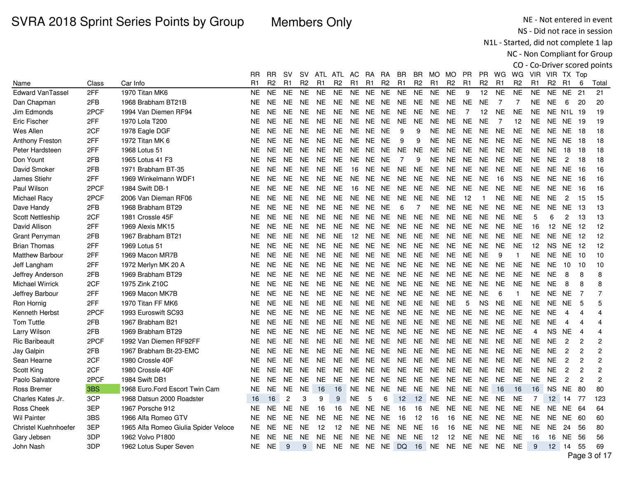Members Only

NE - Not entered in event NS - Did not race in session

N1L - Started, did not complete 1 lap

NC - Non Compliant for Group

|                             |       |                                      | RR        | RR             | sv               | sv             | ATL.           | ATL            | AC              | RA        | RA             | BR             | BR             | MO.            | MO.            | PR             | PR.            | WG             | WG             | VIR            | VIR TX Top      |                  |                |                |
|-----------------------------|-------|--------------------------------------|-----------|----------------|------------------|----------------|----------------|----------------|-----------------|-----------|----------------|----------------|----------------|----------------|----------------|----------------|----------------|----------------|----------------|----------------|-----------------|------------------|----------------|----------------|
| Name                        | Class | Car Info                             | R1        | R <sub>2</sub> | R <sub>1</sub>   | R <sub>2</sub> | R <sub>1</sub> | R <sub>2</sub> | R <sub>1</sub>  | R1        | R <sub>2</sub> | R <sub>1</sub> | R <sub>2</sub> | R <sub>1</sub> | R <sub>2</sub> | R <sub>1</sub> | R <sub>2</sub> | R <sub>1</sub> | R <sub>2</sub> | R <sub>1</sub> | R <sub>2</sub>  | R1               | 6              | Total          |
| <b>Edward VanTassel</b>     | 2FF   | 1970 Titan MK6                       | NE.       | <b>NE</b>      | <b>NE</b>        | <b>NE</b>      | <b>NE</b>      | <b>NE</b>      | <b>NE</b>       | <b>NE</b> | <b>NE</b>      | <b>NE</b>      | <b>NE</b>      | <b>NE</b>      | <b>NE</b>      | 9              | 12             | <b>NE</b>      | <b>NE</b>      | <b>NE</b>      | <b>NE</b>       | <b>NE</b>        | 21             | 21             |
| Dan Chapman                 | 2FB   | 1968 Brabham BT21B                   | NE        | <b>NE</b>      | <b>NE</b>        | <b>NE</b>      | <b>NE</b>      | NE.            | NE.             | NE.       | <b>NE</b>      | <b>NE</b>      | <b>NE</b>      | <b>NE</b>      | <b>NE</b>      | <b>NE</b>      | <b>NE</b>      | 7              | $\overline{7}$ | NE.            | <b>NE</b>       | 6                | 20             | 20             |
| Jim Edmonds                 | 2PCF  | 1994 Van Diemen RF94                 | <b>NE</b> | <b>NE</b>      | <b>NE</b>        | <b>NE</b>      | <b>NE</b>      | <b>NE</b>      | <b>NE</b>       | <b>NE</b> | <b>NE</b>      | <b>NE</b>      | <b>NE</b>      | <b>NE</b>      | <b>NE</b>      | 7              | 12             | <b>NE</b>      | <b>NE</b>      | NE.            |                 | <b>NE N1L 19</b> |                | 19             |
| Eric Fischer                | 2FF   | 1970 Lola T200                       | <b>NE</b> | NE.            | <b>NE</b>        | <b>NE</b>      | <b>NE</b>      | <b>NE</b>      | <b>NE</b>       | <b>NE</b> | <b>NE</b>      | <b>NE</b>      | NE.            | <b>NE</b>      | NE.            | <b>NE</b>      | <b>NE</b>      | $\overline{7}$ | 12             | <b>NE</b>      | NE.             | NE 19            |                | 19             |
| Wes Allen                   | 2CF   | 1978 Eagle DGF                       | NE.       | <b>NE</b>      | <b>NE</b>        | <b>NE</b>      | <b>NE</b>      | <b>NE</b>      |                 | NE NE NE  |                | 9              | 9              | <b>NE</b>      | <b>NE</b>      | <b>NE</b>      | <b>NE</b>      | <b>NE</b>      | <b>NE</b>      | NE.            | NE              | NE 18            |                | 18             |
| Anthony Freston             | 2FF   | 1972 Titan MK 6                      | NE        | NE.            | <b>NE</b>        | <b>NE</b>      | <b>NE</b>      | <b>NE</b>      | NE NE           |           | <b>NE</b>      | 9              | 9              | <b>NE</b>      | NE.            | <b>NE</b>      | <b>NE</b>      | <b>NE</b>      | <b>NE</b>      | NE.            | NE.             | NE.              | - 18           | 18             |
| Peter Hardsteen             | 2FF   | 1968 Lotus 51                        | <b>NE</b> | <b>NE</b>      | <b>NE</b>        | <b>NE</b>      | <b>NE</b>      | <b>NE</b>      | NE NE           |           | NE.            | NE.            | <b>NE</b>      | <b>NE</b>      | <b>NE</b>      | <b>NE</b>      | <b>NE</b>      | <b>NE</b>      | <b>NE</b>      | <b>NE</b>      | <b>NE</b>       | 18               | 18             | 18             |
| Don Yount                   | 2FB   | 1965 Lotus 41 F3                     | NE.       | <b>NE</b>      | <b>NE</b>        | <b>NE</b>      | <b>NE</b>      | NE.            | <b>NE</b>       | <b>NE</b> | <b>NE</b>      | $\overline{7}$ | 9              | <b>NE</b>      | <b>NE</b>      | <b>NE</b>      | <b>NE</b>      | <b>NE</b>      | <b>NE</b>      | <b>NE</b>      | <b>NE</b>       | $\overline{c}$   | 18             | 18             |
| David Smoker                | 2FB   | 1971 Brabham BT-35                   | <b>NE</b> | <b>NE</b>      | <b>NE</b>        | <b>NE</b>      | <b>NE</b>      | <b>NE</b>      | 16              | <b>NE</b> | <b>NE</b>      | <b>NE</b>      | NE.            | <b>NE</b>      | <b>NE</b>      | <b>NE</b>      | <b>NE</b>      | <b>NE</b>      | <b>NE</b>      | <b>NE</b>      | NE.             | NE.              | 16             | 16             |
| James Stiehr                | 2FF   | 1969 Winkelmann WDF1                 | NE.       | <b>NE</b>      | <b>NE</b>        | <b>NE</b>      | <b>NE</b>      | NE.            | <b>NE</b>       | NE.       | <b>NE</b>      | NE.            | NE.            | NE.            | NE.            | <b>NE</b>      | <b>NE</b>      | 16             | <b>NS</b>      | <b>NE</b>      | NE.             | NE.              | -16            | 16             |
| Paul Wilson                 | 2PCF  | 1984 Swift DB-1                      | <b>NE</b> | <b>NE</b>      | <b>NE</b>        | <b>NE</b>      | <b>NE</b>      | <b>NE</b>      | 16              | <b>NE</b> | <b>NE</b>      | <b>NE</b>      | <b>NE</b>      | <b>NE</b>      | <b>NE</b>      | <b>NE</b>      | <b>NE</b>      | <b>NE</b>      | <b>NE</b>      | <b>NE</b>      | <b>NE</b>       | <b>NE</b>        | 16             | 16             |
| Michael Racy                | 2PCF  | 2006 Van Dieman RF06                 | NE.       | <b>NE</b>      | <b>NE</b>        | <b>NE</b>      | <b>NE</b>      | <b>NE</b>      | <b>NE</b>       | <b>NE</b> | <b>NE</b>      | <b>NE</b>      | <b>NE</b>      | <b>NE</b>      | <b>NE</b>      | 12             | $\overline{1}$ | <b>NE</b>      | <b>NE</b>      | NE.            | <b>NE</b>       | $\overline{c}$   | 15             | 15             |
| Dave Handy                  | 2FB   | 1968 Brabham BT29                    | <b>NE</b> | <b>NE</b>      | <b>NE</b>        | <b>NE</b>      | <b>NE</b>      | <b>NE</b>      |                 | NE NE NE  |                | 6              | $\overline{7}$ | <b>NE</b>      | <b>NE</b>      | <b>NE</b>      | <b>NE</b>      | <b>NE</b>      | <b>NE</b>      | <b>NE</b>      | <b>NE</b>       | <b>NE</b>        | -13            | 13             |
| <b>Scott Nettleship</b>     | 2CF   | 1981 Crossle 45F                     | NE.       | <b>NE</b>      | <b>NE</b>        | <b>NE</b>      | <b>NE</b>      | NE.            | NE.             | NE.       | <b>NE</b>      | <b>NE</b>      | NE.            | <b>NE</b>      | <b>NE</b>      | <b>NE</b>      | <b>NE</b>      | <b>NE</b>      | <b>NE</b>      | 5              | 6               | $\overline{c}$   | 13             | 13             |
| David Allison               | 2FF   | 1969 Alexis MK15                     | <b>NE</b> | <b>NE</b>      | NE.              | <b>NE</b>      | <b>NE</b>      | NE.            | <b>NE</b>       | <b>NE</b> | <b>NE</b>      | NE.            | <b>NE</b>      | <b>NE</b>      | <b>NE</b>      | <b>NE</b>      | <b>NE</b>      | <b>NE</b>      | <b>NE</b>      | 16             | 12              | <b>NE</b>        | 12             | 12             |
| <b>Grant Perryman</b>       | 2FB   | 1967 Brabham BT21                    | <b>NE</b> | <b>NE</b>      | <b>NE</b>        | <b>NE</b>      | <b>NE</b>      | <b>NE</b>      | 12 <sup>2</sup> | NE.       | <b>NE</b>      | NE.            | NE.            | <b>NE</b>      | <b>NE</b>      | NE.            | <b>NE</b>      | <b>NE</b>      | <b>NE</b>      | <b>NE</b>      | NE.             | NE.              | 12             | 12             |
| <b>Brian Thomas</b>         | 2FF   | 1969 Lotus 51                        | <b>NE</b> | <b>NE</b>      | <b>NE</b>        | <b>NE</b>      | <b>NE</b>      | <b>NE</b>      | <b>NE</b>       | NE        | <b>NE</b>      | <b>NE</b>      | <b>NE</b>      | <b>NE</b>      | NE             | <b>NE</b>      | <b>NE</b>      | <b>NE</b>      | <b>NE</b>      | 12             | <b>NS</b>       | <b>NE</b>        | 12             | 12             |
| <b>Matthew Barbour</b>      | 2FF   | 1969 Macon MR7B                      | NE.       | <b>NE</b>      | <b>NE</b>        | <b>NE</b>      | <b>NE</b>      | <b>NE</b>      | <b>NE</b>       | <b>NE</b> | <b>NE</b>      | NE.            | NE.            | <b>NE</b>      | <b>NE</b>      | <b>NE</b>      | <b>NE</b>      | 9              | $\mathbf{1}$   | <b>NE</b>      | NE.             | NE.              | 10             | 10             |
| Jeff Langham                | 2FF   | 1972 Merlyn MK 20 A                  | <b>NE</b> | <b>NE</b>      | NE.              | <b>NE</b>      | <b>NE</b>      | NE.            | <b>NE</b>       | NE        | <b>NE</b>      | NE.            | <b>NE</b>      | <b>NE</b>      | <b>NE</b>      | <b>NE</b>      | <b>NE</b>      | <b>NE</b>      | <b>NE</b>      | <b>NE</b>      | <b>NE</b>       | 10               | 10             | 10             |
| Jeffrey Anderson            | 2FB   | 1969 Brabham BT29                    | <b>NE</b> | <b>NE</b>      | <b>NE</b>        | <b>NE</b>      | <b>NE</b>      | NE.            | <b>NE</b>       | <b>NE</b> | <b>NE</b>      | <b>NE</b>      | <b>NE</b>      | <b>NE</b>      | <b>NE</b>      | <b>NE</b>      | <b>NE</b>      | <b>NE</b>      | <b>NE</b>      | <b>NE</b>      | <b>NE</b>       | 8                | 8              | 8              |
| <b>Michael Wirrick</b>      | 2CF   | 1975 Zink Z10C                       | NE.       | <b>NE</b>      | <b>NE</b>        | <b>NE</b>      | NE.            | <b>NE</b>      | NE NE NE        |           |                | <b>NE</b>      | NE.            | NE             | <b>NE</b>      | <b>NE</b>      | <b>NE</b>      | <b>NE</b>      | <b>NE</b>      | NE.            | <b>NE</b>       | 8                | 8              | 8              |
| Jeffrey Barbour             | 2FF   | 1969 Macon MK7B                      | NE        | <b>NE</b>      | <b>NE</b>        | <b>NE</b>      | NE.            | NE.            | NE NE           |           | NE.            | NE.            | NE.            | NE.            | NE.            | NE.            | <b>NE</b>      | 6              | -1             | NE.            | NE.             | NE.              | -7             | $\overline{7}$ |
| Ron Hornig                  | 2FF   | 1970 Titan FF MK6                    | <b>NE</b> | <b>NE</b>      | <b>NE</b>        | <b>NE</b>      | <b>NE</b>      | <b>NE</b>      | <b>NE</b>       | <b>NE</b> | <b>NE</b>      | <b>NE</b>      | <b>NE</b>      | <b>NE</b>      | <b>NE</b>      | 5              | <b>NS</b>      | <b>NE</b>      | <b>NE</b>      | <b>NE</b>      | <b>NE</b>       | <b>NE</b>        | 5              | 5              |
| Kenneth Herbst              | 2PCF  | 1993 Euroswift SC93                  | NE.       | <b>NE</b>      | <b>NE</b>        | <b>NE</b>      | <b>NE</b>      | <b>NE</b>      | <b>NE</b>       | NE.       | <b>NE</b>      | <b>NE</b>      | NE.            | <b>NE</b>      | <b>NE</b>      | <b>NE</b>      | <b>NE</b>      | <b>NE</b>      | <b>NE</b>      | <b>NE</b>      | <b>NE</b>       | $\overline{4}$   |                | $\overline{4}$ |
| Tom Tuttle                  | 2FB   | 1967 Brabham B21                     | NE.       | <b>NE</b>      | <b>NE</b>        | <b>NE</b>      | <b>NE</b>      | <b>NE</b>      | <b>NE</b>       | <b>NE</b> | NE.            | NE.            | <b>NE</b>      | <b>NE</b>      | <b>NE</b>      | <b>NE</b>      | <b>NE</b>      | <b>NE</b>      | <b>NE</b>      | <b>NE</b>      | <b>NE</b>       | $\overline{4}$   | 4              | $\overline{4}$ |
| Larry Wilson                | 2FB   | 1969 Brabham BT29                    | NE.       | <b>NE</b>      | <b>NE</b>        | <b>NE</b>      | <b>NE</b>      | <b>NE</b>      | <b>NE</b>       | NE        | <b>NE</b>      | <b>NE</b>      | <b>NE</b>      | NE             | <b>NE</b>      | <b>NE</b>      | <b>NE</b>      | <b>NE</b>      | <b>NE</b>      | 4              | <b>NS</b>       | <b>NE</b>        | $\overline{4}$ | $\overline{4}$ |
| <b>Ric Baribeault</b>       | 2PCF  | 1992 Van Diemen RF92FF               | <b>NE</b> | <b>NE</b>      | <b>NE</b>        | <b>NE</b>      | <b>NE</b>      | <b>NE</b>      | <b>NE</b>       | <b>NE</b> | <b>NE</b>      | NE.            | <b>NE</b>      | <b>NE</b>      | <b>NE</b>      | <b>NE</b>      | <b>NE</b>      | <b>NE</b>      | <b>NE</b>      | <b>NE</b>      | <b>NE</b>       | $\mathbf{2}$     | $\overline{c}$ | $\overline{c}$ |
| Jay Galpin                  | 2FB   | 1967 Brabham Bt-23-EMC               | NE.       | <b>NE</b>      | <b>NE</b>        | <b>NE</b>      | <b>NE</b>      | <b>NE</b>      | <b>NE</b>       | <b>NE</b> | <b>NE</b>      | <b>NE</b>      | <b>NE</b>      | <b>NE</b>      | <b>NE</b>      | <b>NE</b>      | <b>NE</b>      | <b>NE</b>      | <b>NE</b>      | <b>NE</b>      | <b>NE</b>       | $\overline{c}$   | 2              | 2              |
| Sean Hearne                 | 2CF   | 1980 Crossle 40F                     | NE.       | <b>NE</b>      | <b>NE</b>        | <b>NE</b>      | <b>NE</b>      | <b>NE</b>      | NE.             | NE.       | <b>NE</b>      | <b>NE</b>      | <b>NE</b>      | <b>NE</b>      | <b>NE</b>      | <b>NE</b>      | <b>NE</b>      | <b>NE</b>      | <b>NE</b>      | <b>NE</b>      | <b>NE</b>       | $\overline{2}$   | $\overline{c}$ | $\overline{2}$ |
| Scott King                  | 2CF   | 1980 Crossle 40F                     | NE        | <b>NE</b>      | <b>NE</b>        | <b>NE</b>      | <b>NE</b>      | NE.            | <b>NE</b>       | NE        | <b>NE</b>      | NE.            | <b>NE</b>      | <b>NE</b>      | <b>NE</b>      | <b>NE</b>      | <b>NE</b>      | <b>NE</b>      | <b>NE</b>      | <b>NE</b>      | <b>NE</b>       | $\overline{c}$   | $\overline{c}$ | $\overline{c}$ |
| Paolo Salvatore             | 2PCF  | 1984 Swift DB1                       | <b>NE</b> | <b>NE</b>      | <b>NE</b>        | <b>NE</b>      | <b>NE</b>      | <b>NE</b>      | <b>NE</b>       | <b>NE</b> | <b>NE</b>      | NE.            | <b>NE</b>      | <b>NE</b>      | <b>NE</b>      | <b>NE</b>      | <b>NE</b>      | <b>NE</b>      | <b>NE</b>      | <b>NE</b>      | <b>NE</b>       | 2                | $\overline{c}$ | $\overline{c}$ |
| Ross Bremer                 | 3BS   | 1968 Euro.Ford Escort Twin Cam       | <b>NE</b> | <b>NE</b>      | <b>NE</b>        | <b>NE</b>      | 16             | 16             | <b>NE</b>       | <b>NE</b> | <b>NE</b>      | NE             | <b>NE</b>      | <b>NE</b>      | <b>NE</b>      | <b>NE</b>      | <b>NE</b>      | 16             | 16             | 16             | <b>NS</b>       | <b>NE</b>        | 80             | 80             |
| Charles Kates Jr.           | 3CP   | 1968 Datsun 2000 Roadster            | 16        | 16             | $\boldsymbol{2}$ | 3              | 9              | 9              | <b>NE</b>       | 5         | 6              | 12             | 12             | NE             | <b>NE</b>      | <b>NE</b>      | <b>NE</b>      | <b>NE</b>      | <b>NE</b>      | $\overline{7}$ | 12 <sup>2</sup> | 14               | 77             | 123            |
| Ross Cheek                  | 3EP   | 1967 Porsche 912                     | NE.       | <b>NE</b>      | <b>NE</b>        | <b>NE</b>      | 16             | 16             | <b>NE</b>       | NE.       | <b>NE</b>      | 16             | 16             | <b>NE</b>      | <b>NE</b>      | <b>NE</b>      | <b>NE</b>      | <b>NE</b>      | <b>NE</b>      | <b>NE</b>      | NE.             | NE.              | - 64           | 64             |
| <b>Wil Painter</b>          | 3BS   | 1966 Alfa Romeo GTV                  | <b>NE</b> | <b>NE</b>      | <b>NE</b>        | <b>NE</b>      | <b>NE</b>      | <b>NE</b>      | <b>NE</b>       | <b>NE</b> | <b>NE</b>      | 16             | 12             | 16             | 16             | <b>NE</b>      | <b>NE</b>      | <b>NE</b>      | <b>NE</b>      | <b>NE</b>      | <b>NE</b>       | NE               | 60             | 60             |
| <b>Christel Kuehnhoefer</b> | 3EP   | 1965 Alfa Romeo Giulia Spider Veloce | NE.       | <b>NE</b>      | <b>NE</b>        | <b>NE</b>      | 12             | 12             | NE.             | <b>NE</b> | <b>NE</b>      | <b>NE</b>      | <b>NE</b>      | 16             | 16             | NE.            | <b>NE</b>      | <b>NE</b>      | <b>NE</b>      | NE.            | <b>NE</b>       | 24               | 56             | 80             |
| Gary Jebsen                 | 3DP   | 1962 Volvo P1800                     | NE.       | <b>NE</b>      | <b>NE</b>        | <b>NE</b>      | <b>NE</b>      | <b>NE</b>      | NE NE           |           | NE.            | NE.            | <b>NE</b>      | 12             | 12             | <b>NE</b>      | <b>NE</b>      | <b>NE</b>      | <b>NE</b>      | 16             | 16              | NE.              | 56             | 56             |
| John Nash                   | 3DP   | 1962 Lotus Super Seven               | NE        | <b>NE</b>      | 9                | 9              | NE.            | NE             |                 |           | NE NE NE DQ 16 |                |                |                |                | NE NE NE NE    |                | <b>NE</b>      | <b>NE</b>      | 9              | 12 <sup>2</sup> | 14               | 55             | 69             |
|                             |       |                                      |           |                |                  |                |                |                |                 |           |                |                |                |                |                |                |                |                |                |                |                 |                  |                | 0.017          |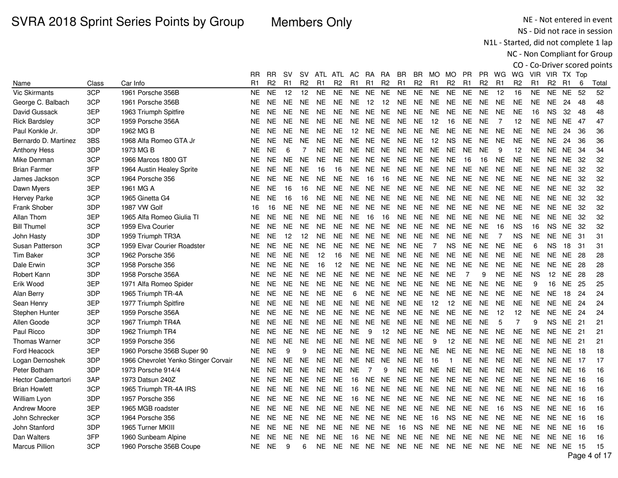Members Only

NE - Not entered in event NS - Did not race in session

N1L - Started, did not complete 1 lap

|                           |       |                                      |                |           |           |                |               |                |                |                |                |                   |                |                |                |                |                |                |                |                |                |                 |      | CO - Co-Driver scored points |
|---------------------------|-------|--------------------------------------|----------------|-----------|-----------|----------------|---------------|----------------|----------------|----------------|----------------|-------------------|----------------|----------------|----------------|----------------|----------------|----------------|----------------|----------------|----------------|-----------------|------|------------------------------|
|                           |       |                                      | RR             | <b>RR</b> | <b>SV</b> |                | SV ATL ATL AC |                |                | RA RA          |                | BR.               | BR.            | MO MO          |                | <b>PR</b>      | PR.            | WG WG          |                |                | VIR VIR TX Top |                 |      |                              |
| Name                      | Class | Car Info                             | R <sub>1</sub> | R2        | R1        | R <sub>2</sub> | R1            | R <sub>2</sub> | R <sub>1</sub> | R <sub>1</sub> | R <sub>2</sub> | R <sub>1</sub>    | R <sub>2</sub> | R <sub>1</sub> | R <sub>2</sub> | R <sub>1</sub> | R <sub>2</sub> | R <sub>1</sub> | R <sub>2</sub> | R <sub>1</sub> | R <sub>2</sub> | R <sub>1</sub>  | 6    | Total                        |
| <b>Vic Skirmants</b>      | 3CP   | 1961 Porsche 356B                    | <b>NE</b>      | <b>NE</b> | 12        | 12             | <b>NE</b>     | <b>NE</b>      | NE.            | <b>NE</b>      | <b>NE</b>      | <b>NE</b>         | <b>NE</b>      | <b>NE</b>      | <b>NE</b>      | NE.            | <b>NE</b>      | 12             | 16             | <b>NE</b>      | <b>NE</b>      | <b>NE</b>       | 52   | 52                           |
| George C. Balbach         | 3CP   | 1961 Porsche 356B                    | <b>NE</b>      | <b>NE</b> | <b>NE</b> | NE.            | NE.           | <b>NE</b>      | NE.            | 12             | 12             | <b>NE</b>         | <b>NE</b>      | <b>NE</b>      | <b>NE</b>      | <b>NE</b>      | <b>NE</b>      | <b>NE</b>      | <b>NE</b>      | <b>NE</b>      | <b>NE</b>      | 24              | 48   | 48                           |
| David Gussack             | 3EP   | 1963 Triumph Spitfire                | <b>NE</b>      | <b>NE</b> | <b>NE</b> | <b>NE</b>      | <b>NE</b>     | <b>NE</b>      |                | NE NE NE       |                | <b>NE</b>         | <b>NE</b>      | <b>NE</b>      | <b>NE</b>      | <b>NE</b>      | <b>NE</b>      | <b>NE</b>      | <b>NE</b>      | 16             | <b>NS</b>      | 32              | 48   | 48                           |
| <b>Rick Bardsley</b>      | 3CP   | 1959 Porsche 356A                    | <b>NE</b>      | <b>NE</b> | <b>NE</b> | <b>NE</b>      | <b>NE</b>     | <b>NE</b>      | NE.            | <b>NE</b>      | NE.            | <b>NE</b>         | <b>NE</b>      | 12             | 16             | <b>NE</b>      | <b>NE</b>      | $\overline{7}$ | 12             | NE             | <b>NE</b>      | <b>NE</b>       | -47  | 47                           |
| Paul Konkle Jr.           | 3DP   | 1962 MG B                            | <b>NE</b>      | <b>NE</b> | <b>NE</b> | NE.            | <b>NE</b>     | <b>NE</b>      | 12             | <b>NE</b>      | NE.            | <b>NE</b>         | <b>NE</b>      | <b>NE</b>      | <b>NE</b>      | <b>NE</b>      | <b>NE</b>      | <b>NE</b>      | <b>NE</b>      | NE.            | <b>NE</b>      | 24              | 36   | 36                           |
| Bernardo D. Martinez      | 3BS   | 1968 Alfa Romeo GTA Jr               | <b>NE</b>      | <b>NE</b> | <b>NE</b> | NE.            | NE.           | <b>NE</b>      | NE.            | NE.            | <b>NE</b>      | <b>NE</b>         | <b>NE</b>      | 12             | <b>NS</b>      | <b>NE</b>      | <b>NE</b>      | <b>NE</b>      | <b>NE</b>      | <b>NE</b>      | <b>NE</b>      | 24              | 36   | 36                           |
| <b>Anthony Hess</b>       | 3DP   | 1973 MG B                            | <b>NE</b>      | <b>NE</b> | 6         | 7              | <b>NE</b>     | <b>NE</b>      | <b>NE</b>      | <b>NE</b>      | <b>NE</b>      | <b>NE</b>         | <b>NE</b>      | <b>NE</b>      | <b>NE</b>      | <b>NE</b>      | <b>NE</b>      | 9              | 12             | <b>NE</b>      | <b>NE</b>      | <b>NE</b>       | 34   | 34                           |
| Mike Denman               | 3CP   | 1966 Marcos 1800 GT                  | <b>NE</b>      | <b>NE</b> | <b>NE</b> | <b>NE</b>      | <b>NE</b>     | <b>NE</b>      |                |                | NE NE NE       | <b>NE</b>         | <b>NE</b>      | <b>NE</b>      | <b>NE</b>      | 16             | 16             | <b>NE</b>      | <b>NE</b>      | NE             |                | NE NE 32        |      | 32                           |
| <b>Brian Farmer</b>       | 3FP   | 1964 Austin Healey Sprite            | <b>NE</b>      | <b>NE</b> | <b>NE</b> | <b>NE</b>      | 16            | 16             | <b>NE</b>      | NE             | <b>NE</b>      | <b>NE</b>         | <b>NE</b>      | <b>NE</b>      | <b>NE</b>      | <b>NE</b>      | <b>NE</b>      | <b>NE</b>      | <b>NE</b>      | ΝE             | NE             | <b>NE</b>       | 32   | 32                           |
| James Jackson             | 3CP   | 1964 Porsche 356                     | <b>NE</b>      | <b>NE</b> | <b>NE</b> | <b>NE</b>      | NE.           | <b>NE</b>      | NE.            | 16             | 16             | <b>NE</b>         | <b>NE</b>      | <b>NE</b>      | <b>NE</b>      | <b>NE</b>      | <b>NE</b>      | <b>NE</b>      | <b>NE</b>      | <b>NE</b>      | NE.            | <b>NE</b>       | 32   | 32                           |
| Dawn Myers                | 3EP   | 1961 MG A                            | <b>NE</b>      | <b>NE</b> | 16        | 16             | <b>NE</b>     | <b>NE</b>      | NE.            | NE.            | <b>NE</b>      | <b>NE</b>         | <b>NE</b>      | <b>NE</b>      | <b>NE</b>      | <b>NE</b>      | <b>NE</b>      | <b>NE</b>      | <b>NE</b>      | <b>NE</b>      | NE.            | <b>NE</b>       | 32   | 32                           |
| <b>Hervey Parke</b>       | 3CP   | 1965 Ginetta G4                      | <b>NE</b>      | <b>NE</b> | 16        | 16             | <b>NE</b>     | <b>NE</b>      | NE.            | NE.            | <b>NE</b>      | <b>NE</b>         | <b>NE</b>      | <b>NE</b>      | NE.            | <b>NE</b>      | <b>NE</b>      | <b>NE</b>      | <b>NE</b>      | <b>NE</b>      | NE.            | <b>NE</b>       | 32   | 32                           |
| Frank Shober              | 3DP   | 1987 VW Golf                         | 16             | 16        | NE.       | NE.            | <b>NE</b>     | <b>NE</b>      |                |                | NE NE NE       | <b>NE</b>         | <b>NE</b>      | <b>NE</b>      | <b>NE</b>      | <b>NE</b>      | <b>NE</b>      | <b>NE</b>      | <b>NE</b>      | NE.            | NE.            | NE 32           |      | 32                           |
| Allan Thom                | 3EP   | 1965 Alfa Romeo Giulia TI            | <b>NE</b>      | <b>NE</b> | <b>NE</b> | <b>NE</b>      | <b>NE</b>     | <b>NE</b>      | NE.            | 16             | 16             | NE.               | <b>NE</b>      | <b>NE</b>      | <b>NE</b>      | <b>NE</b>      | <b>NE</b>      | <b>NE</b>      | <b>NE</b>      | NE             | NE             | <b>NE</b>       | 32   | 32                           |
| <b>Bill Thumel</b>        | 3CP   | 1959 Elva Courier                    | <b>NE</b>      | <b>NE</b> | <b>NE</b> | <b>NE</b>      | NE.           | <b>NE</b>      | <b>NE</b>      | NE.            | <b>NE</b>      | NE.               | NE             | <b>NE</b>      | <b>NE</b>      | <b>NE</b>      | <b>NE</b>      | 16             | <b>NS</b>      | 16             | <b>NS</b>      | NE.             | 32   | 32                           |
| John Hasty                | 3DP   | 1959 Triumph TR3A                    | <b>NE</b>      | <b>NE</b> | 12        | 12             | <b>NE</b>     | <b>NE</b>      | NE.            | <b>NE</b>      | <b>NE</b>      | <b>NE</b>         | <b>NE</b>      | <b>NE</b>      | <b>NE</b>      | <b>NE</b>      | <b>NE</b>      | $\overline{7}$ | <b>NS</b>      | <b>NE</b>      | NE.            | NE.             | -31  | 31                           |
| Susan Patterson           | 3CP   | 1959 Elvar Courier Roadster          | <b>NE</b>      | <b>NE</b> | <b>NE</b> | <b>NE</b>      | <b>NE</b>     | <b>NE</b>      | <b>NE</b>      | <b>NE</b>      | <b>NE</b>      | <b>NE</b>         | <b>NE</b>      | $\overline{7}$ | <b>NS</b>      | <b>NE</b>      | <b>NE</b>      | <b>NE</b>      | <b>NE</b>      | 6              | <b>NS</b>      | 18              | 31   | 31                           |
| <b>Tim Baker</b>          | 3CP   | 1962 Porsche 356                     | <b>NE</b>      | <b>NE</b> | <b>NE</b> | <b>NE</b>      | 12            | 16             | NE.            |                | NE NE          | NE.               | NE.            | <b>NE</b>      | <b>NE</b>      | <b>NE</b>      | <b>NE</b>      | <b>NE</b>      | <b>NE</b>      | <b>NE</b>      | <b>NE</b>      | NE 28           |      | 28                           |
| Dale Erwin                | 3CP   | 1958 Porsche 356                     | <b>NE</b>      | <b>NE</b> | <b>NE</b> | <b>NE</b>      | 16            | 12             | NE.            | NE             | <b>NE</b>      | <b>NE</b>         | <b>NE</b>      | <b>NE</b>      | <b>NE</b>      | <b>NE</b>      | <b>NE</b>      | <b>NE</b>      | <b>NE</b>      | <b>NE</b>      | NE             | <b>NE</b>       | 28   | 28                           |
| Robert Kann               | 3DP   | 1958 Porsche 356A                    | <b>NE</b>      | <b>NE</b> | <b>NE</b> | <b>NE</b>      | NE.           | <b>NE</b>      | NE.            |                | NE NE          | <b>NE</b>         | <b>NE</b>      | <b>NE</b>      | <b>NE</b>      | $\overline{7}$ | 9              | <b>NE</b>      | <b>NE</b>      | <b>NS</b>      | 12             | <b>NE</b>       | 28   | 28                           |
| Erik Wood                 | 3EP   | 1971 Alfa Romeo Spider               | <b>NE</b>      | <b>NE</b> | <b>NE</b> | NE.            | NE.           | <b>NE</b>      | NE.            | NE             | <b>NE</b>      | <b>NE</b>         | <b>NE</b>      | <b>NE</b>      | NE.            | NE.            | <b>NE</b>      | <b>NE</b>      | <b>NE</b>      | 9              | 16             | <b>NE</b>       | 25   | 25                           |
| Alan Berry                | 3DP   | 1965 Triumph TR-4A                   | <b>NE</b>      | <b>NE</b> | <b>NE</b> | <b>NE</b>      | NE.           | <b>NE</b>      | 6              | <b>NE</b>      | <b>NE</b>      | <b>NE</b>         | <b>NE</b>      | <b>NE</b>      | <b>NE</b>      | <b>NE</b>      | <b>NE</b>      | <b>NE</b>      | <b>NE</b>      | <b>NE</b>      | <b>NE</b>      | 18              | 24   | 24                           |
| Sean Henry                | 3EP   | 1977 Triumph Spitfire                | <b>NE</b>      | <b>NE</b> | NE.       | <b>NE</b>      | <b>NE</b>     | NE.            |                |                | NE NE NE       | <b>NE</b>         | <b>NE</b>      | 12             | 12             | <b>NE</b>      | <b>NE</b>      | <b>NE</b>      | <b>NE</b>      | <b>NE</b>      | NE.            | NE 24           |      | 24                           |
| Stephen Hunter            | 3EP   | 1959 Porsche 356A                    | <b>NE</b>      | <b>NE</b> | <b>NE</b> | NE.            | <b>NE</b>     | <b>NE</b>      | NE.            | <b>NE</b>      | <b>NE</b>      | <b>NE</b>         | <b>NE</b>      | <b>NE</b>      | <b>NE</b>      | <b>NE</b>      | <b>NE</b>      | 12             | 12             | <b>NE</b>      | NE.            | NE.             | 24   | 24                           |
| Allen Goode               | 3CP   | 1967 Triumph TR4A                    | <b>NE</b>      | <b>NE</b> | <b>NE</b> | <b>NE</b>      | <b>NE</b>     | <b>NE</b>      | NE.            | NE NE          |                | NE.               | <b>NE</b>      | <b>NE</b>      | <b>NE</b>      | <b>NE</b>      | <b>NE</b>      | 5              | $\overline{7}$ | 9              | <b>NS</b>      | NE.             | - 21 | 21                           |
| Paul Ricco                | 3DP   | 1962 Triumph TR4                     | <b>NE</b>      | <b>NE</b> | <b>NE</b> | <b>NE</b>      | NE.           | <b>NE</b>      | <b>NE</b>      | 9              | 12             | <b>NE</b>         | <b>NE</b>      | <b>NE</b>      | NE.            | <b>NE</b>      | <b>NE</b>      | <b>NE</b>      | <b>NE</b>      | <b>NE</b>      | NE.            | NE.             | 21   | 21                           |
| <b>Thomas Warner</b>      | 3CP   | 1959 Porsche 356                     | <b>NE</b>      | <b>NE</b> | <b>NE</b> | <b>NE</b>      | <b>NE</b>     | <b>NE</b>      | <b>NE</b>      | <b>NE</b>      | <b>NE</b>      | <b>NE</b>         | <b>NE</b>      | 9              | 12             | <b>NE</b>      | <b>NE</b>      | <b>NE</b>      | <b>NE</b>      | <b>NE</b>      | NE.            | <b>NE</b>       | 21   | 21                           |
| Ford Heacock              | 3EP   | 1960 Porsche 356B Super 90           | <b>NE</b>      | <b>NE</b> | 9         | 9              | <b>NE</b>     | <b>NE</b>      |                |                | NE NE NE       | NE.               | NE.            | <b>NE</b>      | <b>NE</b>      | NE.            | <b>NE</b>      | <b>NE</b>      | <b>NE</b>      | <b>NE</b>      | NE.            | NE 18           |      | 18                           |
| Logan Dernoshek           | 3DP   | 1966 Chevrolet Yenko Stinger Corvair | <b>NE</b>      | <b>NE</b> | <b>NE</b> | NE.            | <b>NE</b>     | <b>NE</b>      | NE.            | NE             | <b>NE</b>      | <b>NE</b>         | <b>NE</b>      | 16             | -1             | <b>NE</b>      | <b>NE</b>      | <b>NE</b>      | <b>NE</b>      | NE.            | <b>NE</b>      | NE 17           |      | 17                           |
| Peter Botham              | 3DP   | 1973 Porsche 914/4                   | <b>NE</b>      | <b>NE</b> | <b>NE</b> | NE.            | <b>NE</b>     | <b>NE</b>      | <b>NE</b>      | $\overline{7}$ | 9              | NE.               | <b>NE</b>      | <b>NE</b>      | <b>NE</b>      | <b>NE</b>      | <b>NE</b>      | <b>NE</b>      | <b>NE</b>      | <b>NE</b>      | NE.            | NE.             | - 16 | 16                           |
| <b>Hector Cademartori</b> | 3AP   | 1973 Datsun 240Z                     | <b>NE</b>      | <b>NE</b> | <b>NE</b> | NE.            | <b>NE</b>     | <b>NE</b>      | 16             | NE.            | <b>NE</b>      | <b>NE</b>         | <b>NE</b>      | <b>NE</b>      | NE.            | <b>NE</b>      | <b>NE</b>      | <b>NE</b>      | <b>NE</b>      | NE.            | NE.            | NE.             | -16  | 16                           |
| <b>Brian Howlett</b>      | 3CP   | 1965 Triumph TR-4A IRS               | <b>NE</b>      | <b>NE</b> | <b>NE</b> | NE.            | <b>NE</b>     | <b>NE</b>      | 16             | <b>NE</b>      | <b>NE</b>      | <b>NE</b>         | <b>NE</b>      | <b>NE</b>      | <b>NE</b>      | <b>NE</b>      | <b>NE</b>      | <b>NE</b>      | <b>NE</b>      | NE.            | <b>NE</b>      | NE.             | - 16 | 16                           |
| William Lyon              | 3DP   | 1957 Porsche 356                     | <b>NE</b>      | <b>NE</b> | <b>NE</b> | <b>NE</b>      | <b>NE</b>     | <b>NE</b>      | 16             |                | NE NE          | NE.               | NE.            | <b>NE</b>      | <b>NE</b>      | NE.            | <b>NE</b>      | <b>NE</b>      | <b>NE</b>      | <b>NE</b>      |                | <b>NE NE 16</b> |      | 16                           |
| Andrew Moore              | 3EP   | 1965 MGB roadster                    | <b>NE</b>      | <b>NE</b> | <b>NE</b> | <b>NE</b>      | <b>NE</b>     | <b>NE</b>      | <b>NE</b>      | <b>NE</b>      | <b>NE</b>      | <b>NE</b>         | <b>NE</b>      | <b>NE</b>      | <b>NE</b>      | <b>NE</b>      | <b>NE</b>      | 16             | <b>NS</b>      | <b>NE</b>      | <b>NE</b>      | <b>NE</b>       | -16  | 16                           |
| John Schrecker            | 3CP   | 1964 Porsche 356                     | <b>NE</b>      | <b>NE</b> | <b>NE</b> | NE.            | <b>NE</b>     | <b>NE</b>      | NE.            | <b>NE</b>      | NE.            | <b>NE</b>         | <b>NE</b>      | 16             | <b>NS</b>      | <b>NE</b>      | <b>NE</b>      | <b>NE</b>      | <b>NE</b>      | <b>NE</b>      | NE.            | NE.             | -16  | 16                           |
| John Stanford             | 3DP   | 1965 Turner MKIII                    | <b>NE</b>      | <b>NE</b> | <b>NE</b> | NE.            | NE.           | <b>NE</b>      | NE.            |                | NE NE          | 16                | <b>NS</b>      | <b>NE</b>      | <b>NE</b>      | <b>NE</b>      | <b>NE</b>      | <b>NE</b>      | <b>NE</b>      | <b>NE</b>      | NE.            | <b>NE</b>       | 16   | 16                           |
| Dan Walters               | 3FP   | 1960 Sunbeam Alpine                  | <b>NE</b>      | <b>NE</b> | <b>NE</b> | <b>NE</b>      | NE.           | <b>NE</b>      | 16             | <b>NE</b>      | <b>NE</b>      | <b>NE</b>         | <b>NE</b>      | <b>NE</b>      | <b>NE</b>      | <b>NE</b>      | <b>NE</b>      | <b>NE</b>      | <b>NE</b>      | <b>NE</b>      | <b>NE</b>      | <b>NE</b>       | 16   | 16                           |
| <b>Marcus Pillion</b>     | 3CP   | 1960 Porsche 356B Coupe              | <b>NE</b>      | <b>NE</b> | 9         | 6              | NE.           | NE.            |                |                |                | NE NE NE NE NE NE |                |                | NE.            | NE.            | <b>NE</b>      | <b>NE</b>      | <b>NE</b>      | NE.            | NE NE          |                 | - 15 | 15                           |
|                           |       |                                      |                |           |           |                |               |                |                |                |                |                   |                |                |                |                |                |                |                |                |                |                 |      | Page 4 of 17                 |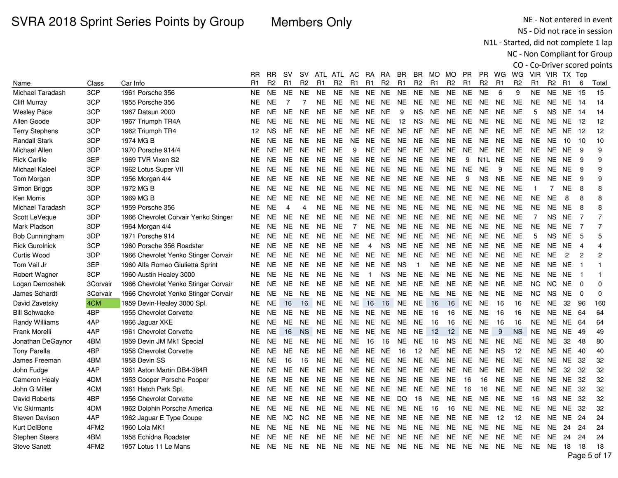### SVRA 2018 Sprint Series Points by GroupMembers Only

NE - Not entered in event NS - Did not race in session

N1L - Started, did not complete 1 lap

NC - Non Compliant for Group

|                       |          |                                      | RR             | <b>RR</b>      | sv             | <b>SV</b>      | ATL            | ATL            | AC.            | RА           | RA             | BR             | BR.            | MO.       | MO.            | PR             | PR.            | WG             | WG             | VIR.           | VIR TX Top     |                |                |                |
|-----------------------|----------|--------------------------------------|----------------|----------------|----------------|----------------|----------------|----------------|----------------|--------------|----------------|----------------|----------------|-----------|----------------|----------------|----------------|----------------|----------------|----------------|----------------|----------------|----------------|----------------|
| Name                  | Class    | Car Info                             | R <sub>1</sub> | R <sub>2</sub> | R <sub>1</sub> | R <sub>2</sub> | R <sub>1</sub> | R <sub>2</sub> | R <sub>1</sub> | R1           | R <sub>2</sub> | R <sub>1</sub> | R <sub>2</sub> | R1        | R <sub>2</sub> | R <sub>1</sub> | R <sub>2</sub> | R <sub>1</sub> | R <sub>2</sub> | R <sub>1</sub> | R <sub>2</sub> | R1             | 6              | Total          |
| Michael Taradash      | 3CP      | 1961 Porsche 356                     | <b>NE</b>      | <b>NE</b>      | <b>NE</b>      | <b>NE</b>      | <b>NE</b>      | <b>NE</b>      | <b>NE</b>      | NE.          | <b>NE</b>      | <b>NE</b>      | <b>NE</b>      | <b>NE</b> | <b>NE</b>      | <b>NE</b>      | <b>NE</b>      | 6              | 9              | <b>NE</b>      | <b>NE</b>      | <b>NE</b>      | 15             | 15             |
| Cliff Murray          | 3CP      | 1955 Porsche 356                     | NE             | <b>NE</b>      | 7              | 7              | <b>NE</b>      | NE.            | <b>NE</b>      | NE.          | <b>NE</b>      | <b>NE</b>      | NE.            | <b>NE</b> | <b>NE</b>      | <b>NE</b>      | <b>NE</b>      | <b>NE</b>      | <b>NE</b>      | <b>NE</b>      |                | NE NE          | - 14           | 14             |
| <b>Wesley Pace</b>    | 3CP      | 1967 Datsun 2000                     | <b>NE</b>      | NE.            | <b>NE</b>      | <b>NE</b>      | <b>NE</b>      | NE.            | <b>NE</b>      | NE.          | <b>NE</b>      | 9              | <b>NS</b>      | <b>NE</b> | <b>NE</b>      | <b>NE</b>      | <b>NE</b>      | <b>NE</b>      | <b>NE</b>      | 5              | <b>NS</b>      | <b>NE</b>      | -14            | 14             |
| Allen Goode           | 3DP      | 1967 Triumph TR4A                    | NE             | NE.            | <b>NE</b>      | <b>NE</b>      | <b>NE</b>      | NE.            | <b>NE</b>      | NE NE        |                | 12             | <b>NS</b>      | <b>NE</b> | <b>NE</b>      | <b>NE</b>      | NE             | <b>NE</b>      | <b>NE</b>      | <b>NE</b>      | NE NE          |                | 12             | 12             |
| <b>Terry Stephens</b> | 3CP      | 1962 Triumph TR4                     | 12             | <b>NS</b>      | <b>NE</b>      | <b>NE</b>      | <b>NE</b>      | NE.            | <b>NE</b>      | NE           | <b>NE</b>      | <b>NE</b>      | <b>NE</b>      | <b>NE</b> | <b>NE</b>      | <b>NE</b>      | <b>NE</b>      | <b>NE</b>      | <b>NE</b>      | <b>NE</b>      |                | NE NE          | 12             | 12             |
| <b>Randall Stark</b>  | 3DP      | 1974 MG B                            | <b>NE</b>      | NE.            | <b>NE</b>      | <b>NE</b>      | <b>NE</b>      | <b>NE</b>      | <b>NE</b>      | NE           | <b>NE</b>      | NE.            | <b>NE</b>      | <b>NE</b> | <b>NE</b>      | <b>NE</b>      | <b>NE</b>      | <b>NE</b>      | <b>NE</b>      | <b>NE</b>      | <b>NE</b>      | 10             | 10             | 10             |
| Michael Allen         | 3DP      | 1970 Porsche 914/4                   | <b>NE</b>      | <b>NE</b>      | <b>NE</b>      | <b>NE</b>      | <b>NE</b>      | <b>NE</b>      | 9              | NE.          | <b>NE</b>      | <b>NE</b>      | <b>NE</b>      | <b>NE</b> | <b>NE</b>      | <b>NE</b>      | <b>NE</b>      | <b>NE</b>      | <b>NE</b>      | <b>NE</b>      | <b>NE</b>      | <b>NE</b>      | 9              | 9              |
| <b>Rick Carlile</b>   | 3EP      | 1969 TVR Vixen S2                    | <b>NE</b>      | <b>NE</b>      | <b>NE</b>      | <b>NE</b>      | <b>NE</b>      | NE.            | <b>NE</b>      | NE.          | <b>NE</b>      | <b>NE</b>      | <b>NE</b>      | <b>NE</b> | <b>NE</b>      | 9              | N1L            | <b>NE</b>      | <b>NE</b>      | <b>NE</b>      | <b>NE</b>      | <b>NE</b>      | 9              | 9              |
| Michael Kaleel        | 3CP      | 1962 Lotus Super VII                 | <b>NE</b>      | <b>NE</b>      | <b>NE</b>      | <b>NE</b>      | <b>NE</b>      | <b>NE</b>      | <b>NE</b>      | <b>NE</b>    | <b>NE</b>      | <b>NE</b>      | <b>NE</b>      | <b>NE</b> | <b>NE</b>      | <b>NE</b>      | <b>NE</b>      | 9              | <b>NE</b>      | <b>NE</b>      | <b>NE</b>      | <b>NE</b>      | 9              | 9              |
| Tom Morgan            | 3DP      | 1956 Morgan 4/4                      | <b>NE</b>      | <b>NE</b>      | <b>NE</b>      | <b>NE</b>      | <b>NE</b>      | <b>NE</b>      | <b>NE</b>      | NE NE        |                | <b>NE</b>      | NE.            | <b>NE</b> | <b>NE</b>      | 9              | <b>NS</b>      | <b>NE</b>      | <b>NE</b>      | <b>NE</b>      | <b>NE</b>      | <b>NE</b>      | 9              | 9              |
| Simon Briggs          | 3DP      | 1972 MG B                            | NE.            | <b>NE</b>      | <b>NE</b>      | NE.            | <b>NE</b>      | NE.            | NE.            | NE NE        |                | NE.            | <b>NE</b>      | <b>NE</b> | NE.            | <b>NE</b>      | NE.            | <b>NE</b>      | <b>NE</b>      | $\mathbf{1}$   | $\overline{7}$ | <b>NE</b>      | 8              | 8              |
| Ken Morris            | 3DP      | 1969 MG B                            | <b>NE</b>      | <b>NE</b>      | <b>NE</b>      | <b>NE</b>      | <b>NE</b>      | <b>NE</b>      | <b>NE</b>      | NE           | <b>NE</b>      | <b>NE</b>      | <b>NE</b>      | <b>NE</b> | <b>NE</b>      | <b>NE</b>      | <b>NE</b>      | <b>NE</b>      | <b>NE</b>      | <b>NE</b>      | <b>NE</b>      | 8              | 8              | 8              |
| Michael Taradash      | 3CP      | 1959 Porsche 356                     | <b>NE</b>      | <b>NE</b>      | 4              | 4              | <b>NE</b>      | <b>NE</b>      | <b>NE</b>      | NE           | <b>NE</b>      | <b>NE</b>      | <b>NE</b>      | <b>NE</b> | <b>NE</b>      | <b>NE</b>      | <b>NE</b>      | <b>NE</b>      | <b>NE</b>      | <b>NE</b>      | <b>NE</b>      | <b>NE</b>      | 8              | 8              |
| Scott LeVeque         | 3DP      | 1966 Chevrolet Corvair Yenko Stinger | <b>NE</b>      | <b>NE</b>      | <b>NE</b>      | <b>NE</b>      | <b>NE</b>      | <b>NE</b>      | NE.            | NE.          | <b>NE</b>      | <b>NE</b>      | <b>NE</b>      | <b>NE</b> | <b>NE</b>      | <b>NE</b>      | <b>NE</b>      | <b>NE</b>      | <b>NE</b>      | $\overline{7}$ | <b>NS</b>      | <b>NE</b>      | $\overline{7}$ | $\overline{7}$ |
| Mark Pladson          | 3DP      | 1964 Morgan 4/4                      | <b>NE</b>      | <b>NE</b>      | <b>NE</b>      | <b>NE</b>      | <b>NE</b>      | <b>NE</b>      | $\overline{7}$ | <b>NE</b>    | <b>NE</b>      | <b>NE</b>      | <b>NE</b>      | <b>NE</b> | <b>NE</b>      | <b>NE</b>      | <b>NE</b>      | <b>NE</b>      | <b>NE</b>      | <b>NE</b>      | <b>NE</b>      | <b>NE</b>      | $\overline{7}$ | $\overline{7}$ |
| Bob Cunningham        | 3DP      | 1971 Porsche 914                     | <b>NE</b>      | <b>NE</b>      | <b>NE</b>      | <b>NE</b>      | <b>NE</b>      | <b>NE</b>      | <b>NE</b>      | <b>NE</b>    | <b>NE</b>      | <b>NE</b>      | <b>NE</b>      | <b>NE</b> | <b>NE</b>      | <b>NE</b>      | <b>NE</b>      | <b>NE</b>      | <b>NE</b>      | 5              | <b>NS</b>      | <b>NE</b>      | 5              | 5              |
| <b>Rick Gurolnick</b> | 3CP      | 1960 Porsche 356 Roadster            | <b>NE</b>      | <b>NE</b>      | <b>NE</b>      | <b>NE</b>      | <b>NE</b>      | <b>NE</b>      | <b>NE</b>      | 4            | <b>NS</b>      | <b>NE</b>      | <b>NE</b>      | <b>NE</b> | <b>NE</b>      | <b>NE</b>      | <b>NE</b>      | <b>NE</b>      | <b>NE</b>      | <b>NE</b>      | <b>NE</b>      | <b>NE</b>      | $\overline{4}$ | 4              |
| Curtis Wood           | 3DP      | 1966 Chevrolet Yenko Stinger Corvair | NE.            | <b>NE</b>      | <b>NE</b>      | <b>NE</b>      | <b>NE</b>      | <b>NE</b>      | <b>NE</b>      | <b>NE</b>    | <b>NE</b>      | <b>NE</b>      | <b>NE</b>      | <b>NE</b> | <b>NE</b>      | <b>NE</b>      | <b>NE</b>      | <b>NE</b>      | <b>NE</b>      | <b>NE</b>      | <b>NE</b>      | $\overline{2}$ | 2              | 2              |
| Tom Vail Jr           | 3EP      | 1960 Alfa Romeo Giulietta Sprint     | <b>NE</b>      | NE.            | <b>NE</b>      | NE.            | <b>NE</b>      | <b>NE</b>      | <b>NE</b>      | NE.          | <b>NE</b>      | <b>NS</b>      | $\mathbf{1}$   | <b>NE</b> | <b>NE</b>      | <b>NE</b>      | <b>NE</b>      | <b>NE</b>      | <b>NE</b>      | <b>NE</b>      | <b>NE</b>      | <b>NE</b>      |                |                |
| Robert Wagner         | 3CP      | 1960 Austin Healey 3000              | <b>NE</b>      | <b>NE</b>      | <b>NE</b>      | <b>NE</b>      | <b>NE</b>      | <b>NE</b>      | <b>NE</b>      | $\mathbf{1}$ | <b>NS</b>      | <b>NE</b>      | <b>NE</b>      | <b>NE</b> | <b>NE</b>      | <b>NE</b>      | <b>NE</b>      | <b>NE</b>      | <b>NE</b>      | <b>NE</b>      | <b>NE</b>      | <b>NE</b>      |                | 1              |
| Logan Dernoshek       | 3Corvair | 1966 Chevrolet Yenko Stinger Corvair | NE.            | <b>NE</b>      | <b>NE</b>      | <b>NE</b>      | <b>NE</b>      | <b>NE</b>      | NE.            | NE.          | <b>NE</b>      | <b>NE</b>      | <b>NE</b>      | <b>NE</b> | <b>NE</b>      | <b>NE</b>      | <b>NE</b>      | <b>NE</b>      | <b>NE</b>      | <b>NC</b>      | NC.            | <b>NE</b>      | $\mathbf 0$    | $\mathbf 0$    |
| James Schardt         | 3Corvair | 1966 Chevrolet Yenko Stinger Corvair | <b>NE</b>      | <b>NE</b>      | <b>NE</b>      | <b>NE</b>      | <b>NE</b>      | <b>NE</b>      | <b>NE</b>      | NE.          | <b>NE</b>      | <b>NE</b>      | <b>NE</b>      | <b>NE</b> | <b>NE</b>      | <b>NE</b>      | <b>NE</b>      | <b>NE</b>      | <b>NE</b>      | NC             | <b>NS</b>      | <b>NE</b>      | $\mathbf 0$    | $\mathbf 0$    |
| David Zavetsky        | 4CM      | 1959 Devin-Healey 3000 Spl.          | <b>NE</b>      | <b>NE</b>      | 16             | 16             | <b>NE</b>      | <b>NE</b>      | <b>NE</b>      | 16           | 16             | <b>NE</b>      | <b>NE</b>      | 16        | 16             | <b>NE</b>      | <b>NE</b>      | 16             | 16             | <b>NE</b>      | <b>NE</b>      | 32             | - 96           | 160            |
| <b>Bill Schwacke</b>  | 4BP      | 1955 Chevrolet Corvette              | NE.            | NE.            | <b>NE</b>      | <b>NE</b>      | <b>NE</b>      | <b>NE</b>      | <b>NE</b>      | NE.          | <b>NE</b>      | <b>NE</b>      | <b>NE</b>      | 16        | 16             | <b>NE</b>      | <b>NE</b>      | 16             | 16             | <b>NE</b>      |                | NE NE 64       |                | 64             |
| Randy Williams        | 4AP      | 1966 Jaguar XKE                      | <b>NE</b>      | <b>NE</b>      | <b>NE</b>      | <b>NE</b>      | <b>NE</b>      | <b>NE</b>      | <b>NE</b>      | <b>NE</b>    | <b>NE</b>      | <b>NE</b>      | <b>NE</b>      | 16        | 16             | <b>NE</b>      | <b>NE</b>      | 16             | 16             | <b>NE</b>      | <b>NE</b>      | <b>NE</b>      | - 64           | 64             |
| Frank Morelli         | 4AP      | 1961 Chevrolet Corvette              | NE             | <b>NE</b>      | 16             | <b>NS</b>      | <b>NE</b>      | NE             | NE.            | NE NE        |                | NE.            | <b>NE</b>      | 12        | 12             | <b>NE</b>      | <b>NE</b>      | 9              | <b>NS</b>      | <b>NE</b>      | NE.            | NE.            | - 49           | 49             |
| Jonathan DeGaynor     | 4BM      | 1959 Devin JM Mk1 Special            | <b>NE</b>      | NE.            | <b>NE</b>      | <b>NE</b>      | <b>NE</b>      | NE.            | <b>NE</b>      | 16           | 16             | NE.            | <b>NE</b>      | 16        | <b>NS</b>      | <b>NE</b>      | <b>NE</b>      | <b>NE</b>      | <b>NE</b>      | <b>NE</b>      | NE.            | 32             | 48             | 80             |
| <b>Tony Parella</b>   | 4BP      | 1958 Chevrolet Corvette              | <b>NE</b>      | <b>NE</b>      | <b>NE</b>      | <b>NE</b>      | <b>NE</b>      | <b>NE</b>      | <b>NE</b>      | NE           | <b>NE</b>      | 16             | 12             | <b>NE</b> | <b>NE</b>      | <b>NE</b>      | <b>NE</b>      | <b>NS</b>      | 12             | <b>NE</b>      |                | NE NE          | -40            | 40             |
| James Freeman         | 4BM      | 1958 Devin SS                        | <b>NE</b>      | <b>NE</b>      | 16             | 16             | <b>NE</b>      | <b>NE</b>      | <b>NE</b>      | NE           | <b>NE</b>      | <b>NE</b>      | <b>NE</b>      | <b>NE</b> | <b>NE</b>      | <b>NE</b>      | <b>NE</b>      | <b>NE</b>      | <b>NE</b>      | <b>NE</b>      |                | NE NE          | - 32           | 32             |
| John Fudge            | 4AP      | 1961 Aston Martin DB4-384R           | <b>NE</b>      | <b>NE</b>      | <b>NE</b>      | <b>NE</b>      | <b>NE</b>      | <b>NE</b>      |                | NE NE NE     |                | NE.            | <b>NE</b>      | <b>NE</b> | <b>NE</b>      | <b>NE</b>      | <b>NE</b>      | <b>NE</b>      | <b>NE</b>      | <b>NE</b>      | <b>NE</b>      | 32             | 32             | 32             |
| Cameron Healy         | 4DM      | 1953 Cooper Porsche Pooper           | <b>NE</b>      | NE.            | <b>NE</b>      | <b>NE</b>      | <b>NE</b>      | <b>NE</b>      | NE.            | NE.          | <b>NE</b>      | <b>NE</b>      | <b>NE</b>      | <b>NE</b> | <b>NE</b>      | 16             | 16             | <b>NE</b>      | <b>NE</b>      | <b>NE</b>      |                | NE NE          | 32             | 32             |
| John G Miller         | 4CM      | 1961 Hatch Park Spl.                 | <b>NE</b>      | <b>NE</b>      | <b>NE</b>      | <b>NE</b>      | <b>NE</b>      | <b>NE</b>      | <b>NE</b>      | NE           | <b>NE</b>      | <b>NE</b>      | <b>NE</b>      | <b>NE</b> | <b>NE</b>      | 16             | 16             | <b>NE</b>      | <b>NE</b>      | <b>NE</b>      | <b>NE</b>      | <b>NE</b>      | 32             | 32             |
| David Roberts         | 4BP      | 1956 Chevrolet Corvette              | <b>NE</b>      | <b>NE</b>      | <b>NE</b>      | <b>NE</b>      | <b>NE</b>      | <b>NE</b>      | NE.            | NE.          | <b>NE</b>      | DQ             | 16             | <b>NE</b> | <b>NE</b>      | <b>NE</b>      | <b>NE</b>      | <b>NE</b>      | <b>NE</b>      | 16             | <b>NS</b>      | NE.            | -32            | 32             |
| <b>Vic Skirmants</b>  | 4DM      | 1962 Dolphin Porsche America         | NE.            | <b>NE</b>      | <b>NE</b>      | <b>NE</b>      | <b>NE</b>      | <b>NE</b>      | NE.            | NE.          | <b>NE</b>      | <b>NE</b>      | <b>NE</b>      | 16        | 16             | <b>NE</b>      | <b>NE</b>      | <b>NE</b>      | <b>NE</b>      | <b>NE</b>      | <b>NE</b>      | NE             | -32            | 32             |
| <b>Steven Davison</b> | 4AP      | 1962 Jaguar E Type Coupe             | <b>NE</b>      | NE.            | <b>NC</b>      | <b>NC</b>      | <b>NE</b>      | <b>NE</b>      | <b>NE</b>      | NE.          | <b>NE</b>      | <b>NE</b>      | <b>NE</b>      | <b>NE</b> | <b>NE</b>      | <b>NE</b>      | <b>NE</b>      | 12             | 12             | <b>NE</b>      | <b>NE</b>      | <b>NE</b>      | 24             | 24             |
| Kurt DelBene          | 4FM2     | 1960 Lola MK1                        | NE             | NE.            | <b>NE</b>      | <b>NE</b>      | <b>NE</b>      | <b>NE</b>      | <b>NE</b>      | NE           | NE             | <b>NE</b>      | NE             | <b>NE</b> | <b>NE</b>      | <b>NE</b>      | <b>NE</b>      | <b>NE</b>      | <b>NE</b>      | <b>NE</b>      | <b>NE</b>      | 24             | 24             | 24             |
| <b>Stephen Steers</b> | 4BM      | 1958 Echidna Roadster                | NE.            | NE.            | <b>NE</b>      | <b>NE</b>      | <b>NE</b>      | NE.            | <b>NE</b>      | NE           | <b>NE</b>      | NE.            | <b>NE</b>      | <b>NE</b> | <b>NE</b>      | <b>NE</b>      | <b>NE</b>      | <b>NE</b>      | <b>NE</b>      | <b>NE</b>      | <b>NE</b>      | 24             | 24             | 24             |
| <b>Steve Sanett</b>   | 4FM2     | 1957 Lotus 11 Le Mans                | <b>NE</b>      | <b>NE</b>      | NE.            | <b>NE</b>      | NE.            | NE.            |                | NE NE        | <b>NE</b>      | NE.            | NE.            | NE        | <b>NE</b>      | <b>NE</b>      | NE.            | <b>NE</b>      | <b>NE</b>      | <b>NE</b>      | NE.            | 18             | 18             | 18             |
|                       |          |                                      |                |                |                |                |                |                |                |              |                |                |                |           |                |                |                |                |                |                |                |                |                | Page 5 of 17   |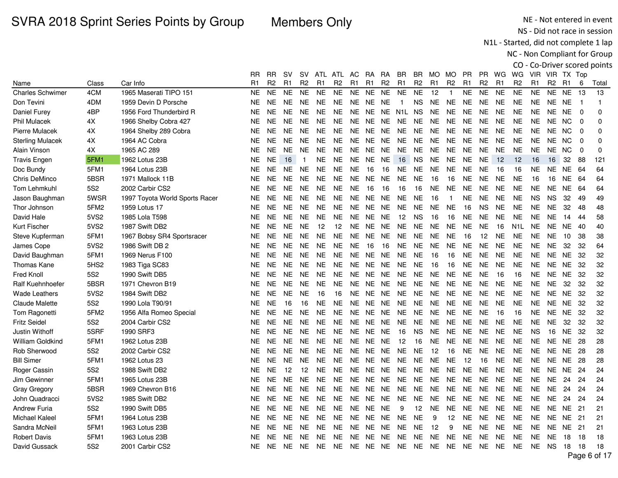Members Only

NE - Not entered in event NS - Did not race in session

N1L - Started, did not complete 1 lap

|                         |                  |                                |           |                |           |                |                |                  |                |                |                |                         |                |                |                |                |                |                |                  |                |                |                 |                | CO - Co-Driver scored points |
|-------------------------|------------------|--------------------------------|-----------|----------------|-----------|----------------|----------------|------------------|----------------|----------------|----------------|-------------------------|----------------|----------------|----------------|----------------|----------------|----------------|------------------|----------------|----------------|-----------------|----------------|------------------------------|
|                         |                  |                                | RR        | <b>RR</b>      | sv        |                |                | SV ATL ATL AC RA |                |                | <b>RA</b>      | BR                      | BR             | MO MO          |                | <b>PR</b>      |                |                | PR WG WG         | VIR VIR TX Top |                |                 |                |                              |
| Name                    | Class            | Car Info                       | R1        | R <sub>2</sub> | R1        | R <sub>2</sub> | R <sub>1</sub> | R <sub>2</sub>   | R <sub>1</sub> | R <sub>1</sub> | R <sub>2</sub> | R <sub>1</sub>          | R <sub>2</sub> | R <sub>1</sub> | R <sub>2</sub> | R <sub>1</sub> | R <sub>2</sub> | R <sub>1</sub> | R <sub>2</sub>   | R <sub>1</sub> | R <sub>2</sub> | R <sub>1</sub>  | 6              | Total                        |
| <b>Charles Schwimer</b> | 4CM              | 1965 Maserati TIPO 151         | <b>NE</b> | <b>NE</b>      | <b>NE</b> | <b>NE</b>      | <b>NE</b>      | <b>NE</b>        | <b>NE</b>      | NE.            | <b>NE</b>      | <b>NE</b>               | <b>NE</b>      | 12             | $\mathbf{1}$   | <b>NE</b>      | NE.            | <b>NE</b>      | <b>NE</b>        | <b>NE</b>      | <b>NE</b>      | <b>NE</b>       | -13            | 13                           |
| Don Tevini              | 4DM              | 1959 Devin D Porsche           | NΕ        | <b>NE</b>      | <b>NE</b> | <b>NE</b>      | NE.            | <b>NE</b>        | <b>NE</b>      | <b>NE</b>      | <b>NE</b>      | $\mathbf{1}$            | <b>NS</b>      | <b>NE</b>      | <b>NE</b>      | <b>NE</b>      | <b>NE</b>      | <b>NE</b>      | <b>NE</b>        | <b>NE</b>      |                | NE NE           | - 1            | $\mathbf{1}$                 |
| <b>Daniel Furey</b>     | 4BP              | 1956 Ford Thunderbird R        | NE.       | <b>NE</b>      | <b>NE</b> | <b>NE</b>      | <b>NE</b>      | <b>NE</b>        |                |                |                | NE NE NE N1L NS         |                | <b>NE</b>      | <b>NE</b>      | <b>NE</b>      | <b>NE</b>      | <b>NE</b>      | <b>NE</b>        | <b>NE</b>      |                | NE NE           | $\overline{0}$ | 0                            |
| <b>Phil Mulacek</b>     | 4X               | 1966 Shelby Cobra 427          | NΕ        | <b>NE</b>      | <b>NE</b> | <b>NE</b>      | <b>NE</b>      | <b>NE</b>        | NE.            | NE             | NE.            | NE.                     | NE.            | NE.            | <b>NE</b>      | <b>NE</b>      | <b>NE</b>      | <b>NE</b>      | <b>NE</b>        | NE.            | NE.            | NC.             | $\Omega$       | 0                            |
| Pierre Mulacek          | 4X               | 1964 Shelby 289 Cobra          | NΕ        | <b>NE</b>      | <b>NE</b> | <b>NE</b>      | <b>NE</b>      | <b>NE</b>        | NE             | NE             | NE.            | NE.                     | <b>NE</b>      | <b>NE</b>      | <b>NE</b>      | <b>NE</b>      | <b>NE</b>      | <b>NE</b>      | <b>NE</b>        | <b>NE</b>      | NE.            | NC.             | $\mathbf{0}$   | 0                            |
| <b>Sterling Mulacek</b> | 4X               | 1964 AC Cobra                  | NE.       | <b>NE</b>      | <b>NE</b> | <b>NE</b>      | <b>NE</b>      | <b>NE</b>        | <b>NE</b>      | <b>NE</b>      | <b>NE</b>      | NE.                     | <b>NE</b>      | <b>NE</b>      | <b>NE</b>      | <b>NE</b>      | NE.            | <b>NE</b>      | <b>NE</b>        | <b>NE</b>      |                | NE NC           | $\mathbf 0$    | $\Omega$                     |
| Alain Vinson            | 4X               | 1965 AC 289                    | NE        | <b>NE</b>      | <b>NE</b> | <b>NE</b>      | <b>NE</b>      | <b>NE</b>        | <b>NE</b>      | <b>NE</b>      | NE.            | <b>NE</b>               | <b>NE</b>      | <b>NE</b>      | <b>NE</b>      | <b>NE</b>      | <b>NE</b>      | <b>NE</b>      | <b>NE</b>        | <b>NE</b>      | <b>NE</b>      | NC.             | $\mathbf 0$    | 0                            |
| <b>Travis Engen</b>     | 5FM1             | 1962 Lotus 23B                 | NE        | <b>NE</b>      | 16        | $\mathbf 1$    | NE             | <b>NE</b>        |                |                | NE NE NE       | 16                      | <b>NS</b>      | <b>NE</b>      | <b>NE</b>      | <b>NE</b>      | <b>NE</b>      | 12             | 12               | 16             | 16             | 32              | -88            | 121                          |
| Doc Bundy               | 5FM1             | 1964 Lotus 23B                 | NΕ        | <b>NE</b>      | <b>NE</b> | <b>NE</b>      | NE.            | <b>NE</b>        | <b>NE</b>      | 16             | 16             | NE.                     | <b>NE</b>      | <b>NE</b>      | <b>NE</b>      | NE             | <b>NE</b>      | 16             | 16               | NE.            |                | NE NE           | - 64           | 64                           |
| Chris DeMinco           | 5BSR             | 1971 Mallock 11B               | NE.       | <b>NE</b>      | <b>NE</b> | <b>NE</b>      | <b>NE</b>      | <b>NE</b>        | <b>NE</b>      | <b>NE</b>      | <b>NE</b>      | NE                      | <b>NE</b>      | 16             | 16             | <b>NE</b>      | NE             | <b>NE</b>      | <b>NE</b>        | 16             | 16             | <b>NE</b>       | -64            | 64                           |
| <b>Tom Lehmkuhl</b>     | 5S <sub>2</sub>  | 2002 Carbir CS2                | NE.       | <b>NE</b>      | <b>NE</b> | <b>NE</b>      | <b>NE</b>      | <b>NE</b>        | <b>NE</b>      | 16             | 16             | 16                      | 16             | <b>NE</b>      | <b>NE</b>      | <b>NE</b>      | NE.            | <b>NE</b>      | <b>NE</b>        | <b>NE</b>      | <b>NE</b>      | <b>NE</b>       | - 64           | 64                           |
| Jason Baughman          | 5WSR             | 1997 Toyota World Sports Racer | <b>NE</b> | <b>NE</b>      | <b>NE</b> | <b>NE</b>      | NE.            | <b>NE</b>        | <b>NE</b>      | <b>NE</b>      | <b>NE</b>      | <b>NE</b>               | <b>NE</b>      | 16             | $\mathbf{1}$   | <b>NE</b>      | <b>NE</b>      | <b>NE</b>      | <b>NE</b>        | <b>NS</b>      | <b>NS</b>      | 32              | -49            | 49                           |
| Thor Johnson            | 5FM <sub>2</sub> | 1959 Lotus 17                  | NΕ        | <b>NE</b>      | <b>NE</b> | <b>NE</b>      | NE.            | <b>NE</b>        |                |                | NE NE NE       | NE.                     | NE.            | <b>NE</b>      | <b>NE</b>      | 16             | <b>NS</b>      | <b>NE</b>      | <b>NE</b>        | <b>NE</b>      | <b>NE</b>      | 32              | -48            | 48                           |
| David Hale              | 5VS2             | 1985 Lola T598                 | NΕ        | <b>NE</b>      | <b>NE</b> | <b>NE</b>      | <b>NE</b>      | <b>NE</b>        | NE             |                | NE NE          | 12                      | <b>NS</b>      | 16             | 16             | <b>NE</b>      | <b>NE</b>      | <b>NE</b>      | <b>NE</b>        | <b>NE</b>      | <b>NE</b>      | 14              | -44            | 58                           |
| Kurt Fischer            | 5VS2             | 1987 Swift DB2                 | NE.       | <b>NE</b>      | <b>NE</b> | <b>NE</b>      | 12             | 12               | NE.            | NE.            | NE.            | NE                      | NE             | NE.            | NE             | <b>NE</b>      | <b>NE</b>      | 16             | N <sub>1</sub> L | NE.            | <b>NE</b>      | NE              | - 40           | 40                           |
| Steve Kupferman         | 5FM1             | 1967 Bobsy SR4 Sportsracer     | NΕ        | <b>NE</b>      | <b>NE</b> | <b>NE</b>      | <b>NE</b>      | <b>NE</b>        | NE.            | NE             | NE.            | NE.                     | <b>NE</b>      | <b>NE</b>      | <b>NE</b>      | 16             | 12             | <b>NE</b>      | <b>NE</b>        | NE.            | <b>NE</b>      | 10              | 38             | 38                           |
| James Cope              | 5VS <sub>2</sub> | 1986 Swift DB 2                | NE.       | <b>NE</b>      | <b>NE</b> | <b>NE</b>      | <b>NE</b>      | <b>NE</b>        | <b>NE</b>      | 16             | 16             | <b>NE</b>               | <b>NE</b>      | <b>NE</b>      | <b>NE</b>      | <b>NE</b>      | <b>NE</b>      | <b>NE</b>      | <b>NE</b>        | <b>NE</b>      | <b>NE</b>      | 32              | 32             | 64                           |
| David Baughman          | 5FM1             | 1969 Nerus F100                | NE.       | <b>NE</b>      | <b>NE</b> | <b>NE</b>      | <b>NE</b>      | NE.              |                |                | NE NE NE       | NE.                     | <b>NE</b>      | 16             | 16             | <b>NE</b>      | <b>NE</b>      | <b>NE</b>      | <b>NE</b>        | <b>NE</b>      |                | NE NE           | - 32           | 32                           |
| Thomas Kane             | 5HS2             | 1983 Tiga SC83                 | NΕ        | <b>NE</b>      | <b>NE</b> | <b>NE</b>      | <b>NE</b>      | <b>NE</b>        | <b>NE</b>      |                | NE NE          | <b>NE</b>               | <b>NE</b>      | 16             | 16             | <b>NE</b>      | <b>NE</b>      | <b>NE</b>      | <b>NE</b>        | <b>NE</b>      |                | NE NE           | 32             | 32                           |
| <b>Fred Knoll</b>       | 5S <sub>2</sub>  | 1990 Swift DB5                 | NE.       | <b>NE</b>      | <b>NE</b> | <b>NE</b>      | <b>NE</b>      | <b>NE</b>        |                | NE NE          | <b>NE</b>      | <b>NE</b>               | <b>NE</b>      | <b>NE</b>      | <b>NE</b>      | <b>NE</b>      | <b>NE</b>      | 16             | 16               | <b>NE</b>      |                | NE NE           | -32            | 32                           |
| Ralf Kuehnhoefer        | 5BSR             | 1971 Chevron B19               | NE.       | <b>NE</b>      | <b>NE</b> | <b>NE</b>      | <b>NE</b>      | <b>NE</b>        | NE             | NE             | NE.            | <b>NE</b>               | <b>NE</b>      | <b>NE</b>      | <b>NE</b>      | <b>NE</b>      | <b>NE</b>      | <b>NE</b>      | <b>NE</b>        | <b>NE</b>      | <b>NE</b>      | 32              | 32             | 32                           |
| <b>Wade Leathers</b>    | 5VS2             | 1984 Swift DB2                 | NΕ        | <b>NE</b>      | <b>NE</b> | <b>NE</b>      | 16             | 16               | <b>NE</b>      | <b>NE</b>      | <b>NE</b>      | <b>NE</b>               | <b>NE</b>      | <b>NE</b>      | <b>NE</b>      | <b>NE</b>      | <b>NE</b>      | <b>NE</b>      | <b>NE</b>        | <b>NE</b>      |                | NE NE           | - 32           | 32                           |
| <b>Claude Malette</b>   | 5S <sub>2</sub>  | 1990 Lola T90/91               | NΕ        | <b>NE</b>      | 16        | 16             | NE.            | NE.              |                |                | NE NE NE       | NE.                     | NE NE          |                | <b>NE</b>      | <b>NE</b>      | <b>NE</b>      | <b>NE</b>      | <b>NE</b>        | <b>NE</b>      |                | <b>NE NE 32</b> |                | 32                           |
| Tom Ragonetti           | 5FM2             | 1956 Alfa Romeo Special        | NE.       | <b>NE</b>      | <b>NE</b> | <b>NE</b>      | NE.            | <b>NE</b>        | NE.            | NE             | NE             | NE.                     | <b>NE</b>      | <b>NE</b>      | <b>NE</b>      | <b>NE</b>      | <b>NE</b>      | 16             | 16               | <b>NE</b>      |                | NE NE           | -32            | 32                           |
| <b>Fritz Seidel</b>     | 5S <sub>2</sub>  | 2004 Carbir CS2                | NE.       | <b>NE</b>      | <b>NE</b> | <b>NE</b>      | <b>NE</b>      | <b>NE</b>        | NE.            | NE             | <b>NE</b>      | NE.                     | NE.            | <b>NE</b>      | NE             | <b>NE</b>      | <b>NE</b>      | <b>NE</b>      | <b>NE</b>        | <b>NE</b>      | <b>NE</b>      | 32              | 32             | 32                           |
| Justin Withoff          | 5SRF             | 1990 SRF3                      | NE.       | <b>NE</b>      | <b>NE</b> | <b>NE</b>      | <b>NE</b>      | <b>NE</b>        | <b>NE</b>      | <b>NE</b>      | <b>NE</b>      | 16                      | <b>NS</b>      | <b>NE</b>      | <b>NE</b>      | <b>NE</b>      | <b>NE</b>      | <b>NE</b>      | <b>NE</b>        | <b>NS</b>      | 16             | <b>NE</b>       | 32             | 32                           |
| <b>William Goldkind</b> | 5FM1             | 1962 Lotus 23B                 | NE.       | <b>NE</b>      | <b>NE</b> | <b>NE</b>      | <b>NE</b>      | <b>NE</b>        | <b>NE</b>      | <b>NE</b>      | <b>NE</b>      | 12                      | 16             | <b>NE</b>      | <b>NE</b>      | <b>NE</b>      | <b>NE</b>      | <b>NE</b>      | <b>NE</b>        | <b>NE</b>      |                | NE NE           | - 28           | 28                           |
| Rob Sherwood            | <b>5S2</b>       | 2002 Carbir CS2                | NE.       | <b>NE</b>      | <b>NE</b> | <b>NE</b>      | <b>NE</b>      | NE.              |                |                | NE NE NE       | NE.                     | <b>NE</b>      | 12             | 16             | <b>NE</b>      | <b>NE</b>      | <b>NE</b>      | <b>NE</b>        | <b>NE</b>      |                | <b>NE NE 28</b> |                | 28                           |
| <b>Bill Simer</b>       | 5FM1             | 1962 Lotus 23                  | NΕ        | <b>NE</b>      | <b>NE</b> | <b>NE</b>      | NE.            | <b>NE</b>        | <b>NE</b>      | NE             | NE             | NE.                     | <b>NE</b>      | <b>NE</b>      | <b>NE</b>      | 12             | 16             | <b>NE</b>      | <b>NE</b>        | <b>NE</b>      |                | NE NE           | -28            | 28                           |
| Roger Cassin            | 5S <sub>2</sub>  | 1988 Swift DB2                 | NE        | <b>NE</b>      | 12        | 12             | <b>NE</b>      | <b>NE</b>        |                |                | NE NE NE       | <b>NE</b>               | NE             | <b>NE</b>      | <b>NE</b>      | <b>NE</b>      | <b>NE</b>      | <b>NE</b>      | <b>NE</b>        | <b>NE</b>      |                | NE NE 24        |                | 24                           |
| Jim Gewinner            | 5FM1             | 1965 Lotus 23B                 | NE.       | <b>NE</b>      | <b>NE</b> | <b>NE</b>      | <b>NE</b>      | <b>NE</b>        | <b>NE</b>      | <b>NE</b>      | NE.            | NE.                     | <b>NE</b>      | <b>NE</b>      | <b>NE</b>      | <b>NE</b>      | <b>NE</b>      | <b>NE</b>      | <b>NE</b>        | <b>NE</b>      | <b>NE</b>      | 24              | -24            | 24                           |
| Gray Gregory            | 5BSR             | 1969 Chevron B16               | NE        | <b>NE</b>      | <b>NE</b> | <b>NE</b>      | <b>NE</b>      | <b>NE</b>        | NE             | NE             | NE             | NE.                     | <b>NE</b>      | <b>NE</b>      | <b>NE</b>      | <b>NE</b>      | <b>NE</b>      | <b>NE</b>      | <b>NE</b>        | <b>NE</b>      | <b>NE</b>      | 24              | -24            | 24                           |
| John Quadracci          | 5VS2             | 1985 Swift DB2                 | NΕ        | <b>NE</b>      | <b>NE</b> | <b>NE</b>      | NE.            | NE.              |                |                | NE NE NE       | NE.                     | <b>NE</b>      | NE.            | NE.            | <b>NE</b>      | <b>NE</b>      | NE.            | <b>NE</b>        | NE.            | NE.            | 24 24           |                | 24                           |
| Andrew Furia            | <b>5S2</b>       | 1990 Swift DB5                 | NE.       | <b>NE</b>      | <b>NE</b> | <b>NE</b>      | NE.            | <b>NE</b>        | <b>NE</b>      | <b>NE</b>      | <b>NE</b>      | 9                       | 12             | <b>NE</b>      | <b>NE</b>      | <b>NE</b>      | <b>NE</b>      | <b>NE</b>      | <b>NE</b>        | <b>NE</b>      |                | NE NE           | -21            | 21                           |
| Michael Kaleel          | 5FM1             | 1964 Lotus 23B                 | NE.       | <b>NE</b>      | <b>NE</b> | <b>NE</b>      | <b>NE</b>      | <b>NE</b>        | NE             | <b>NE</b>      | <b>NE</b>      | NE.                     | <b>NE</b>      | 9              | 12             | <b>NE</b>      | <b>NE</b>      | <b>NE</b>      | <b>NE</b>        | <b>NE</b>      |                | NE NE           | - 21           | 21                           |
| Sandra McNeil           | 5FM1             | 1963 Lotus 23B                 | NE.       | <b>NE</b>      | <b>NE</b> | <b>NE</b>      | <b>NE</b>      | NE.              | <b>NE</b>      | <b>NE</b>      | <b>NE</b>      | NE.                     | <b>NE</b>      | 12             | 9              | <b>NE</b>      | <b>NE</b>      | <b>NE</b>      | <b>NE</b>        | <b>NE</b>      |                | NE NE           | 21             | 21                           |
| <b>Robert Davis</b>     | 5FM1             | 1963 Lotus 23B                 | NE.       | <b>NE</b>      | <b>NE</b> | <b>NE</b>      | <b>NE</b>      | <b>NE</b>        | <b>NE</b>      | <b>NE</b>      | <b>NE</b>      | <b>NE</b>               | <b>NE</b>      | <b>NE</b>      | <b>NE</b>      | <b>NE</b>      | <b>NE</b>      | <b>NE</b>      | <b>NE</b>        | <b>NE</b>      | <b>NE</b>      | 18              | 18             | 18                           |
| David Gussack           | 5S <sub>2</sub>  | 2001 Carbir CS2                | NE.       | NE.            | <b>NE</b> | NE.            | NE             | NE               |                |                |                | NE NE NE NE NE NE NE NE |                |                |                |                | NE.            | NE.            | NE.              | NE.            | <b>NS</b>      | 18              | 18             | 18                           |
|                         |                  |                                |           |                |           |                |                |                  |                |                |                |                         |                |                |                |                |                |                |                  |                |                |                 |                | Page 6 of 17                 |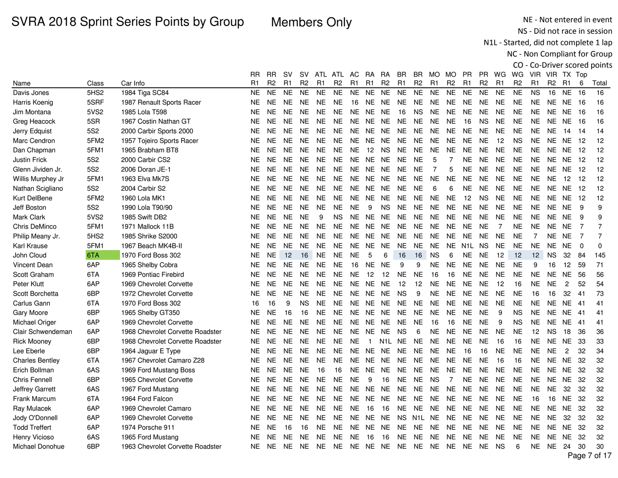Members Only

NE - Not entered in event NS - Did not race in session

N1L - Started, did not complete 1 lap

|                        |                  |                                  |           |           |           |                |           |                |                |                |                |                |                |                |                |                  |                |                |                |                |                |                 |                | CO - Co-Driver scored points |
|------------------------|------------------|----------------------------------|-----------|-----------|-----------|----------------|-----------|----------------|----------------|----------------|----------------|----------------|----------------|----------------|----------------|------------------|----------------|----------------|----------------|----------------|----------------|-----------------|----------------|------------------------------|
|                        |                  |                                  | RR        | <b>RR</b> | <b>SV</b> | <b>SV</b>      | ATL ATL   |                | AC             | RA             | <b>RA</b>      | BR.            | BR             | MO MO          |                | <b>PR</b>        | <b>PR</b>      | WG             | WG             |                | VIR VIR TX Top |                 |                |                              |
| Name                   | Class            | Car Info                         | R1        | R2        | R1        | R <sub>2</sub> | R1        | R <sub>2</sub> | R <sub>1</sub> | R <sub>1</sub> | R <sub>2</sub> | R <sub>1</sub> | R <sub>2</sub> | R <sub>1</sub> | R <sub>2</sub> | R <sub>1</sub>   | R <sub>2</sub> | R1             | R <sub>2</sub> | R1             | R <sub>2</sub> | R <sub>1</sub>  | 6              | Total                        |
| Davis Jones            | 5HS <sub>2</sub> | 1984 Tiga SC84                   | <b>NE</b> | <b>NE</b> | <b>NE</b> | <b>NE</b>      | <b>NE</b> | <b>NE</b>      | <b>NE</b>      | <b>NE</b>      | <b>NE</b>      | <b>NE</b>      | <b>NE</b>      | <b>NE</b>      | <b>NE</b>      | <b>NE</b>        | <b>NE</b>      | <b>NE</b>      | <b>NE</b>      | <b>NS</b>      | 16             | <b>NE</b>       | 16             | 16                           |
| Harris Koenig          | 5SRF             | 1987 Renault Sports Racer        | <b>NE</b> | <b>NE</b> | <b>NE</b> | <b>NE</b>      | <b>NE</b> | <b>NE</b>      | 16             | <b>NE</b>      | <b>NE</b>      | <b>NE</b>      | <b>NE</b>      | <b>NE</b>      | <b>NE</b>      | <b>NE</b>        | NE             | <b>NE</b>      | <b>NE</b>      | <b>NE</b>      | <b>NE</b>      | <b>NE</b>       | 16             | 16                           |
| Jim Montana            | 5VS2             | 1985 Lola T598                   | <b>NE</b> | <b>NE</b> | <b>NE</b> | <b>NE</b>      | <b>NE</b> | <b>NE</b>      | <b>NE</b>      | NE NE          |                | 16             | <b>NS</b>      | <b>NE</b>      | <b>NE</b>      | <b>NE</b>        | <b>NE</b>      | <b>NE</b>      | <b>NE</b>      | <b>NE</b>      |                | <b>NE NE 16</b> |                | 16                           |
| Greg Heacock           | 5SR              | 1967 Costin Nathan GT            | <b>NE</b> | <b>NE</b> | <b>NE</b> | <b>NE</b>      | <b>NE</b> | <b>NE</b>      | NE             | <b>NE</b>      | <b>NE</b>      | <b>NE</b>      | <b>NE</b>      | <b>NE</b>      | <b>NE</b>      | 16               | <b>NS</b>      | <b>NE</b>      | <b>NE</b>      | <b>NE</b>      | <b>NE</b>      | NE.             | -16            | 16                           |
| Jerry Edquist          | 5S2              | 2000 Carbir Sports 2000          | <b>NE</b> | <b>NE</b> | <b>NE</b> | <b>NE</b>      | NE.       | <b>NE</b>      | NE.            | NE.            | <b>NE</b>      | <b>NE</b>      | <b>NE</b>      | <b>NE</b>      | <b>NE</b>      | <b>NE</b>        | <b>NE</b>      | <b>NE</b>      | <b>NE</b>      | <b>NE</b>      | <b>NE</b>      | 14              | 14             | 14                           |
| Marc Cendron           | 5FM2             | 1957 Tojeiro Sports Racer        | <b>NE</b> | <b>NE</b> | <b>NE</b> | <b>NE</b>      | <b>NE</b> | <b>NE</b>      | <b>NE</b>      | <b>NE</b>      | <b>NE</b>      | <b>NE</b>      | <b>NE</b>      | <b>NE</b>      | <b>NE</b>      | <b>NE</b>        | <b>NE</b>      | 12             | <b>NS</b>      | <b>NE</b>      | <b>NE</b>      | <b>NE</b>       | 12             | 12                           |
| Dan Chapman            | 5FM1             | 1965 Brabham BT8                 | <b>NE</b> | <b>NE</b> | <b>NE</b> | <b>NE</b>      | <b>NE</b> | <b>NE</b>      | <b>NE</b>      | 12             | <b>NS</b>      | <b>NE</b>      | <b>NE</b>      | <b>NE</b>      | <b>NE</b>      | <b>NE</b>        | <b>NE</b>      | <b>NE</b>      | <b>NE</b>      | <b>NE</b>      | <b>NE</b>      | <b>NE</b>       | 12             | 12                           |
| <b>Justin Frick</b>    | <b>5S2</b>       | 2000 Carbir CS2                  | <b>NE</b> | <b>NE</b> | <b>NE</b> | <b>NE</b>      | <b>NE</b> | <b>NE</b>      | <b>NE</b>      | NE NE          |                | <b>NE</b>      | <b>NE</b>      | 5              | $\overline{7}$ | <b>NE</b>        | <b>NE</b>      | <b>NE</b>      | <b>NE</b>      | <b>NE</b>      |                | NE NE           | 12             | 12                           |
| Glenn Jividen Jr.      | 5S <sub>2</sub>  | 2006 Doran JE-1                  | <b>NE</b> | <b>NE</b> | <b>NE</b> | <b>NE</b>      | <b>NE</b> | <b>NE</b>      | <b>NE</b>      | <b>NE</b>      | <b>NE</b>      | <b>NE</b>      | <b>NE</b>      | $\overline{7}$ | 5              | NE.              | <b>NE</b>      | <b>NE</b>      | <b>NE</b>      | <b>NE</b>      | <b>NE</b>      | <b>NE</b>       | 12             | 12                           |
| Willis Murphey Jr      | 5FM1             | 1963 Elva Mk7S                   | <b>NE</b> | <b>NE</b> | <b>NE</b> | <b>NE</b>      | <b>NE</b> | <b>NE</b>      | <b>NE</b>      | <b>NE</b>      | <b>NE</b>      | <b>NE</b>      | NE             | <b>NE</b>      | <b>NE</b>      | <b>NE</b>        | <b>NE</b>      | <b>NE</b>      | <b>NE</b>      | <b>NE</b>      | <b>NE</b>      | 12              | 12             | 12                           |
| Nathan Scigliano       | <b>5S2</b>       | 2004 Carbir S2                   | <b>NE</b> | <b>NE</b> | <b>NE</b> | <b>NE</b>      | <b>NE</b> | <b>NE</b>      | <b>NE</b>      | <b>NE</b>      | NE.            | <b>NE</b>      | <b>NE</b>      | 6              | 6              | <b>NE</b>        | <b>NE</b>      | <b>NE</b>      | <b>NE</b>      | <b>NE</b>      | <b>NE</b>      | NE.             | 12             | 12                           |
| Kurt DelBene           | 5FM <sub>2</sub> | 1960 Lola MK1                    | <b>NE</b> | <b>NE</b> | <b>NE</b> | NE.            | <b>NE</b> | <b>NE</b>      | NE.            | <b>NE</b>      | <b>NE</b>      | <b>NE</b>      | <b>NE</b>      | <b>NE</b>      | <b>NE</b>      | 12               | <b>NS</b>      | <b>NE</b>      | <b>NE</b>      | <b>NE</b>      | <b>NE</b>      | <b>NE</b>       | 12             | 12                           |
| Jeff Boston            | <b>5S2</b>       | 1990 Lola T90/90                 | <b>NE</b> | <b>NE</b> | <b>NE</b> | <b>NE</b>      | <b>NE</b> | <b>NE</b>      | <b>NE</b>      | 9              | <b>NS</b>      | NE.            | <b>NE</b>      | <b>NE</b>      | <b>NE</b>      | <b>NE</b>        | <b>NE</b>      | <b>NE</b>      | <b>NE</b>      | <b>NE</b>      |                | NE NE           | 9              | 9                            |
| Mark Clark             | 5VS2             | 1985 Swift DB2                   | <b>NE</b> | <b>NE</b> | <b>NE</b> | <b>NE</b>      | 9         | <b>NS</b>      | NE             | NE.            | NE.            | NE.            | <b>NE</b>      | NE             | <b>NE</b>      | <b>NE</b>        | <b>NE</b>      | <b>NE</b>      | <b>NE</b>      | <b>NE</b>      | <b>NE</b>      | <b>NE</b>       | 9              | 9                            |
| Chris DeMinco          | 5FM1             | 1971 Mallock 11B                 | <b>NE</b> | <b>NE</b> | <b>NE</b> | <b>NE</b>      | <b>NE</b> | <b>NE</b>      | <b>NE</b>      | NE.            | <b>NE</b>      | <b>NE</b>      | <b>NE</b>      | <b>NE</b>      | <b>NE</b>      | <b>NE</b>        | <b>NE</b>      | $\overline{7}$ | <b>NE</b>      | <b>NE</b>      | NE.            | <b>NE</b>       | $\overline{7}$ | $\overline{7}$               |
| Philip Meany Jr.       | 5HS <sub>2</sub> | 1985 Shrike S2000                | <b>NE</b> | <b>NE</b> | <b>NE</b> | <b>NE</b>      | <b>NE</b> | <b>NE</b>      | NE.            | <b>NE</b>      | NE.            | <b>NE</b>      | <b>NE</b>      | <b>NE</b>      | <b>NE</b>      | <b>NE</b>        | NE.            | <b>NE</b>      | <b>NE</b>      | $\overline{7}$ | NE.            | NE.             | $\overline{7}$ | $\overline{7}$               |
| Karl Krause            | 5FM1             | 1967 Beach MK4B-II               | <b>NE</b> | <b>NE</b> | <b>NE</b> | <b>NE</b>      | <b>NE</b> | <b>NE</b>      | <b>NE</b>      | <b>NE</b>      | <b>NE</b>      | <b>NE</b>      | <b>NE</b>      | <b>NE</b>      | <b>NE</b>      | N <sub>1</sub> L | <b>NS</b>      | <b>NE</b>      | <b>NE</b>      | <b>NE</b>      | <b>NE</b>      | <b>NE</b>       | $\mathbf 0$    | $\pmb{0}$                    |
| John Cloud             | 6TA              | 1970 Ford Boss 302               | <b>NE</b> | <b>NE</b> | 12        | 16             | NE.       | <b>NE</b>      | <b>NE</b>      | $\sqrt{5}$     | 6              | 16             | 16             | <b>NS</b>      | 6              | <b>NE</b>        | <b>NE</b>      | 12             | 12             | 12             | <b>NS</b>      | 32              | 84             | 145                          |
| Vincent Dean           | 6AP              | 1965 Shelby Cobra                | <b>NE</b> | <b>NE</b> | <b>NE</b> | <b>NE</b>      | <b>NE</b> | <b>NE</b>      | 16             | <b>NE</b>      | <b>NE</b>      | 9              | 9              | <b>NE</b>      | <b>NE</b>      | <b>NE</b>        | <b>NE</b>      | <b>NE</b>      | <b>NE</b>      | 9              | 16             | 12              | 59             | 71                           |
| Scott Graham           | 6TA              | 1969 Pontiac Firebird            | <b>NE</b> | <b>NE</b> | <b>NE</b> | <b>NE</b>      | <b>NE</b> | <b>NE</b>      | <b>NE</b>      | 12             | 12             | <b>NE</b>      | <b>NE</b>      | 16             | 16             | <b>NE</b>        | <b>NE</b>      | <b>NE</b>      | <b>NE</b>      | <b>NE</b>      | <b>NE</b>      | <b>NE</b>       | 56             | 56                           |
| Peter Klutt            | 6AP              | 1969 Chevrolet Corvette          | <b>NE</b> | <b>NE</b> | <b>NE</b> | NE.            | <b>NE</b> | <b>NE</b>      | <b>NE</b>      | <b>NE</b>      | <b>NE</b>      | 12             | 12             | <b>NE</b>      | <b>NE</b>      | <b>NE</b>        | <b>NE</b>      | 12             | 16             | <b>NE</b>      | <b>NE</b>      | $\overline{c}$  | 52             | 54                           |
| Scott Borchetta        | 6BP              | 1972 Chevrolet Corvette          | <b>NE</b> | <b>NE</b> | <b>NE</b> | <b>NE</b>      | <b>NE</b> | <b>NE</b>      | <b>NE</b>      | <b>NE</b>      | <b>NE</b>      | <b>NS</b>      | 9              | <b>NE</b>      | <b>NE</b>      | <b>NE</b>        | <b>NE</b>      | <b>NE</b>      | <b>NE</b>      | 16             | 16             | 32              | 41             | 73                           |
| Carlus Gann            | 6TA              | 1970 Ford Boss 302               | 16        | 16        | 9         | ΝS             | NE.       | <b>NE</b>      | <b>NE</b>      | NE NE          |                | NE.            | <b>NE</b>      | <b>NE</b>      | <b>NE</b>      | <b>NE</b>        | NE             | <b>NE</b>      | <b>NE</b>      | <b>NE</b>      |                | <b>NE NE 41</b> |                | 41                           |
| Gary Moore             | 6BP              | 1965 Shelby GT350                | <b>NE</b> | <b>NE</b> | 16        | 16             | <b>NE</b> | <b>NE</b>      | <b>NE</b>      | <b>NE</b>      | <b>NE</b>      | <b>NE</b>      | <b>NE</b>      | <b>NE</b>      | <b>NE</b>      | <b>NE</b>        | <b>NE</b>      | 9              | <b>NS</b>      | <b>NE</b>      | <b>NE</b>      | <b>NE</b>       | - 41           | 41                           |
| Michael Origer         | 6AP              | 1969 Chevrolet Corvette          | <b>NE</b> | <b>NE</b> | <b>NE</b> | <b>NE</b>      | NE.       | NE.            | NE.            | NE.            | <b>NE</b>      | <b>NE</b>      | <b>NE</b>      | 16             | 16             | <b>NE</b>        | <b>NE</b>      | 9              | <b>NS</b>      | <b>NE</b>      | NE.            | NE 41           |                | 41                           |
| Clair Schwendeman      | 6AP              | 1968 Chevrolet Corvette Roadster | <b>NE</b> | <b>NE</b> | <b>NE</b> | <b>NE</b>      | <b>NE</b> | <b>NE</b>      | <b>NE</b>      | <b>NE</b>      | <b>NE</b>      | <b>NS</b>      | 6              | <b>NE</b>      | <b>NE</b>      | <b>NE</b>        | <b>NE</b>      | <b>NE</b>      | <b>NE</b>      | 12             | <b>NS</b>      | 18              | 36             | 36                           |
| <b>Rick Mooney</b>     | 6BP              | 1968 Chevrolet Corvette Roadster | <b>NE</b> | <b>NE</b> | <b>NE</b> | <b>NE</b>      | <b>NE</b> | <b>NE</b>      | <b>NE</b>      | $\mathbf{1}$   | N1L            | <b>NE</b>      | <b>NE</b>      | <b>NE</b>      | <b>NE</b>      | <b>NE</b>        | <b>NE</b>      | 16             | 16             | <b>NE</b>      | <b>NE</b>      | <b>NE</b>       | -33            | 33                           |
| Lee Eberle             | 6BP              | 1964 Jaquar E Type               | <b>NE</b> | <b>NE</b> | <b>NE</b> | NE.            | NE.       | <b>NE</b>      | <b>NE</b>      |                | NE NE          | NE.            | <b>NE</b>      | <b>NE</b>      | <b>NE</b>      | 16               | 16             | <b>NE</b>      | <b>NE</b>      | <b>NE</b>      | <b>NE</b>      | $\overline{c}$  | 32             | 34                           |
| <b>Charles Bentley</b> | 6TA              | 1967 Chevrolet Camaro Z28        | <b>NE</b> | <b>NE</b> | <b>NE</b> | NE.            | <b>NE</b> | <b>NE</b>      | NE.            | <b>NE</b>      | <b>NE</b>      | <b>NE</b>      | <b>NE</b>      | <b>NE</b>      | <b>NE</b>      | <b>NE</b>        | <b>NE</b>      | 16             | 16             | <b>NE</b>      | NE.            | <b>NE</b>       | 32             | 32                           |
| Erich Bollman          | 6AS              | 1969 Ford Mustang Boss           | <b>NE</b> | <b>NE</b> | <b>NE</b> | <b>NE</b>      | 16        | 16             | NE.            | NE.            | <b>NE</b>      | NE.            | <b>NE</b>      | <b>NE</b>      | <b>NE</b>      | <b>NE</b>        | <b>NE</b>      | <b>NE</b>      | <b>NE</b>      | <b>NE</b>      |                | NE NE           | -32            | 32                           |
| Chris Fennell          | 6BP              | 1965 Chevrolet Corvette          | <b>NE</b> | <b>NE</b> | <b>NE</b> | <b>NE</b>      | <b>NE</b> | <b>NE</b>      | <b>NE</b>      | 9              | 16             | <b>NE</b>      | <b>NE</b>      | <b>NS</b>      | $\overline{7}$ | <b>NE</b>        | <b>NE</b>      | <b>NE</b>      | <b>NE</b>      | <b>NE</b>      | NE.            | <b>NE</b>       | -32            | 32                           |
| <b>Jeffrey Garrett</b> | 6AS              | 1967 Ford Mustang                | <b>NE</b> | <b>NE</b> | <b>NE</b> | <b>NE</b>      | <b>NE</b> | <b>NE</b>      | NE             | <b>NE</b>      | <b>NE</b>      | <b>NE</b>      | <b>NE</b>      | <b>NE</b>      | <b>NE</b>      | <b>NE</b>        | <b>NE</b>      | <b>NE</b>      | <b>NE</b>      | <b>NE</b>      | <b>NE</b>      | 32              | 32             | 32                           |
| Frank Marcum           | 6TA              | 1964 Ford Falcon                 | <b>NE</b> | <b>NE</b> | <b>NE</b> | <b>NE</b>      | NE.       | <b>NE</b>      | <b>NE</b>      | NE NE          |                | <b>NE</b>      | <b>NE</b>      | <b>NE</b>      | <b>NE</b>      | <b>NE</b>        | <b>NE</b>      | <b>NE</b>      | <b>NE</b>      | 16             | 16             | NE.             | 32             | 32                           |
| Ray Mulacek            | 6AP              | 1969 Chevrolet Camaro            | <b>NE</b> | <b>NE</b> | <b>NE</b> | NE.            | <b>NE</b> | <b>NE</b>      | <b>NE</b>      | 16             | 16             | <b>NE</b>      | <b>NE</b>      | <b>NE</b>      | <b>NE</b>      | <b>NE</b>        | <b>NE</b>      | <b>NE</b>      | <b>NE</b>      | <b>NE</b>      | <b>NE</b>      | <b>NE</b>       | 32             | 32                           |
| Jody O'Donnell         | 6AP              | 1969 Chevrolet Corvette          | <b>NE</b> | <b>NE</b> | <b>NE</b> | <b>NE</b>      | <b>NE</b> | <b>NE</b>      | NE.            | <b>NE</b>      | <b>NE</b>      | <b>NS</b>      | N1L            | <b>NE</b>      | <b>NE</b>      | <b>NE</b>        | <b>NE</b>      | <b>NE</b>      | <b>NE</b>      | <b>NE</b>      | <b>NE</b>      | 32              | 32             | 32                           |
| <b>Todd Treffert</b>   | 6AP              | 1974 Porsche 911                 | <b>NE</b> | <b>NE</b> | 16        | 16             | <b>NE</b> | <b>NE</b>      | NE.            | <b>NE</b>      | <b>NE</b>      | NE.            | <b>NE</b>      | <b>NE</b>      | <b>NE</b>      | <b>NE</b>        | <b>NE</b>      | <b>NE</b>      | <b>NE</b>      | <b>NE</b>      | <b>NE</b>      | <b>NE</b>       | 32             | 32                           |
| Henry Vicioso          | 6AS              | 1965 Ford Mustang                | <b>NE</b> | <b>NE</b> | <b>NE</b> | <b>NE</b>      | <b>NE</b> | <b>NE</b>      | <b>NE</b>      | 16             | 16             | <b>NE</b>      | <b>NE</b>      | <b>NE</b>      | <b>NE</b>      | <b>NE</b>        | <b>NE</b>      | <b>NE</b>      | <b>NE</b>      | <b>NE</b>      | <b>NE</b>      | <b>NE</b>       | 32             | 32                           |
| Michael Donohue        | 6BP              | 1963 Chevrolet Corvette Roadster | <b>NE</b> | <b>NE</b> | <b>NE</b> | NE.            | NE.       | <b>NE</b>      |                | NE NE NE       |                | NE NE          |                | NE.            | <b>NE</b>      | NE.              | NE.            | <b>NS</b>      | 6              | <b>NE</b>      | NE 24          |                 | 30             | 30                           |
|                        |                  |                                  |           |           |           |                |           |                |                |                |                |                |                |                |                |                  |                |                |                |                |                |                 |                | Page 7 of 17                 |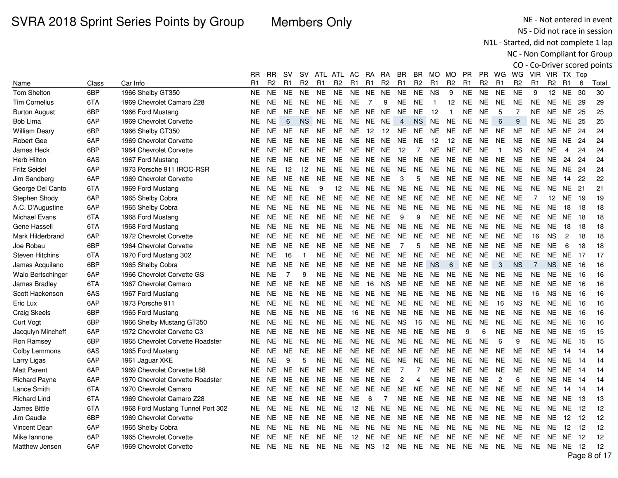Members Only

NE - Not entered in event NS - Did not race in session

N1L - Started, did not complete 1 lap

NC - Non Compliant for Group

|                        |       |                                   | RR.            | RR.            | sv             | sv             |                | ATL ATL         | AC.              | RA             | <b>RA</b>         | BR.            | BR.            | MO.            | MO             | <b>PR</b>      | PR.            | WG             | WG             | VIR.           | VIR.            | TX Top          |      |              |
|------------------------|-------|-----------------------------------|----------------|----------------|----------------|----------------|----------------|-----------------|------------------|----------------|-------------------|----------------|----------------|----------------|----------------|----------------|----------------|----------------|----------------|----------------|-----------------|-----------------|------|--------------|
| Name                   | Class | Car Info                          | R <sub>1</sub> | R <sub>2</sub> | R <sub>1</sub> | R <sub>2</sub> | R <sub>1</sub> | R <sub>2</sub>  | R <sub>1</sub>   | R <sub>1</sub> | R <sub>2</sub>    | R <sub>1</sub> | R <sub>2</sub> | R <sub>1</sub> | R <sub>2</sub> | R <sub>1</sub> | R <sub>2</sub> | R <sub>1</sub> | R <sub>2</sub> | R <sub>1</sub> | R <sub>2</sub>  | R1              | 6    | Total        |
| <b>Tom Shelton</b>     | 6BP   | 1966 Shelby GT350                 | <b>NE</b>      | <b>NE</b>      | <b>NE</b>      | <b>NE</b>      | <b>NE</b>      | <b>NE</b>       | <b>NE</b>        | <b>NE</b>      | <b>NE</b>         | <b>NE</b>      | <b>NE</b>      | <b>NS</b>      | 9              | <b>NE</b>      | <b>NE</b>      | <b>NE</b>      | <b>NE</b>      | 9              | 12              | <b>NE</b>       | 30   | 30           |
| <b>Tim Cornelius</b>   | 6TA   | 1969 Chevrolet Camaro Z28         | NE.            | <b>NE</b>      | <b>NE</b>      | <b>NE</b>      | NE.            | <b>NE</b>       | <b>NE</b>        | $\overline{7}$ | 9                 | <b>NE</b>      | <b>NE</b>      | $\mathbf{1}$   | 12             | <b>NE</b>      | <b>NE</b>      | <b>NE</b>      | <b>NE</b>      | <b>NE</b>      | <b>NE</b>       | <b>NE</b>       | 29   | 29           |
| <b>Burton August</b>   | 6BP   | 1966 Ford Mustang                 | <b>NE</b>      | <b>NE</b>      | <b>NE</b>      | <b>NE</b>      | <b>NE</b>      | <b>NE</b>       | <b>NE</b>        | <b>NE</b>      | <b>NE</b>         | <b>NE</b>      | <b>NE</b>      | 12             | $\mathbf{1}$   | <b>NE</b>      | <b>NE</b>      | 5              | $\overline{7}$ | <b>NE</b>      | <b>NE</b>       | <b>NE</b>       | 25   | 25           |
| Bob Lima               | 6AP   | 1969 Chevrolet Corvette           | NE.            | <b>NE</b>      | 6              | <b>NS</b>      | <b>NE</b>      | <b>NE</b>       |                  | NE NE NE       |                   | $\overline{4}$ | <b>NS</b>      | <b>NE</b>      | <b>NE</b>      | <b>NE</b>      | <b>NE</b>      | $\,6$          | 9              | <b>NE</b>      |                 | <b>NE NE 25</b> |      | 25           |
| <b>William Deary</b>   | 6BP   | 1966 Shelby GT350                 | NE.            | <b>NE</b>      | <b>NE</b>      | NE.            | NE.            | <b>NE</b>       | NE.              | 12             | $12 \overline{ }$ | NE.            | <b>NE</b>      | <b>NE</b>      | NE.            | NE.            | <b>NE</b>      | <b>NE</b>      | <b>NE</b>      | <b>NE</b>      | NE.             | NE 24           |      | 24           |
| Robert Gee             | 6AP   | 1969 Chevrolet Corvette           | <b>NE</b>      | <b>NE</b>      | <b>NE</b>      | NE.            | <b>NE</b>      | <b>NE</b>       | <b>NE</b>        | <b>NE</b>      | <b>NE</b>         | <b>NE</b>      | <b>NE</b>      | 12             | 12             | $N\mathsf{E}$  | <b>NE</b>      | <b>NE</b>      | <b>NE</b>      | NE.            | <b>NE</b>       | NE.             | 24   | 24           |
| James Heck             | 6BP   | 1964 Chevrolet Corvette           | <b>NE</b>      | <b>NE</b>      | <b>NE</b>      | <b>NE</b>      | <b>NE</b>      | <b>NE</b>       | <b>NE</b>        | <b>NE</b>      | <b>NE</b>         | 12             | $\overline{7}$ | <b>NE</b>      | <b>NE</b>      | <b>NE</b>      | <b>NE</b>      | $\overline{1}$ | <b>NS</b>      | <b>NE</b>      | <b>NE</b>       | 4               | 24   | 24           |
| Herb Hilton            | 6AS   | 1967 Ford Mustang                 | NE.            | <b>NE</b>      | <b>NE</b>      | <b>NE</b>      | <b>NE</b>      | <b>NE</b>       | <b>NE</b>        | <b>NE</b>      | <b>NE</b>         | <b>NE</b>      | <b>NE</b>      | <b>NE</b>      | <b>NE</b>      | <b>NE</b>      | <b>NE</b>      | <b>NE</b>      | <b>NE</b>      | <b>NE</b>      | <b>NE</b>       | 24              | 24   | 24           |
| <b>Fritz Seidel</b>    | 6AP   | 1973 Porsche 911 IROC-RSR         | <b>NE</b>      | <b>NE</b>      | 12             | 12             | <b>NE</b>      | <b>NE</b>       | <b>NE</b>        | <b>NE</b>      | <b>NE</b>         | <b>NE</b>      | <b>NE</b>      | <b>NE</b>      | <b>NE</b>      | <b>NE</b>      | <b>NE</b>      | <b>NE</b>      | <b>NE</b>      | <b>NE</b>      | <b>NE</b>       | NE.             | 24   | 24           |
| Jim Sandberg           | 6AP   | 1969 Chevrolet Corvette           | NE.            | <b>NE</b>      | <b>NE</b>      | <b>NE</b>      | <b>NE</b>      | <b>NE</b>       | NE.              | NE             | <b>NE</b>         | 3              | 5              | <b>NE</b>      | <b>NE</b>      | <b>NE</b>      | <b>NE</b>      | <b>NE</b>      | <b>NE</b>      | <b>NE</b>      | <b>NE</b>       | 14              | 22   | 22           |
| George Del Canto       | 6TA   | 1969 Ford Mustang                 | NE.            | <b>NE</b>      | <b>NE</b>      | <b>NE</b>      | 9              | 12 <sup>2</sup> | <b>NE</b>        | NE NE          |                   | <b>NE</b>      | <b>NE</b>      | <b>NE</b>      | <b>NE</b>      | <b>NE</b>      | <b>NE</b>      | <b>NE</b>      | <b>NE</b>      | <b>NE</b>      |                 | <b>NE NE 21</b> |      | 21           |
| Stephen Shody          | 6AP   | 1965 Shelby Cobra                 | NE.            | <b>NE</b>      | <b>NE</b>      | NE.            | <b>NE</b>      | <b>NE</b>       | NE.              | NE             | <b>NE</b>         | <b>NE</b>      | <b>NE</b>      | <b>NE</b>      | <b>NE</b>      | <b>NE</b>      | <b>NE</b>      | <b>NE</b>      | <b>NE</b>      | $\overline{7}$ | 12 <sup>°</sup> | NE.             | 19   | 19           |
| A.C. D'Augustine       | 6AP   | 1965 Shelby Cobra                 | NE.            | <b>NE</b>      | <b>NE</b>      | <b>NE</b>      | <b>NE</b>      | <b>NE</b>       | <b>NE</b>        | NE             | <b>NE</b>         | <b>NE</b>      | <b>NE</b>      | <b>NE</b>      | <b>NE</b>      | <b>NE</b>      | <b>NE</b>      | <b>NE</b>      | <b>NE</b>      | <b>NE</b>      | <b>NE</b>       | 18              | 18   | 18           |
| <b>Michael Evans</b>   | 6TA   | 1968 Ford Mustang                 | <b>NE</b>      | <b>NE</b>      | <b>NE</b>      | <b>NE</b>      | <b>NE</b>      | <b>NE</b>       | <b>NE</b>        | NE NE          |                   | 9              | 9              | <b>NE</b>      | <b>NE</b>      | <b>NE</b>      | <b>NE</b>      | <b>NE</b>      | <b>NE</b>      | <b>NE</b>      | NE.             | <b>NE</b>       | -18  | 18           |
| Gene Hassell           | 6TA   | 1968 Ford Mustang                 | <b>NE</b>      | <b>NE</b>      | <b>NE</b>      | <b>NE</b>      | <b>NE</b>      | <b>NE</b>       | NE.              | NE.            | <b>NE</b>         | <b>NE</b>      | <b>NE</b>      | <b>NE</b>      | <b>NE</b>      | <b>NE</b>      | <b>NE</b>      | <b>NE</b>      | <b>NE</b>      | <b>NE</b>      | <b>NE</b>       | 18              | 18   | 18           |
| Mark Hilderbrand       | 6AP   | 1972 Chevrolet Corvette           | <b>NE</b>      | <b>NE</b>      | <b>NE</b>      | <b>NE</b>      | <b>NE</b>      | <b>NE</b>       | <b>NE</b>        | <b>NE</b>      | <b>NE</b>         | <b>NE</b>      | <b>NE</b>      | <b>NE</b>      | <b>NE</b>      | <b>NE</b>      | <b>NE</b>      | <b>NE</b>      | <b>NE</b>      | 16             | <b>NS</b>       | $\overline{2}$  | 18   | 18           |
| Joe Robau              | 6BP   | 1964 Chevrolet Corvette           | NE.            | <b>NE</b>      | <b>NE</b>      | <b>NE</b>      | <b>NE</b>      | NE.             |                  | NE NE NE       |                   | $\overline{7}$ | 5              | NE.            | <b>NE</b>      | <b>NE</b>      | <b>NE</b>      | <b>NE</b>      | <b>NE</b>      | <b>NE</b>      | <b>NE</b>       | 6               | 18   | 18           |
| <b>Steven Hitchins</b> | 6TA   | 1970 Ford Mustang 302             | NE.            | <b>NE</b>      | 16             | $\mathbf{1}$   | <b>NE</b>      | NE.             | NE.              | NE NE          |                   | <b>NE</b>      | <b>NE</b>      | NE.            | <b>NE</b>      | <b>NE</b>      | <b>NE</b>      | <b>NE</b>      | <b>NE</b>      | <b>NE</b>      | <b>NE</b>       | NE 17           |      | 17           |
| James Acquilano        | 6BP   | 1965 Shelby Cobra                 | <b>NE</b>      | <b>NE</b>      | <b>NE</b>      | <b>NE</b>      | <b>NE</b>      | <b>NE</b>       | <b>NE</b>        |                | NE NE             | <b>NE</b>      | <b>NE</b>      | <b>NS</b>      | $\,6\,$        | <b>NE</b>      | <b>NE</b>      | $\mathbf{3}$   | <b>NS</b>      | $\overline{7}$ | <b>NS</b>       | NE              | 16   | 16           |
| Walo Bertschinger      | 6AP   | 1966 Chevrolet Corvette GS        | NE.            | <b>NE</b>      | $\overline{7}$ | 9              | <b>NE</b>      | <b>NE</b>       | <b>NE</b>        | NE             | <b>NE</b>         | <b>NE</b>      | <b>NE</b>      | NE.            | <b>NE</b>      | <b>NE</b>      | <b>NE</b>      | <b>NE</b>      | <b>NE</b>      | <b>NE</b>      | <b>NE</b>       | <b>NE</b>       | 16   | 16           |
| James Bradley          | 6TA   | 1967 Chevrolet Camaro             | NE.            | <b>NE</b>      | <b>NE</b>      | <b>NE</b>      | <b>NE</b>      | <b>NE</b>       | <b>NE</b>        | 16             | <b>NS</b>         | <b>NE</b>      | <b>NE</b>      | <b>NE</b>      | <b>NE</b>      | <b>NE</b>      | <b>NE</b>      | <b>NE</b>      | <b>NE</b>      | <b>NE</b>      | NE.             | <b>NE</b>       | 16   | 16           |
| Scott Hackenson        | 6AS   | 1967 Ford Mustang                 | <b>NE</b>      | <b>NE</b>      | <b>NE</b>      | <b>NE</b>      | <b>NE</b>      | <b>NE</b>       | <b>NE</b>        | <b>NE</b>      | <b>NE</b>         | <b>NE</b>      | <b>NE</b>      | <b>NE</b>      | <b>NE</b>      | <b>NE</b>      | <b>NE</b>      | <b>NE</b>      | <b>NE</b>      | 16             | <b>NS</b>       | <b>NE</b>       | 16   | 16           |
| Eric Lux               | 6AP   | 1973 Porsche 911                  | NE.            | <b>NE</b>      | <b>NE</b>      | <b>NE</b>      | <b>NE</b>      | <b>NE</b>       | <b>NE</b>        | <b>NE</b>      | <b>NE</b>         | <b>NE</b>      | <b>NE</b>      | <b>NE</b>      | <b>NE</b>      | <b>NE</b>      | <b>NE</b>      | 16             | <b>NS</b>      | NE.            | <b>NE</b>       | <b>NE</b>       | 16   | 16           |
| Craig Skeels           | 6BP   | 1965 Ford Mustang                 | NE.            | <b>NE</b>      | <b>NE</b>      | <b>NE</b>      | <b>NE</b>      | <b>NE</b>       | 16               |                | NE NE             | <b>NE</b>      | <b>NE</b>      | <b>NE</b>      | <b>NE</b>      | <b>NE</b>      | <b>NE</b>      | <b>NE</b>      | <b>NE</b>      | <b>NE</b>      |                 | NE NE           | -16  | 16           |
| <b>Curt Vogt</b>       | 6BP   | 1966 Shelby Mustang GT350         | NE.            | <b>NE</b>      | <b>NE</b>      | NE.            | <b>NE</b>      | <b>NE</b>       | <b>NE</b>        | NE             | <b>NE</b>         | <b>NS</b>      | 16             | <b>NE</b>      | <b>NE</b>      | <b>NE</b>      | <b>NE</b>      | <b>NE</b>      | <b>NE</b>      | <b>NE</b>      | NE              | NE              | -16  | 16           |
| Jacqulyn Mincheff      | 6AP   | 1972 Chevrolet Corvette C3        | <b>NE</b>      | <b>NE</b>      | <b>NE</b>      | <b>NE</b>      | <b>NE</b>      | <b>NE</b>       | <b>NE</b>        | <b>NE</b>      | <b>NE</b>         | <b>NE</b>      | <b>NE</b>      | <b>NE</b>      | <b>NE</b>      | 9              | 6              | <b>NE</b>      | <b>NE</b>      | <b>NE</b>      | <b>NE</b>       | NE              | 15   | 15           |
| Ron Ramsey             | 6BP   | 1965 Chevrolet Corvette Roadster  | <b>NE</b>      | <b>NE</b>      | <b>NE</b>      | <b>NE</b>      | <b>NE</b>      | <b>NE</b>       | NE.              |                | NE NE             | <b>NE</b>      | <b>NE</b>      | <b>NE</b>      | <b>NE</b>      | <b>NE</b>      | <b>NE</b>      | 6              | 9              | <b>NE</b>      | <b>NE</b>       | <b>NE</b>       | -15  | 15           |
| Colby Lemmons          | 6AS   | 1965 Ford Mustang                 | <b>NE</b>      | <b>NE</b>      | <b>NE</b>      | <b>NE</b>      | NE.            | <b>NE</b>       | NE.              | <b>NE</b>      | <b>NE</b>         | <b>NE</b>      | <b>NE</b>      | <b>NE</b>      | <b>NE</b>      | <b>NE</b>      | <b>NE</b>      | <b>NE</b>      | <b>NE</b>      | <b>NE</b>      | NE.             | 14              | 14   | 14           |
| Larry Ligas            | 6AP   | 1961 Jaguar XKE                   | <b>NE</b>      | <b>NE</b>      | 9              | 5              | <b>NE</b>      | <b>NE</b>       | <b>NE</b>        | <b>NE</b>      | <b>NE</b>         | <b>NE</b>      | <b>NE</b>      | <b>NE</b>      | <b>NE</b>      | <b>NE</b>      | <b>NE</b>      | <b>NE</b>      | <b>NE</b>      | <b>NE</b>      | <b>NE</b>       | <b>NE</b>       | 14   | 14           |
| <b>Matt Parent</b>     | 6AP   | 1969 Chevrolet Corvette L88       | NE.            | <b>NE</b>      | <b>NE</b>      | <b>NE</b>      | <b>NE</b>      | <b>NE</b>       | NE.              | NE NE          |                   | $\overline{7}$ | $\overline{7}$ | <b>NE</b>      | <b>NE</b>      | <b>NE</b>      | <b>NE</b>      | <b>NE</b>      | <b>NE</b>      | <b>NE</b>      | <b>NE</b>       | NE              | - 14 | 14           |
| <b>Richard Payne</b>   | 6AP   | 1970 Chevrolet Corvette Roadster  | NE.            | <b>NE</b>      | <b>NE</b>      | NE.            | <b>NE</b>      | NE.             | NE.              | NE NE          |                   | $\overline{2}$ | 4              | NE             | NE             | <b>NE</b>      | <b>NE</b>      | $\overline{c}$ | 6              | NE             |                 | NE NE           | - 14 | 14           |
| Lance Smith            | 6TA   | 1970 Chevrolet Camaro             | NE.            | <b>NE</b>      | <b>NE</b>      | NE.            | <b>NE</b>      | <b>NE</b>       | <b>NE</b>        | <b>NE</b>      | <b>NE</b>         | <b>NE</b>      | <b>NE</b>      | <b>NE</b>      | <b>NE</b>      | <b>NE</b>      | <b>NE</b>      | <b>NE</b>      | <b>NE</b>      | NE.            | <b>NE</b>       | 14              | 14   | 14           |
| <b>Richard Lind</b>    | 6TA   | 1969 Chevrolet Camaro Z28         | NE.            | <b>NE</b>      | <b>NE</b>      | <b>NE</b>      | <b>NE</b>      | <b>NE</b>       | <b>NE</b>        | 6              | $\overline{7}$    | <b>NE</b>      | <b>NE</b>      | <b>NE</b>      | <b>NE</b>      | <b>NE</b>      | <b>NE</b>      | <b>NE</b>      | <b>NE</b>      | NE.            | <b>NE</b>       | NE.             | -13  | 13           |
| James Bittle           | 6TA   | 1968 Ford Mustang Tunnel Port 302 | NE.            | <b>NE</b>      | <b>NE</b>      | <b>NE</b>      | <b>NE</b>      | <b>NE</b>       | 12               | <b>NE</b>      | <b>NE</b>         | <b>NE</b>      | <b>NE</b>      | <b>NE</b>      | <b>NE</b>      | <b>NE</b>      | <b>NE</b>      | <b>NE</b>      | <b>NE</b>      | <b>NE</b>      | NE.             | <b>NE</b>       | -12  | 12           |
| Jim Caudle             | 6BP   | 1969 Chevrolet Corvette           | NE.            | <b>NE</b>      | <b>NE</b>      | <b>NE</b>      | <b>NE</b>      | <b>NE</b>       | <b>NE</b>        | <b>NE</b>      | <b>NE</b>         | <b>NE</b>      | <b>NE</b>      | <b>NE</b>      | <b>NE</b>      | <b>NE</b>      | <b>NE</b>      | <b>NE</b>      | <b>NE</b>      | <b>NE</b>      | <b>NE</b>       | 12              | 12   | 12           |
| Vincent Dean           | 6AP   | 1965 Shelby Cobra                 | NE.            | <b>NE</b>      | <b>NE</b>      | <b>NE</b>      | <b>NE</b>      | <b>NE</b>       | <b>NE</b>        | <b>NE</b>      | <b>NE</b>         | <b>NE</b>      | <b>NE</b>      | <b>NE</b>      | <b>NE</b>      | <b>NE</b>      | <b>NE</b>      | <b>NE</b>      | <b>NE</b>      | <b>NE</b>      | <b>NE</b>       | 12              | 12   | 12           |
| Mike lannone           | 6AP   | 1965 Chevrolet Corvette           | NE.            | <b>NE</b>      | <b>NE</b>      | <b>NE</b>      | <b>NE</b>      | <b>NE</b>       | 12 <sup>12</sup> |                | NE NE             | <b>NE</b>      | <b>NE</b>      | <b>NE</b>      | <b>NE</b>      | <b>NE</b>      | <b>NE</b>      | <b>NE</b>      | <b>NE</b>      | <b>NE</b>      | <b>NE</b>       | <b>NE</b>       | 12   | 12           |
| Matthew Jensen         | 6AP   | 1969 Chevrolet Corvette           | <b>NE</b>      | <b>NE</b>      | <b>NE</b>      | NE.            | <b>NE</b>      | NE.             | NE NS            |                | $12 \overline{ }$ | NE.            | <b>NE</b>      | NE.            | <b>NE</b>      | <b>NE</b>      | <b>NE</b>      | NE.            | <b>NE</b>      | NE.            |                 | NE NE           | -12  | 12           |
|                        |       |                                   |                |                |                |                |                |                 |                  |                |                   |                |                |                |                |                |                |                |                |                |                 |                 |      | Page 8 of 17 |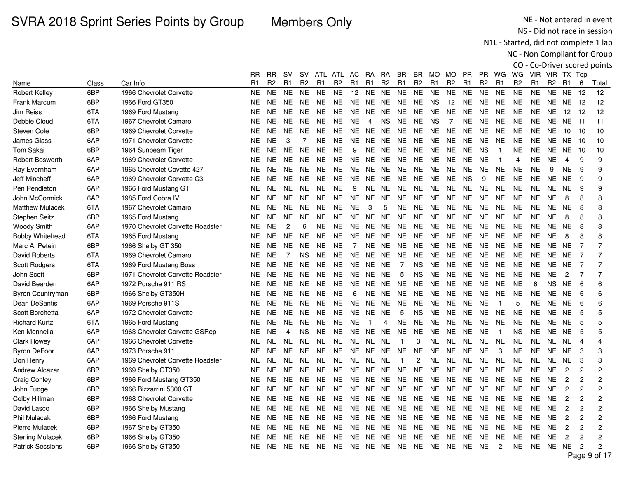Members Only

NE - Not entered in event NS - Did not race in session

N1L - Started, did not complete 1 lap

|                         |       |                                  |           |           |                       |                |                |                |                |           |                |                |                |                |                |                |                |                |                |           |                |                |                | CO - Co-Driver scored points |
|-------------------------|-------|----------------------------------|-----------|-----------|-----------------------|----------------|----------------|----------------|----------------|-----------|----------------|----------------|----------------|----------------|----------------|----------------|----------------|----------------|----------------|-----------|----------------|----------------|----------------|------------------------------|
|                         |       |                                  | RR        | <b>RR</b> | .SV                   | SV.            |                | ATL ATL        | AC.            | RA.       | RA.            | BR             | BR.            |                | MO MO          | <b>PR</b>      | <b>PR</b>      | WG             | WG             |           | VIR VIR TX Top |                |                |                              |
| Name                    | Class | Car Info                         | R1        | R2        | R <sub>1</sub>        | R <sub>2</sub> | R <sub>1</sub> | R <sub>2</sub> | R <sub>1</sub> | R1        | R <sub>2</sub> | R <sub>1</sub> | R2             | R <sub>1</sub> | R <sub>2</sub> | R <sub>1</sub> | R <sub>2</sub> | R <sub>1</sub> | R <sub>2</sub> | R1        | R <sub>2</sub> | R <sub>1</sub> | 6              | Total                        |
| <b>Robert Kelley</b>    | 6BP   | 1966 Chevrolet Corvette          | <b>NE</b> | <b>NE</b> | <b>NE</b>             | <b>NE</b>      | <b>NE</b>      | <b>NE</b>      | 12             | <b>NE</b> | <b>NE</b>      | <b>NE</b>      | <b>NE</b>      | <b>NE</b>      | <b>NE</b>      | <b>NE</b>      | <b>NE</b>      | <b>NE</b>      | <b>NE</b>      | <b>NE</b> | <b>NE</b>      | <b>NE</b>      | 12             | 12                           |
| Frank Marcum            | 6BP   | 1966 Ford GT350                  | <b>NE</b> | NE.       | <b>NE</b>             | <b>NE</b>      | NE.            | <b>NE</b>      | <b>NE</b>      | NE.       | NE.            | NE.            | NE.            | <b>NS</b>      | 12             | NE.            | <b>NE</b>      | NE.            | <b>NE</b>      | NE.       | NE             | NE.            | 12             | 12                           |
| Jim Reiss               | 6TA   | 1969 Ford Mustang                | <b>NE</b> | <b>NE</b> | <b>NE</b>             | <b>NE</b>      | <b>NE</b>      | <b>NE</b>      | <b>NE</b>      | <b>NE</b> | <b>NE</b>      | <b>NE</b>      | <b>NE</b>      | <b>NE</b>      | <b>NE</b>      | <b>NE</b>      | <b>NE</b>      | <b>NE</b>      | <b>NE</b>      | <b>NE</b> | <b>NE</b>      | 12             | 12             | 12                           |
| Debbie Cloud            | 6TA   | 1967 Chevrolet Camaro            | NE        | <b>NE</b> | NE.                   | <b>NE</b>      | NE.            | <b>NE</b>      | <b>NE</b>      | 4         | <b>NS</b>      | <b>NE</b>      | <b>NE</b>      | <b>NS</b>      | $\overline{7}$ | <b>NE</b>      | <b>NE</b>      | <b>NE</b>      | NE.            | NE.       | NE.            | NE 11          |                | 11                           |
| Steven Cole             | 6BP   | 1969 Chevrolet Corvette          | NE.       | NE.       | <b>NE</b>             | <b>NE</b>      | <b>NE</b>      | <b>NE</b>      | <b>NE</b>      | <b>NE</b> | <b>NE</b>      | <b>NE</b>      | <b>NE</b>      | <b>NE</b>      | <b>NE</b>      | <b>NE</b>      | <b>NE</b>      | <b>NE</b>      | <b>NE</b>      | <b>NE</b> | <b>NE</b>      | 10             | 10             | 10                           |
| James Glass             | 6AP   | 1971 Chevrolet Corvette          | <b>NE</b> | <b>NE</b> | 3                     | 7              | NE             | <b>NE</b>      | <b>NE</b>      | NE.       | <b>NE</b>      | <b>NE</b>      | <b>NE</b>      | <b>NE</b>      | <b>NE</b>      | <b>NE</b>      | <b>NE</b>      | <b>NE</b>      | <b>NE</b>      | NE.       | NE.            | NE.            | 10             | 10                           |
| <b>Tom Sakai</b>        | 6BP   | 1964 Sunbeam Tiger               | NE.       | <b>NE</b> | <b>NE</b>             | <b>NE</b>      | <b>NE</b>      | <b>NE</b>      | 9              | <b>NE</b> | NE.            | <b>NE</b>      | <b>NE</b>      | <b>NE</b>      | <b>NE</b>      | <b>NE</b>      | <b>NS</b>      | $\overline{1}$ | <b>NE</b>      | <b>NE</b> | NE.            | <b>NE</b>      | 10             | 10                           |
| Robert Bosworth         | 6AP   | 1969 Chevrolet Corvette          | <b>NE</b> | <b>NE</b> | <b>NE</b>             | <b>NE</b>      | <b>NE</b>      | <b>NE</b>      | <b>NE</b>      | <b>NE</b> | <b>NE</b>      | <b>NE</b>      | <b>NE</b>      | <b>NE</b>      | <b>NE</b>      | <b>NE</b>      | <b>NE</b>      | -1             | 4              | <b>NE</b> | <b>NE</b>      | $\overline{4}$ | 9              | 9                            |
| Ray Evernham            | 6AP   | 1965 Chevrolet Covette 427       | NE        | <b>NE</b> | <b>NE</b>             | <b>NE</b>      | <b>NE</b>      | <b>NE</b>      | NE.            | <b>NE</b> | <b>NE</b>      | NE.            | <b>NE</b>      | <b>NE</b>      | <b>NE</b>      | <b>NE</b>      | <b>NE</b>      | <b>NE</b>      | <b>NE</b>      | <b>NE</b> | 9              | <b>NE</b>      | 9              | 9                            |
| Jeff Mincheff           | 6AP   | 1969 Chevrolet Corvette C3       | NE.       | NE.       | <b>NE</b>             | <b>NE</b>      | NE.            | <b>NE</b>      | <b>NE</b>      | <b>NE</b> | NE.            | <b>NE</b>      | <b>NE</b>      | <b>NE</b>      | <b>NE</b>      | <b>NS</b>      | 9              | <b>NE</b>      | <b>NE</b>      | NE.       | NE.            | <b>NE</b>      | 9              | 9                            |
| Pen Pendleton           | 6AP   | 1966 Ford Mustang GT             | <b>NE</b> | <b>NE</b> | <b>NE</b>             | <b>NE</b>      | <b>NE</b>      | <b>NE</b>      | 9              | <b>NE</b> | <b>NE</b>      | <b>NE</b>      | <b>NE</b>      | <b>NE</b>      | <b>NE</b>      | <b>NE</b>      | <b>NE</b>      | <b>NE</b>      | <b>NE</b>      | <b>NE</b> | NE.            | <b>NE</b>      | 9              | 9                            |
| John McCormick          | 6AP   | 1985 Ford Cobra IV               | <b>NE</b> | <b>NE</b> | <b>NE</b>             | NE             | <b>NE</b>      | <b>NE</b>      | <b>NE</b>      | NE.       | <b>NE</b>      | <b>NE</b>      | <b>NE</b>      | <b>NE</b>      | <b>NE</b>      | <b>NE</b>      | <b>NE</b>      | <b>NE</b>      | <b>NE</b>      | <b>NE</b> | <b>NE</b>      | 8              | 8              | 8                            |
| <b>Matthew Mulacek</b>  | 6TA   | 1967 Chevrolet Camaro            | <b>NE</b> | <b>NE</b> | <b>NE</b>             | <b>NE</b>      | <b>NE</b>      | <b>NE</b>      | <b>NE</b>      | 3         | 5              | <b>NE</b>      | <b>NE</b>      | <b>NE</b>      | <b>NE</b>      | <b>NE</b>      | <b>NE</b>      | <b>NE</b>      | <b>NE</b>      | <b>NE</b> | <b>NE</b>      | <b>NE</b>      | 8              | 8                            |
| <b>Stephen Seitz</b>    | 6BP   | 1965 Ford Mustang                | <b>NE</b> | <b>NE</b> | <b>NE</b>             | <b>NE</b>      | <b>NE</b>      | <b>NE</b>      | <b>NE</b>      | <b>NE</b> | <b>NE</b>      | <b>NE</b>      | <b>NE</b>      | <b>NE</b>      | <b>NE</b>      | <b>NE</b>      | <b>NE</b>      | <b>NE</b>      | <b>NE</b>      | NE.       | <b>NE</b>      | 8              | 8              | 8                            |
| <b>Woody Smith</b>      | 6AP   | 1970 Chevrolet Corvette Roadster | <b>NE</b> | <b>NE</b> | $\overline{c}$        | 6              | NE.            | <b>NE</b>      | <b>NE</b>      |           | NE NE          | <b>NE</b>      | <b>NE</b>      | <b>NE</b>      | <b>NE</b>      | <b>NE</b>      | <b>NE</b>      | <b>NE</b>      | <b>NE</b>      | <b>NE</b> | NE.            | <b>NE</b>      | 8              | 8                            |
| <b>Bobby Whitehead</b>  | 6TA   | 1965 Ford Mustang                | NE        | NE.       | <b>NE</b>             | NE             | NE.            | <b>NE</b>      | <b>NE</b>      | NE.       | <b>NE</b>      | NE.            | NE.            | <b>NE</b>      | <b>NE</b>      | <b>NE</b>      | <b>NE</b>      | <b>NE</b>      | <b>NE</b>      | <b>NE</b> | <b>NE</b>      | 8              | 8              | 8                            |
| Marc A. Petein          | 6BP   | 1966 Shelby GT 350               | <b>NE</b> | NE.       | <b>NE</b>             | <b>NE</b>      | <b>NE</b>      | <b>NE</b>      | $\overline{7}$ | <b>NE</b> | <b>NE</b>      | <b>NE</b>      | <b>NE</b>      | <b>NE</b>      | <b>NE</b>      | <b>NE</b>      | <b>NE</b>      | <b>NE</b>      | <b>NE</b>      | <b>NE</b> | NE.            | <b>NE</b>      | 7              | 7                            |
| David Roberts           | 6TA   | 1969 Chevrolet Camaro            | NE        | <b>NE</b> | $\overline{7}$        | <b>NS</b>      | NΕ             | <b>NE</b>      | <b>NE</b>      | NE.       | <b>NE</b>      | <b>NE</b>      | NE.            | <b>NE</b>      | <b>NE</b>      | <b>NE</b>      | <b>NE</b>      | <b>NE</b>      | <b>NE</b>      | <b>NE</b> | NE.            | <b>NE</b>      | $\overline{7}$ | $\overline{7}$               |
| Scott Rodgers           | 6TA   | 1969 Ford Mustang Boss           | <b>NE</b> | <b>NE</b> | <b>NE</b>             | <b>NE</b>      | NE             | <b>NE</b>      | <b>NE</b>      | <b>NE</b> | <b>NE</b>      | $\overline{7}$ | <b>NS</b>      | <b>NE</b>      | <b>NE</b>      | <b>NE</b>      | <b>NE</b>      | <b>NE</b>      | <b>NE</b>      | <b>NE</b> | NE.            | <b>NE</b>      | $\overline{7}$ | $\overline{7}$               |
| John Scott              | 6BP   | 1971 Chevrolet Corvette Roadster | <b>NE</b> | NE.       | <b>NE</b>             | <b>NE</b>      | <b>NE</b>      | <b>NE</b>      | <b>NE</b>      | <b>NE</b> | <b>NE</b>      | 5              | <b>NS</b>      | <b>NE</b>      | <b>NE</b>      | <b>NE</b>      | <b>NE</b>      | <b>NE</b>      | <b>NE</b>      | <b>NE</b> | <b>NE</b>      | $\overline{c}$ | $\overline{7}$ | $\overline{7}$               |
| David Bearden           | 6AP   | 1972 Porsche 911 RS              | NE.       | NE.       | <b>NE</b>             | <b>NE</b>      | NE.            | <b>NE</b>      | NE.            | <b>NE</b> | NE.            | NE.            | <b>NE</b>      | <b>NE</b>      | <b>NE</b>      | <b>NE</b>      | <b>NE</b>      | <b>NE</b>      | <b>NE</b>      | 6         | <b>NS</b>      | <b>NE</b>      | 6              | 6                            |
| <b>Byron Countryman</b> | 6BP   | 1966 Shelby GT350H               | NE.       | NE.       | <b>NE</b>             | <b>NE</b>      | NE.            | <b>NE</b>      | 6              | <b>NE</b> | NE             | $N\mathsf{E}$  | <b>NE</b>      | $N\mathsf{E}$  | <b>NE</b>      | <b>NE</b>      | <b>NE</b>      | <b>NE</b>      | <b>NE</b>      | <b>NE</b> | NE.            | <b>NE</b>      | 6              | 6                            |
| Dean DeSantis           | 6AP   | 1969 Porsche 911S                | <b>NE</b> | <b>NE</b> | <b>NE</b>             | <b>NE</b>      | <b>NE</b>      | <b>NE</b>      | <b>NE</b>      | <b>NE</b> | <b>NE</b>      | <b>NE</b>      | <b>NE</b>      | <b>NE</b>      | <b>NE</b>      | <b>NE</b>      | <b>NE</b>      | -1             | 5              | <b>NE</b> | NE.            | <b>NE</b>      | 6              | 6                            |
| Scott Borchetta         | 6AP   | 1972 Chevrolet Corvette          | NE.       | <b>NE</b> | <b>NE</b>             | <b>NE</b>      | NE.            | <b>NE</b>      | <b>NE</b>      | NE.       | <b>NE</b>      | 5              | <b>NS</b>      | <b>NE</b>      | <b>NE</b>      | <b>NE</b>      | <b>NE</b>      | NE.            | <b>NE</b>      | <b>NE</b> | NE.            | <b>NE</b>      | 5              | 5                            |
| <b>Richard Kurtz</b>    | 6TA   | 1965 Ford Mustang                | <b>NE</b> | <b>NE</b> | <b>NE</b>             | <b>NE</b>      | <b>NE</b>      | <b>NE</b>      | <b>NE</b>      | -1        | 4              | <b>NE</b>      | <b>NE</b>      | <b>NE</b>      | <b>NE</b>      | <b>NE</b>      | <b>NE</b>      | <b>NE</b>      | <b>NE</b>      | <b>NE</b> | <b>NE</b>      | <b>NE</b>      | 5              | 5                            |
| Ken Mennella            | 6AP   | 1963 Chevrolet Corvette GSRep    | NE.       | <b>NE</b> | $\boldsymbol{\Delta}$ | <b>NS</b>      | NE.            | <b>NE</b>      |                | NE NE NE  |                | <b>NE</b>      | <b>NE</b>      | <b>NE</b>      | <b>NE</b>      | <b>NE</b>      | <b>NE</b>      | -1             | <b>NS</b>      | <b>NE</b> | NE.            | <b>NE</b>      | 5              | 5                            |
| <b>Clark Howey</b>      | 6AP   | 1966 Chevrolet Corvette          | NE.       | NE.       | <b>NE</b>             | <b>NE</b>      | NE.            | <b>NE</b>      | NE.            |           | NE NE          | -1             | 3              | <b>NE</b>      | NE.            | <b>NE</b>      | NE.            | <b>NE</b>      | <b>NE</b>      | NE.       | NE.            | <b>NE</b>      | $\overline{4}$ | 4                            |
| <b>Byron DeFoor</b>     | 6AP   | 1973 Porsche 911                 | <b>NE</b> | NE.       | <b>NE</b>             | <b>NE</b>      | <b>NE</b>      | <b>NE</b>      | <b>NE</b>      | <b>NE</b> | <b>NE</b>      | <b>NE</b>      | <b>NE</b>      | <b>NE</b>      | <b>NE</b>      | <b>NE</b>      | <b>NE</b>      | 3              | <b>NE</b>      | NE.       | NE.            | <b>NE</b>      | 3              | 3                            |
| Don Henry               | 6AP   | 1969 Chevrolet Corvette Roadster | <b>NE</b> | <b>NE</b> | <b>NE</b>             | <b>NE</b>      | <b>NE</b>      | <b>NE</b>      | NE.            | <b>NE</b> | <b>NE</b>      | -1             | $\overline{c}$ | <b>NE</b>      | <b>NE</b>      | <b>NE</b>      | NE.            | <b>NE</b>      | <b>NE</b>      | NE.       | NE.            | <b>NE</b>      | 3              | 3                            |
| Andrew Alcazar          | 6BP   | 1969 Shelby GT350                | NE.       | <b>NE</b> | <b>NE</b>             | <b>NE</b>      | NE.            | <b>NE</b>      | <b>NE</b>      | <b>NE</b> | <b>NE</b>      | <b>NE</b>      | <b>NE</b>      | <b>NE</b>      | <b>NE</b>      | <b>NE</b>      | <b>NE</b>      | <b>NE</b>      | <b>NE</b>      | <b>NE</b> | <b>NE</b>      | $\overline{c}$ | $\overline{c}$ | $\overline{c}$               |
| <b>Craig Conley</b>     | 6BP   | 1966 Ford Mustang GT350          | NE        | <b>NE</b> | <b>NE</b>             | <b>NE</b>      | <b>NE</b>      | <b>NE</b>      | <b>NE</b>      | <b>NE</b> | <b>NE</b>      | <b>NE</b>      | <b>NE</b>      | <b>NE</b>      | <b>NE</b>      | <b>NE</b>      | <b>NE</b>      | <b>NE</b>      | <b>NE</b>      | <b>NE</b> | <b>NE</b>      | $\overline{c}$ | $\overline{c}$ | 2                            |
| John Fudge              | 6BP   | 1966 Bizzarrini 5300 GT          | NE.       | <b>NE</b> | NE.                   | <b>NE</b>      | NE.            | NE.            | <b>NE</b>      | NE.       | NE.            | <b>NE</b>      | NE.            | <b>NE</b>      | <b>NE</b>      | <b>NE</b>      | <b>NE</b>      | <b>NE</b>      | NE.            | <b>NE</b> | <b>NE</b>      | $\overline{2}$ | $\overline{2}$ | $\overline{c}$               |
| Colby Hillman           | 6BP   | 1968 Chevrolet Corvette          | NE.       | <b>NE</b> | <b>NE</b>             | <b>NE</b>      | <b>NE</b>      | <b>NE</b>      | <b>NE</b>      | <b>NE</b> | <b>NE</b>      | <b>NE</b>      | <b>NE</b>      | <b>NE</b>      | <b>NE</b>      | <b>NE</b>      | <b>NE</b>      | <b>NE</b>      | <b>NE</b>      | <b>NE</b> | <b>NE</b>      | $\overline{c}$ | $\overline{2}$ | $\overline{c}$               |
| David Lasco             | 6BP   | 1966 Shelby Mustang              | NE.       | <b>NE</b> | <b>NE</b>             | <b>NE</b>      | <b>NE</b>      | <b>NE</b>      | <b>NE</b>      | NE.       | <b>NE</b>      | <b>NE</b>      | <b>NE</b>      | <b>NE</b>      | <b>NE</b>      | <b>NE</b>      | <b>NE</b>      | <b>NE</b>      | <b>NE</b>      | <b>NE</b> | <b>NE</b>      | $\overline{c}$ | $\overline{c}$ | 2                            |
| <b>Phil Mulacek</b>     | 6BP   | 1966 Ford Mustang                | NE.       | NE.       | <b>NE</b>             | <b>NE</b>      | NE.            | <b>NE</b>      | <b>NE</b>      | <b>NE</b> | <b>NE</b>      | <b>NE</b>      | <b>NE</b>      | <b>NE</b>      | <b>NE</b>      | <b>NE</b>      | <b>NE</b>      | <b>NE</b>      | <b>NE</b>      | <b>NE</b> | <b>NE</b>      | $\overline{2}$ | $\overline{2}$ | $\overline{c}$               |
| <b>Pierre Mulacek</b>   | 6BP   | 1967 Shelby GT350                | <b>NE</b> | <b>NE</b> | <b>NE</b>             | <b>NE</b>      | <b>NE</b>      | <b>NE</b>      | <b>NE</b>      | <b>NE</b> | <b>NE</b>      | <b>NE</b>      | <b>NE</b>      | $N\mathsf{E}$  | <b>NE</b>      | <b>NE</b>      | <b>NE</b>      | <b>NE</b>      | <b>NE</b>      | <b>NE</b> | <b>NE</b>      | $\overline{c}$ | $\overline{c}$ | $\overline{c}$               |
| <b>Sterling Mulacek</b> | 6BP   | 1966 Shelby GT350                | NE        | NE.       | <b>NE</b>             | <b>NE</b>      | <b>NE</b>      | <b>NE</b>      | NE.            | NE.       | <b>NE</b>      | NE.            | NE.            | <b>NE</b>      | <b>NE</b>      | <b>NE</b>      | <b>NE</b>      | <b>NE</b>      | <b>NE</b>      | NE.       | <b>NE</b>      | $\overline{c}$ | $\overline{c}$ | $\overline{c}$               |
| <b>Patrick Sessions</b> | 6BP   | 1966 Shelby GT350                | NE.       | NE.       | NE.                   | <b>NE</b>      | NE.            | NE.            |                |           | NE NE NE       | NE NE          |                | NE.            | NE.            | NE.            | NE.            | $\overline{c}$ | NE.            | NE.       |                | NE NE          | $\overline{c}$ |                              |
|                         |       |                                  |           |           |                       |                |                |                |                |           |                |                |                |                |                |                |                |                |                |           |                |                | $\sim$         |                              |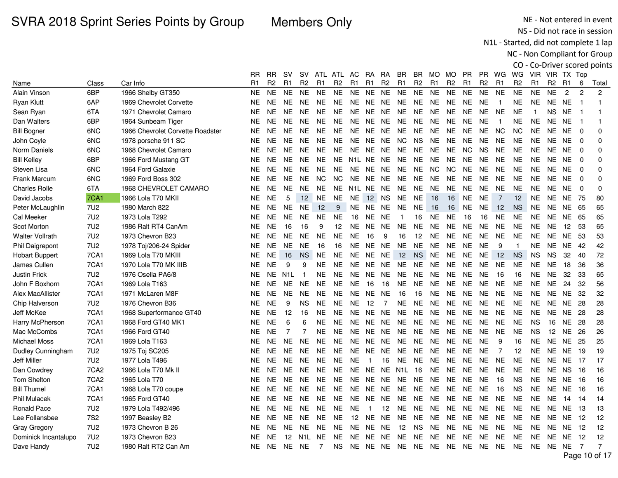Members Only

NE - Not entered in event NS - Did not race in session

N1L - Started, did not complete 1 lap

|                        |                  |                                  |           |                |                 |                  |                |                |                |                 |                |                      |                |                |                |                |                |                |                |                |                 |                 |                | CO - Co-Driver scored points |
|------------------------|------------------|----------------------------------|-----------|----------------|-----------------|------------------|----------------|----------------|----------------|-----------------|----------------|----------------------|----------------|----------------|----------------|----------------|----------------|----------------|----------------|----------------|-----------------|-----------------|----------------|------------------------------|
|                        |                  |                                  | RR        | <b>RR</b>      | <b>SV</b>       | SV.              |                | ATL ATL AC     |                | <b>RA</b>       | <b>RA</b>      | BR.                  | BR.            | MO MO          |                | <b>PR</b>      | <b>PR</b>      | WG             | WG             | VIR VIR TX Top |                 |                 |                |                              |
| Name                   | Class            | Car Info                         | R1        | R <sub>2</sub> | R1              | R <sub>2</sub>   | R <sub>1</sub> | R <sub>2</sub> | R <sub>1</sub> | R <sub>1</sub>  | R <sub>2</sub> | R <sub>1</sub>       | R <sub>2</sub> | R <sub>1</sub> | R <sub>2</sub> | R <sub>1</sub> | R <sub>2</sub> | R <sub>1</sub> | R <sub>2</sub> | R <sub>1</sub> | R <sub>2</sub>  | R <sub>1</sub>  | 6              | Total                        |
| Alain Vinson           | 6BP              | 1966 Shelby GT350                | <b>NE</b> | <b>NE</b>      | <b>NE</b>       | <b>NE</b>        | <b>NE</b>      | <b>NE</b>      | <b>NE</b>      | <b>NE</b>       | <b>NE</b>      | <b>NE</b>            | <b>NE</b>      | <b>NE</b>      | <b>NE</b>      | NE.            | NE.            | <b>NE</b>      | <b>NE</b>      | <b>NE</b>      | <b>NE</b>       | $\overline{2}$  | $\overline{2}$ | $\overline{2}$               |
| <b>Ryan Klutt</b>      | 6AP              | 1969 Chevrolet Corvette          | NE.       | <b>NE</b>      | <b>NE</b>       | <b>NE</b>        | NE.            | <b>NE</b>      | <b>NE</b>      | NE.             | <b>NE</b>      | <b>NE</b>            | <b>NE</b>      | <b>NE</b>      | <b>NE</b>      | <b>NE</b>      | <b>NE</b>      | $\overline{1}$ | <b>NE</b>      | <b>NE</b>      | <b>NE</b>       | <b>NE</b>       | $\mathbf{1}$   | $\mathbf{1}$                 |
| Sean Ryan              | 6TA              | 1971 Chevrolet Camaro            | NE.       | <b>NE</b>      | <b>NE</b>       | <b>NE</b>        | <b>NE</b>      | NE.            | NE NE          |                 | NE.            | <b>NE</b>            | NE.            | <b>NE</b>      | <b>NE</b>      | NE.            | <b>NE</b>      | <b>NE</b>      | <b>NE</b>      | $\overline{1}$ | <b>NS</b>       | <b>NE</b>       |                | 1                            |
| Dan Walters            | 6BP              | 1964 Sunbeam Tiger               | NE.       | <b>NE</b>      | <b>NE</b>       | <b>NE</b>        | <b>NE</b>      | <b>NE</b>      | <b>NE</b>      | <b>NE</b>       | NE.            | <b>NE</b>            | <b>NE</b>      | <b>NE</b>      | <b>NE</b>      | <b>NE</b>      | <b>NE</b>      | $\overline{1}$ | <b>NE</b>      | <b>NE</b>      | NE.             | <b>NE</b>       |                | 1                            |
| <b>Bill Bogner</b>     | 6NC              | 1966 Chevrolet Corvette Roadster | NE.       | <b>NE</b>      | <b>NE</b>       | <b>NE</b>        | <b>NE</b>      | <b>NE</b>      | <b>NE</b>      | NE.             | NE.            | <b>NE</b>            | <b>NE</b>      | <b>NE</b>      | <b>NE</b>      | <b>NE</b>      | <b>NE</b>      | <b>NC</b>      | NC.            | <b>NE</b>      | NE.             | <b>NE</b>       | 0              | $\Omega$                     |
| John Coyle             | 6NC              | 1978 porsche 911 SC              | <b>NE</b> | <b>NE</b>      | <b>NE</b>       | <b>NE</b>        | <b>NE</b>      | <b>NE</b>      | <b>NE</b>      | NE.             | NE.            | NC.                  | <b>NS</b>      | <b>NE</b>      | <b>NE</b>      | <b>NE</b>      | <b>NE</b>      | <b>NE</b>      | <b>NE</b>      | <b>NE</b>      | NE.             | <b>NE</b>       | $\Omega$       | 0                            |
| Norm Daniels           | 6NC              | 1968 Chevrolet Camaro            | <b>NE</b> | <b>NE</b>      | <b>NE</b>       | <b>NE</b>        | <b>NE</b>      | <b>NE</b>      | <b>NE</b>      | <b>NE</b>       | <b>NE</b>      | <b>NE</b>            | <b>NE</b>      | <b>NE</b>      | <b>NE</b>      | <b>NC</b>      | <b>NS</b>      | <b>NE</b>      | <b>NE</b>      | <b>NE</b>      | <b>NE</b>       | <b>NE</b>       | $\mathbf 0$    | 0                            |
| <b>Bill Kelley</b>     | 6BP              | 1966 Ford Mustang GT             | NE.       | <b>NE</b>      | <b>NE</b>       | <b>NE</b>        | <b>NE</b>      | <b>NE</b>      | N1L NE         |                 | NE             | <b>NE</b>            | <b>NE</b>      | NE.            | <b>NE</b>      | <b>NE</b>      | <b>NE</b>      | <b>NE</b>      | <b>NE</b>      | <b>NE</b>      |                 | NE NE           | $\mathbf 0$    | $\Omega$                     |
| Steven Lisa            | 6NC              | 1964 Ford Galaxie                | NE.       | <b>NE</b>      | NE.             | <b>NE</b>        | <b>NE</b>      | <b>NE</b>      | <b>NE</b>      | <b>NE</b>       | <b>NE</b>      | <b>NE</b>            | <b>NE</b>      | <b>NC</b>      | <b>NC</b>      | <b>NE</b>      | <b>NE</b>      | <b>NE</b>      | <b>NE</b>      | <b>NE</b>      | <b>NE</b>       | <b>NE</b>       | $\Omega$       | $\Omega$                     |
| Frank Marcum           | 6NC              | 1969 Ford Boss 302               | NE.       | <b>NE</b>      | <b>NE</b>       | <b>NE</b>        | <b>NC</b>      | <b>NC</b>      | NE             | <b>NE</b>       | <b>NE</b>      | <b>NE</b>            | <b>NE</b>      | NE             | <b>NE</b>      | <b>NE</b>      | <b>NE</b>      | <b>NE</b>      | <b>NE</b>      | <b>NE</b>      | NE.             | <b>NE</b>       | $\mathbf 0$    | $\mathbf 0$                  |
| <b>Charles Rolle</b>   | 6TA              | 1968 CHEVROLET CAMARO            | <b>NE</b> | NE.            | <b>NE</b>       | <b>NE</b>        | <b>NE</b>      | <b>NE</b>      | N1L            | NE.             | NE.            | <b>NE</b>            | <b>NE</b>      | <b>NE</b>      | <b>NE</b>      | <b>NE</b>      | NE.            | <b>NE</b>      | <b>NE</b>      | <b>NE</b>      | NE.             | <b>NE</b>       | $\Omega$       | $\mathbf 0$                  |
| David Jacobs           | 7CA1             | 1966 Lola T70 MKII               | <b>NE</b> | <b>NE</b>      | 5               | 12               | <b>NE</b>      | <b>NE</b>      | <b>NE</b>      | 12 <sup>2</sup> | <b>NS</b>      | <b>NE</b>            | <b>NE</b>      | 16             | 16             | <b>NE</b>      | <b>NE</b>      | $\overline{7}$ | 12             | <b>NE</b>      | NE.             | <b>NE</b>       | - 75           | 80                           |
| Peter McLaughlin       | 7U2              | 1980 March 822                   | NE.       | <b>NE</b>      | <b>NE</b>       | <b>NE</b>        | 12             | 9              |                |                 | NE NE NE       | NE                   | <b>NE</b>      | 16             | 16             | <b>NE</b>      | <b>NE</b>      | 12             | <b>NS</b>      | NE.            |                 | <b>NE NE 65</b> |                | 65                           |
| Cal Meeker             | 7U <sub>2</sub>  | 1973 Lola T292                   | NE        | <b>NE</b>      | NE.             | <b>NE</b>        | <b>NE</b>      | NE.            | 16             | NE.             | <b>NE</b>      | $\mathbf 1$          | 16             | NE.            | NE             | 16             | 16             | NE.            | <b>NE</b>      | NE.            | NE.             | NE.             | 65             | 65                           |
| Scot Morton            | <b>7U2</b>       | 1986 Ralt RT4 CanAm              | NE.       | <b>NE</b>      | 16              | 16               | 9              | 12             | <b>NE</b>      | NE.             | <b>NE</b>      | <b>NE</b>            | <b>NE</b>      | NE             | <b>NE</b>      | <b>NE</b>      | <b>NE</b>      | <b>NE</b>      | <b>NE</b>      | <b>NE</b>      | <b>NE</b>       | 12              | 53             | 65                           |
| <b>Walter Vollrath</b> | <b>7U2</b>       | 1973 Chevron B23                 | NE        | <b>NE</b>      | <b>NE</b>       | <b>NE</b>        | <b>NE</b>      | <b>NE</b>      | <b>NE</b>      | 16              | 9              | 16                   | 12             | NE.            | <b>NE</b>      | <b>NE</b>      | NE.            | <b>NE</b>      | <b>NE</b>      | <b>NE</b>      | NE.             | NE.             | -53            | 53                           |
| Phil Daigrepont        | <b>7U2</b>       | 1978 Toj/206-24 Spider           | <b>NE</b> | <b>NE</b>      | <b>NE</b>       | <b>NE</b>        | 16             | 16             | <b>NE</b>      | <b>NE</b>       | <b>NE</b>      | <b>NE</b>            | <b>NE</b>      | <b>NE</b>      | <b>NE</b>      | <b>NE</b>      | <b>NE</b>      | 9              | $\mathbf{1}$   | <b>NE</b>      | <b>NE</b>       | <b>NE</b>       | 42             | 42                           |
| <b>Hobart Buppert</b>  | 7CA1             | 1969 Lola T70 MKIII              | NE        | <b>NE</b>      | 16              | <b>NS</b>        | <b>NE</b>      | <b>NE</b>      |                | NE NE           | NE             | 12                   | <b>NS</b>      | NE             | <b>NE</b>      | <b>NE</b>      | NE             | 12             | <b>NS</b>      | <b>NS</b>      | <b>NS</b>       | 32              | 40             | 72                           |
| James Cullen           | 7CA1             | 1970 Lola T70 MK IIIB            | <b>NE</b> | <b>NE</b>      | 9               | 9                | <b>NE</b>      | <b>NE</b>      | <b>NE</b>      | NE.             | NE.            | NE.                  | NE.            | <b>NE</b>      | <b>NE</b>      | <b>NE</b>      | <b>NE</b>      | <b>NE</b>      | <b>NE</b>      | <b>NE</b>      | <b>NE</b>       | 18              | 36             | 36                           |
| <b>Justin Frick</b>    | 7U2              | 1976 Osella PA6/8                | <b>NE</b> | <b>NE</b>      | N1L             | $\mathbf{1}$     | <b>NE</b>      | <b>NE</b>      | NE.            | NE.             | <b>NE</b>      | <b>NE</b>            | <b>NE</b>      | <b>NE</b>      | <b>NE</b>      | <b>NE</b>      | <b>NE</b>      | 16             | 16             | <b>NE</b>      | <b>NE</b>       | 32              | 33             | 65                           |
| John F Boxhorn         | 7CA1             | 1969 Lola T163                   | <b>NE</b> | <b>NE</b>      | <b>NE</b>       | <b>NE</b>        | <b>NE</b>      | <b>NE</b>      | <b>NE</b>      | 16              | 16             | <b>NE</b>            | <b>NE</b>      | <b>NE</b>      | <b>NE</b>      | <b>NE</b>      | <b>NE</b>      | <b>NE</b>      | <b>NE</b>      | <b>NE</b>      | <b>NE</b>       | 24              | 32             | 56                           |
| Alex MacAllister       | <b>7CA1</b>      | 1971 McLaren M8F                 | NE.       | <b>NE</b>      | <b>NE</b>       | <b>NE</b>        | <b>NE</b>      | <b>NE</b>      | <b>NE</b>      | <b>NE</b>       | <b>NE</b>      | 16                   | 16             | <b>NE</b>      | <b>NE</b>      | <b>NE</b>      | <b>NE</b>      | <b>NE</b>      | <b>NE</b>      | <b>NE</b>      | <b>NE</b>       | <b>NE</b>       | -32            | 32                           |
| Chip Halverson         | 7U2              | 1976 Chevron B36                 | NE.       | <b>NE</b>      | 9               | <b>NS</b>        | NE.            | <b>NE</b>      | <b>NE</b>      | 12              | 7              | <b>NE</b>            | NE.            | <b>NE</b>      | <b>NE</b>      | <b>NE</b>      | <b>NE</b>      | <b>NE</b>      | <b>NE</b>      | <b>NE</b>      |                 | <b>NE NE 28</b> |                | 28                           |
| Jeff McKee             | 7CA1             | 1968 Superformance GT40          | <b>NE</b> | <b>NE</b>      | 12              | 16               | NE             | <b>NE</b>      | <b>NE</b>      | <b>NE</b>       | NE.            | <b>NE</b>            | <b>NE</b>      | <b>NE</b>      | <b>NE</b>      | <b>NE</b>      | <b>NE</b>      | <b>NE</b>      | <b>NE</b>      | <b>NE</b>      | NE.             | <b>NE</b>       | 28             | 28                           |
| Harry McPherson        | 7CA1             | 1968 Ford GT40 MK1               | <b>NE</b> | <b>NE</b>      | 6               | 6                | <b>NE</b>      | NE.            | NE.            | NE.             | NE.            | <b>NE</b>            | <b>NE</b>      | NE             | <b>NE</b>      | <b>NE</b>      | <b>NE</b>      | <b>NE</b>      | <b>NE</b>      | <b>NS</b>      | 16              | NE.             | -28            | 28                           |
| Mac McCombs            | 7CA1             | 1966 Ford GT40                   | <b>NE</b> | <b>NE</b>      | $\overline{7}$  | $\overline{7}$   | <b>NE</b>      | <b>NE</b>      | <b>NE</b>      | NE.             | <b>NE</b>      | <b>NE</b>            | <b>NE</b>      | <b>NE</b>      | <b>NE</b>      | <b>NE</b>      | <b>NE</b>      | <b>NE</b>      | <b>NE</b>      | <b>NS</b>      | 12 <sup>2</sup> | <b>NE</b>       | 26             | 26                           |
| <b>Michael Moss</b>    | 7CA1             | 1969 Lola T163                   | NE.       | <b>NE</b>      | <b>NE</b>       | <b>NE</b>        | <b>NE</b>      | <b>NE</b>      | <b>NE</b>      | <b>NE</b>       | <b>NE</b>      | <b>NE</b>            | <b>NE</b>      | <b>NE</b>      | <b>NE</b>      | <b>NE</b>      | <b>NE</b>      | 9              | 16             | <b>NE</b>      | <b>NE</b>       | <b>NE</b>       | -25            | 25                           |
| Dudley Cunningham      | <b>7U2</b>       | 1975 Toj SC205                   | <b>NE</b> | <b>NE</b>      | <b>NE</b>       | <b>NE</b>        | <b>NE</b>      | <b>NE</b>      | NE.            | <b>NE</b>       | <b>NE</b>      | <b>NE</b>            | NE.            | <b>NE</b>      | <b>NE</b>      | <b>NE</b>      | <b>NE</b>      | $\overline{7}$ | 12             | <b>NE</b>      |                 | <b>NE NE 19</b> |                | 19                           |
| <b>Jeff Miller</b>     | 7U2              | 1977 Lola T496                   | NE.       | <b>NE</b>      | NE.             | <b>NE</b>        | NE.            | <b>NE</b>      | <b>NE</b>      | $\mathbf{1}$    | 16             | <b>NE</b>            | <b>NE</b>      | <b>NE</b>      | <b>NE</b>      | <b>NE</b>      | <b>NE</b>      | <b>NE</b>      | <b>NE</b>      | <b>NE</b>      | NE.             | <b>NE</b>       | 17             | 17                           |
| Dan Cowdrey            | 7CA <sub>2</sub> | 1966 Lola T70 Mk II              | NE.       | <b>NE</b>      | <b>NE</b>       | <b>NE</b>        | <b>NE</b>      | NE.            | <b>NE</b>      | NE.             | NE.            | N <sub>1</sub> L     | 16             | NE             | <b>NE</b>      | <b>NE</b>      | <b>NE</b>      | <b>NE</b>      | <b>NE</b>      | <b>NE</b>      | NE.             | <b>NS</b>       | -16            | 16                           |
| <b>Tom Shelton</b>     | 7CA <sub>2</sub> | 1965 Lola T70                    | NE.       | <b>NE</b>      | <b>NE</b>       | <b>NE</b>        | <b>NE</b>      | <b>NE</b>      | <b>NE</b>      | <b>NE</b>       | NE.            | NE.                  | <b>NE</b>      | <b>NE</b>      | <b>NE</b>      | <b>NE</b>      | <b>NE</b>      | 16             | <b>NS</b>      | <b>NE</b>      | NE.             | NE.             | 16             | 16                           |
| <b>Bill Thumel</b>     | 7CA1             | 1968 Lola T70 coupe              | NE.       | <b>NE</b>      | <b>NE</b>       | <b>NE</b>        | <b>NE</b>      | <b>NE</b>      | <b>NE</b>      | NE.             | NE.            | NE.                  | <b>NE</b>      | NE.            | <b>NE</b>      | <b>NE</b>      | <b>NE</b>      | 16             | <b>NS</b>      | <b>NE</b>      | NE.             | NE.             | -16            | 16                           |
| <b>Phil Mulacek</b>    | 7CA1             | 1965 Ford GT40                   | NE        | <b>NE</b>      | <b>NE</b>       | <b>NE</b>        | NE.            | NE.            | NE.            | NE.             | NE.            | NE                   | NE.            | NE.            | NE.            | <b>NE</b>      | NE.            | <b>NE</b>      | NE.            | <b>NE</b>      | NE.             | 14              | - 14           | 14                           |
| <b>Ronald Pace</b>     | <b>7U2</b>       | 1979 Lola T492/496               | <b>NE</b> | <b>NE</b>      | <b>NE</b>       | <b>NE</b>        | NE.            | <b>NE</b>      | <b>NE</b>      | -1              | 12             | <b>NE</b>            | <b>NE</b>      | $N\mathsf{E}$  | <b>NE</b>      | <b>NE</b>      | <b>NE</b>      | <b>NE</b>      | <b>NE</b>      | <b>NE</b>      | NE.             | <b>NE</b>       | - 13           | 13                           |
| Lee Follansbee         | <b>7S2</b>       | 1997 Beasley B2                  | NE        | <b>NE</b>      | <b>NE</b>       | <b>NE</b>        | <b>NE</b>      | <b>NE</b>      | 12             | <b>NE</b>       | NE.            | <b>NE</b>            | <b>NE</b>      | NE             | <b>NE</b>      | <b>NE</b>      | <b>NE</b>      | <b>NE</b>      | <b>NE</b>      | <b>NE</b>      | NE.             | NE.             | 12             | 12                           |
| <b>Gray Gregory</b>    | <b>7U2</b>       | 1973 Chevron B 26                | <b>NE</b> | <b>NE</b>      | <b>NE</b>       | <b>NE</b>        | <b>NE</b>      | <b>NE</b>      | <b>NE</b>      | <b>NE</b>       | <b>NE</b>      | 12                   | <b>NS</b>      | <b>NE</b>      | <b>NE</b>      | NE.            | <b>NE</b>      | <b>NE</b>      | <b>NE</b>      | <b>NE</b>      | <b>NE</b>       | <b>NE</b>       | 12             | 12                           |
| Dominick Incantalupo   | 7U2              | 1973 Chevron B23                 | NE.       | <b>NE</b>      | 12 <sup>2</sup> | N <sub>1</sub> L | <b>NE</b>      | <b>NE</b>      | <b>NE</b>      | <b>NE</b>       | <b>NE</b>      | <b>NE</b>            | <b>NE</b>      | <b>NE</b>      | <b>NE</b>      | <b>NE</b>      | <b>NE</b>      | <b>NE</b>      | <b>NE</b>      | <b>NE</b>      | NE.             | <b>NE</b>       | 12             | 12                           |
| Dave Handy             | 7U <sub>2</sub>  | 1980 Ralt RT2 Can Am             | NE.       | NE.            | <b>NE</b>       | NE.              | 7              | NS.            |                |                 |                | NE NE NE NE NE NE NE |                |                |                | NE.            | NE.            | NE.            | NE.            | NE.            |                 | NE NE           | $\overline{7}$ | $\overline{7}$               |
|                        |                  |                                  |           |                |                 |                  |                |                |                |                 |                |                      |                |                |                |                |                |                |                |                |                 |                 |                | Page 10 of 17                |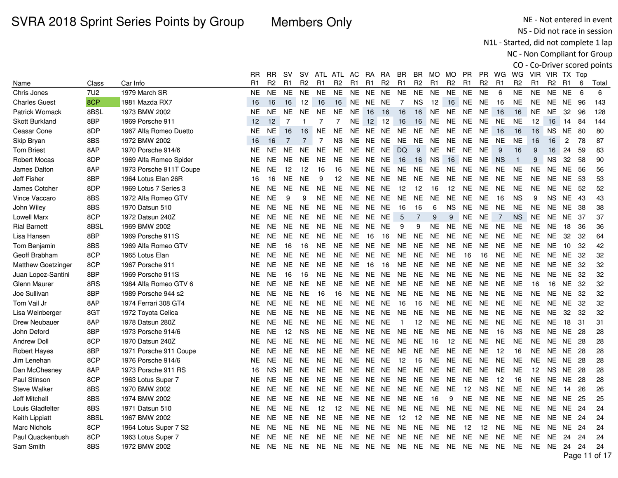Members Only

NE - Not entered in event NS - Did not race in session

N1L - Started, did not complete 1 lap

|                           |                 |                         |                |           |                |                |                |                |                |                |                |                |                |                |                |                |                |                  |                |                |                |                |      | CO - Co-Driver scored points |
|---------------------------|-----------------|-------------------------|----------------|-----------|----------------|----------------|----------------|----------------|----------------|----------------|----------------|----------------|----------------|----------------|----------------|----------------|----------------|------------------|----------------|----------------|----------------|----------------|------|------------------------------|
|                           |                 |                         | RR             | <b>RR</b> | <b>SV</b>      | <b>SV</b>      |                | ATL ATL AC     |                | RA.            | <b>RA</b>      | BR.            | BR             | MO             | MO.            | <b>PR</b>      |                | PR WG            | WG             |                | VIR VIR TX Top |                |      |                              |
| Name                      | Class           | Car Info                | R <sub>1</sub> | R2        | R1             | R <sub>2</sub> | R1             | R <sub>2</sub> | R <sub>1</sub> | R <sub>1</sub> | R <sub>2</sub> | R <sub>1</sub> | R <sub>2</sub> | R <sub>1</sub> | R <sub>2</sub> | R <sub>1</sub> | R <sub>2</sub> | R <sub>1</sub>   | R <sub>2</sub> | R <sub>1</sub> | R <sub>2</sub> | R <sub>1</sub> | 6    | Total                        |
| Chris Jones               | 7U <sub>2</sub> | 1979 March SR           | <b>NE</b>      | <b>NE</b> | <b>NE</b>      | <b>NE</b>      | <b>NE</b>      | <b>NE</b>      | <b>NE</b>      | <b>NE</b>      | NE.            | <b>NE</b>      | <b>NE</b>      | <b>NE</b>      | <b>NE</b>      | <b>NE</b>      | <b>NE</b>      | 6                | <b>NE</b>      | <b>NE</b>      | <b>NE</b>      | <b>NE</b>      | 6    | 6                            |
| <b>Charles Guest</b>      | 8CP             | 1981 Mazda RX7          | 16             | 16        | 16             | 12             | 16             | 16             | <b>NE</b>      | <b>NE</b>      | <b>NE</b>      | $\overline{7}$ | <b>NS</b>      | 12             | 16             | <b>NE</b>      | <b>NE</b>      | 16               | <b>NE</b>      | <b>NE</b>      | <b>NE</b>      | NE.            | 96   | 143                          |
| Patrick Womack            | 8BSL            | 1973 BMW 2002           | <b>NE</b>      | <b>NE</b> | <b>NE</b>      | <b>NE</b>      | <b>NE</b>      | <b>NE</b>      | <b>NE</b>      | 16             | 16             | 16             | 16             | <b>NE</b>      | NE             | NE             | <b>NE</b>      | 16               | 16             | NE.            | NE.            | 32             | 96   | 128                          |
| <b>Skott Burkland</b>     | 8BP             | 1969 Porsche 911        | 12             | 12        | $\overline{7}$ | -1             | $\overline{7}$ | $\overline{7}$ | NE.            | 12             | 12             | 16             | 16             | <b>NE</b>      | <b>NE</b>      | <b>NE</b>      | <b>NE</b>      | <b>NE</b>        | <b>NE</b>      | 12             | 16             | 14             | 84   | 144                          |
| Ceasar Cone               | 8DP             | 1967 Alfa Romeo Duetto  | <b>NE</b>      | <b>NE</b> | 16             | 16             | <b>NE</b>      | <b>NE</b>      | NE             | NE             | <b>NE</b>      | NE.            | <b>NE</b>      | <b>NE</b>      | NE             | <b>NE</b>      | <b>NE</b>      | 16               | 16             | 16             | <b>NS</b>      | NE.            | 80   | 80                           |
| Skip Bryan                | 8BS             | 1972 BMW 2002           | 16             | 16        | $\overline{7}$ | $\overline{7}$ | $\overline{7}$ | <b>NS</b>      | <b>NE</b>      | <b>NE</b>      | <b>NE</b>      | <b>NE</b>      | <b>NE</b>      | <b>NE</b>      | <b>NE</b>      | <b>NE</b>      | <b>NE</b>      | <b>NE</b>        | <b>NE</b>      | 16             | 16             | $\overline{c}$ | 78   | 87                           |
| <b>Tom Briest</b>         | 8AP             | 1970 Porsche 914/6      | <b>NE</b>      | <b>NE</b> | <b>NE</b>      | <b>NE</b>      | <b>NE</b>      | <b>NE</b>      | <b>NE</b>      | <b>NE</b>      | <b>NE</b>      | <b>DQ</b>      | 9              | <b>NE</b>      | <b>NE</b>      | <b>NE</b>      | <b>NE</b>      | $\boldsymbol{9}$ | 16             | 9              | 16             | 24             | 59   | 83                           |
| <b>Robert Mocas</b>       | 8DP             | 1969 Alfa Romeo Spider  | <b>NE</b>      | <b>NE</b> | <b>NE</b>      | <b>NE</b>      | <b>NE</b>      | <b>NE</b>      |                | NE NE NE       |                | 16             | 16             | <b>NS</b>      | 16             | <b>NE</b>      | <b>NE</b>      | <b>NS</b>        | $\mathbf{1}$   | 9              | <b>NS</b>      | 32             | 58   | 90                           |
| James Dalton              | 8AP             | 1973 Porsche 911T Coupe | <b>NE</b>      | <b>NE</b> | 12             | 12             | 16             | 16             | NE.            | <b>NE</b>      | NE.            | NE.            | NE.            | <b>NE</b>      | <b>NE</b>      | <b>NE</b>      | <b>NE</b>      | NE.              | <b>NE</b>      | <b>NE</b>      | <b>NE</b>      | <b>NE</b>      | -56  | 56                           |
| Jeff Fisher               | 8BP             | 1964 Lotus Elan 26R     | 16             | 16        | <b>NE</b>      | <b>NE</b>      | 9              | 12             | <b>NE</b>      | <b>NE</b>      | NE.            | <b>NE</b>      | <b>NE</b>      | <b>NE</b>      | <b>NE</b>      | <b>NE</b>      | <b>NE</b>      | <b>NE</b>        | <b>NE</b>      | <b>NE</b>      | NE.            | NE.            | -53  | 53                           |
| James Cotcher             | 8DP             | 1969 Lotus 7 Series 3   | <b>NE</b>      | <b>NE</b> | <b>NE</b>      | <b>NE</b>      | <b>NE</b>      | NE.            | NE.            | <b>NE</b>      | NE.            | 12             | 12             | 16             | 12             | <b>NE</b>      | <b>NE</b>      | <b>NE</b>        | <b>NE</b>      | <b>NE</b>      | NE.            | NE.            | -52  | 52                           |
| Vince Vaccaro             | 8BS             | 1972 Alfa Romeo GTV     | <b>NE</b>      | <b>NE</b> | 9              | 9              | <b>NE</b>      | <b>NE</b>      | <b>NE</b>      | <b>NE</b>      | <b>NE</b>      | <b>NE</b>      | <b>NE</b>      | <b>NE</b>      | <b>NE</b>      | <b>NE</b>      | <b>NE</b>      | 16               | <b>NS</b>      | 9              | <b>NS</b>      | NE.            | 43   | 43                           |
| John Wiley                | 8BS             | 1970 Datsun 510         | <b>NE</b>      | <b>NE</b> | <b>NE</b>      | <b>NE</b>      | <b>NE</b>      | <b>NE</b>      |                | NE NE          | NE.            | 16             | 16             | 6              | <b>NS</b>      | <b>NE</b>      | <b>NE</b>      | <b>NE</b>        | <b>NE</b>      | <b>NE</b>      | <b>NE</b>      | <b>NE</b>      | - 38 | 38                           |
| <b>Lowell Marx</b>        | 8CP             | 1972 Datsun 240Z        | <b>NE</b>      | <b>NE</b> | <b>NE</b>      | <b>NE</b>      | NE.            | <b>NE</b>      | NE             | NE.            | <b>NE</b>      | 5              | $\overline{7}$ | 9              | 9              | <b>NE</b>      | <b>NE</b>      | $\overline{7}$   | <b>NS</b>      | <b>NE</b>      | <b>NE</b>      | <b>NE</b>      | 37   | 37                           |
| <b>Rial Barnett</b>       | 8BSL            | 1969 BMW 2002           | <b>NE</b>      | <b>NE</b> | <b>NE</b>      | <b>NE</b>      | NE.            | <b>NE</b>      | NE.            | NE.            | <b>NE</b>      | 9              | 9              | <b>NE</b>      | <b>NE</b>      | <b>NE</b>      | <b>NE</b>      | <b>NE</b>        | <b>NE</b>      | <b>NE</b>      | <b>NE</b>      | 18             | 36   | 36                           |
| Lisa Hansen               | 8BP             | 1969 Porsche 911S       | <b>NE</b>      | <b>NE</b> | <b>NE</b>      | <b>NE</b>      | <b>NE</b>      | <b>NE</b>      | <b>NE</b>      | 16             | 16             | <b>NE</b>      | <b>NE</b>      | <b>NE</b>      | <b>NE</b>      | <b>NE</b>      | <b>NE</b>      | <b>NE</b>        | <b>NE</b>      | <b>NE</b>      | NE.            | 32             | 32   | 64                           |
| Tom Benjamin              | 8BS             | 1969 Alfa Romeo GTV     | <b>NE</b>      | <b>NE</b> | 16             | 16             | <b>NE</b>      | <b>NE</b>      | <b>NE</b>      | <b>NE</b>      | <b>NE</b>      | <b>NE</b>      | <b>NE</b>      | <b>NE</b>      | <b>NE</b>      | <b>NE</b>      | <b>NE</b>      | <b>NE</b>        | <b>NE</b>      | <b>NE</b>      | <b>NE</b>      | 10             | 32   | 42                           |
| Geoff Brabham             | 8CP             | 1965 Lotus Elan         | <b>NE</b>      | <b>NE</b> | <b>NE</b>      | <b>NE</b>      | <b>NE</b>      | <b>NE</b>      | <b>NE</b>      | <b>NE</b>      | <b>NE</b>      | <b>NE</b>      | <b>NE</b>      | <b>NE</b>      | <b>NE</b>      | 16             | 16             | <b>NE</b>        | <b>NE</b>      | <b>NE</b>      | <b>NE</b>      | <b>NE</b>      | 32   | 32                           |
| <b>Matthew Goetzinger</b> | 8CP             | 1967 Porsche 911        | <b>NE</b>      | <b>NE</b> | <b>NE</b>      | <b>NE</b>      | <b>NE</b>      | <b>NE</b>      | <b>NE</b>      | 16             | 16             | NE             | <b>NE</b>      | NE             | <b>NE</b>      | <b>NE</b>      | NE             | <b>NE</b>        | <b>NE</b>      | <b>NE</b>      | <b>NE</b>      | <b>NE</b>      | 32   | 32                           |
| Juan Lopez-Santini        | 8BP             | 1969 Porsche 911S       | <b>NE</b>      | <b>NE</b> | 16             | 16             | NE.            | <b>NE</b>      | <b>NE</b>      | <b>NE</b>      | <b>NE</b>      | <b>NE</b>      | <b>NE</b>      | <b>NE</b>      | <b>NE</b>      | <b>NE</b>      | <b>NE</b>      | <b>NE</b>        | <b>NE</b>      | <b>NE</b>      | <b>NE</b>      | <b>NE</b>      | 32   | 32                           |
| Glenn Maurer              | 8RS             | 1984 Alfa Romeo GTV 6   | <b>NE</b>      | <b>NE</b> | <b>NE</b>      | <b>NE</b>      | <b>NE</b>      | <b>NE</b>      | <b>NE</b>      | NE.            | <b>NE</b>      | <b>NE</b>      | <b>NE</b>      | <b>NE</b>      | <b>NE</b>      | <b>NE</b>      | <b>NE</b>      | <b>NE</b>        | <b>NE</b>      | 16             | 16             | NE.            | 32   | 32                           |
| Joe Sullivan              | 8BP             | 1989 Porsche 944 s2     | <b>NE</b>      | <b>NE</b> | <b>NE</b>      | <b>NE</b>      | 16             | 16             | NE.            | <b>NE</b>      | <b>NE</b>      | <b>NE</b>      | <b>NE</b>      | <b>NE</b>      | <b>NE</b>      | <b>NE</b>      | <b>NE</b>      | <b>NE</b>        | <b>NE</b>      | <b>NE</b>      | <b>NE</b>      | <b>NE</b>      | -32  | 32                           |
| Tom Vail Jr               | 8AP             | 1974 Ferrari 308 GT4    | <b>NE</b>      | <b>NE</b> | <b>NE</b>      | <b>NE</b>      | <b>NE</b>      | <b>NE</b>      | NE.            | NE             | <b>NE</b>      | 16             | 16             | NE.            | <b>NE</b>      | <b>NE</b>      | <b>NE</b>      | <b>NE</b>        | <b>NE</b>      | <b>NE</b>      | NE.            | NE.            | -32  | 32                           |
| Lisa Weinberger           | 8GT             | 1972 Toyota Celica      | <b>NE</b>      | <b>NE</b> | <b>NE</b>      | NE.            | <b>NE</b>      | <b>NE</b>      | NE.            | NE.            | <b>NE</b>      | <b>NE</b>      | <b>NE</b>      | <b>NE</b>      | <b>NE</b>      | <b>NE</b>      | <b>NE</b>      | <b>NE</b>        | <b>NE</b>      | <b>NE</b>      | <b>NE</b>      | 32             | 32   | 32                           |
| <b>Drew Neubauer</b>      | 8AP             | 1978 Datsun 280Z        | <b>NE</b>      | <b>NE</b> | <b>NE</b>      | <b>NE</b>      | <b>NE</b>      | <b>NE</b>      | <b>NE</b>      | <b>NE</b>      | <b>NE</b>      | $\overline{1}$ | 12             | <b>NE</b>      | <b>NE</b>      | <b>NE</b>      | <b>NE</b>      | <b>NE</b>        | <b>NE</b>      | <b>NE</b>      | <b>NE</b>      | 18             | 31   | 31                           |
| John Deford               | 8BP             | 1973 Porsche 914/6      | <b>NE</b>      | <b>NE</b> | 12             | <b>NS</b>      | <b>NE</b>      | <b>NE</b>      | NE.            | NE.            | <b>NE</b>      | <b>NE</b>      | <b>NE</b>      | <b>NE</b>      | <b>NE</b>      | <b>NE</b>      | <b>NE</b>      | 16               | <b>NS</b>      | <b>NE</b>      | NE.            | NE.            | 28   | 28                           |
| Andrew Doll               | 8CP             | 1970 Datsun 240Z        | <b>NE</b>      | <b>NE</b> | <b>NE</b>      | <b>NE</b>      | <b>NE</b>      | <b>NE</b>      | NE.            | <b>NE</b>      | <b>NE</b>      | <b>NE</b>      | <b>NE</b>      | 16             | 12             | <b>NE</b>      | <b>NE</b>      | <b>NE</b>        | <b>NE</b>      | <b>NE</b>      | <b>NE</b>      | <b>NE</b>      | 28   | 28                           |
| <b>Robert Haves</b>       | 8BP             | 1971 Porsche 911 Coupe  | <b>NE</b>      | <b>NE</b> | <b>NE</b>      | <b>NE</b>      | <b>NE</b>      | <b>NE</b>      |                | NE NE          | <b>NE</b>      | <b>NE</b>      | NE.            | <b>NE</b>      | <b>NE</b>      | <b>NE</b>      | <b>NE</b>      | 12               | 16             | NE.            | <b>NE</b>      | NE 28          |      | 28                           |
| Jim Lenehan               | 8CP             | 1976 Porsche 914/6      | <b>NE</b>      | <b>NE</b> | <b>NE</b>      | <b>NE</b>      | NE.            | <b>NE</b>      | NE             | NE             | <b>NE</b>      | 12             | 16             | NE.            | NE             | <b>NE</b>      | NE.            | <b>NE</b>        | <b>NE</b>      | <b>NE</b>      | NE.            | NE.            | 28   | 28                           |
| Dan McChesney             | 8AP             | 1973 Porsche 911 RS     | 16             | <b>NS</b> | <b>NE</b>      | <b>NE</b>      | NE.            | <b>NE</b>      | NE.            | NE             | <b>NE</b>      | NE.            | <b>NE</b>      | <b>NE</b>      | <b>NE</b>      | <b>NE</b>      | <b>NE</b>      | <b>NE</b>        | <b>NE</b>      | 12             | NS.            | NE.            | -28  | 28                           |
| Paul Stinson              | 8CP             | 1963 Lotus Super 7      | <b>NE</b>      | <b>NE</b> | <b>NE</b>      | <b>NE</b>      | <b>NE</b>      | <b>NE</b>      | <b>NE</b>      | <b>NE</b>      | <b>NE</b>      | <b>NE</b>      | <b>NE</b>      | <b>NE</b>      | <b>NE</b>      | <b>NE</b>      | <b>NE</b>      | 12               | 16             | <b>NE</b>      | <b>NE</b>      | <b>NE</b>      | 28   | 28                           |
| <b>Steve Walker</b>       | 8BS             | 1970 BMW 2002           | <b>NE</b>      | <b>NE</b> | <b>NE</b>      | <b>NE</b>      | <b>NE</b>      | <b>NE</b>      | <b>NE</b>      | <b>NE</b>      | <b>NE</b>      | <b>NE</b>      | <b>NE</b>      | <b>NE</b>      | <b>NE</b>      | 12             | <b>NS</b>      | <b>NE</b>        | <b>NE</b>      | <b>NE</b>      | <b>NE</b>      | 14             | 26   | 26                           |
| Jeff Mitchell             | 8BS             | 1974 BMW 2002           | <b>NE</b>      | <b>NE</b> | <b>NE</b>      | <b>NE</b>      | <b>NE</b>      | NE.            | <b>NE</b>      | NE             | NE.            | <b>NE</b>      | <b>NE</b>      | 16             | 9              | <b>NE</b>      | <b>NE</b>      | <b>NE</b>        | <b>NE</b>      | NE.            | NE.            | NE             | -25  | 25                           |
| Louis Gladfelter          | 8BS             | 1971 Datsun 510         | <b>NE</b>      | <b>NE</b> | <b>NE</b>      | <b>NE</b>      | 12             | 12             | NE.            | NE.            | NE.            | <b>NE</b>      | <b>NE</b>      | <b>NE</b>      | <b>NE</b>      | <b>NE</b>      | <b>NE</b>      | <b>NE</b>        | <b>NE</b>      | <b>NE</b>      | <b>NE</b>      | <b>NE</b>      | -24  | 24                           |
| Keith Lippiatt            | 8BSL            | 1967 BMW 2002           | <b>NE</b>      | <b>NE</b> | <b>NE</b>      | <b>NE</b>      | NE.            | <b>NE</b>      | <b>NE</b>      | NE.            | <b>NE</b>      | 12             | 12             | <b>NE</b>      | <b>NE</b>      | <b>NE</b>      | <b>NE</b>      | <b>NE</b>        | <b>NE</b>      | <b>NE</b>      | NE.            | NE.            | -24  | 24                           |
| <b>Marc Nichols</b>       | 8CP             | 1964 Lotus Super 7 S2   | <b>NE</b>      | <b>NE</b> | <b>NE</b>      | <b>NE</b>      | NE.            | <b>NE</b>      | <b>NE</b>      | <b>NE</b>      | <b>NE</b>      | <b>NE</b>      | <b>NE</b>      | <b>NE</b>      | <b>NE</b>      | 12             | 12             | <b>NE</b>        | <b>NE</b>      | <b>NE</b>      | NE.            | NE.            | -24  | 24                           |
| Paul Quackenbush          | 8CP             | 1963 Lotus Super 7      | <b>NE</b>      | <b>NE</b> | <b>NE</b>      | NE.            | NE.            | <b>NE</b>      | NE             | NE             | <b>NE</b>      | NE.            | <b>NE</b>      | <b>NE</b>      | <b>NE</b>      | <b>NE</b>      | <b>NE</b>      | <b>NE</b>        | <b>NE</b>      | <b>NE</b>      | <b>NE</b>      | 24             | 24   | 24                           |
| Sam Smith                 | 8BS             | 1972 BMW 2002           | <b>NE</b>      | <b>NE</b> | <b>NE</b>      | <b>NE</b>      | <b>NE</b>      | <b>NE</b>      |                |                | NE NE NE       | NE.            | <b>NE</b>      | NE.            | <b>NE</b>      | <b>NE</b>      | NE.            | <b>NE</b>        | <b>NE</b>      | <b>NE</b>      | <b>NE</b>      | 24             | 24   | 24                           |
|                           |                 |                         |                |           |                |                |                |                |                |                |                |                |                |                |                |                |                |                  |                |                |                |                |      | Page 11 of 17                |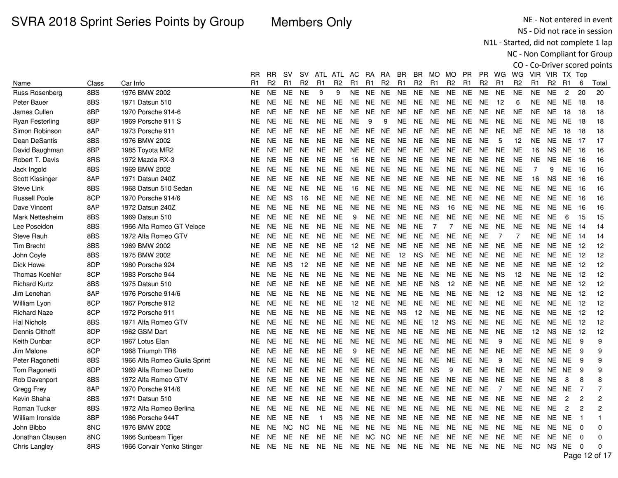Members Only

NE - Not entered in event NS - Did not race in session

N1L - Started, did not complete 1 lap

NC - Non Compliant for Group

|                        |       |                               | RR             | RR             | sv        | sv             | ATL          | ATL            | AC        | RA             | RA             | BR        | BR             | MO.            | MO.            | PR.            | PR.            | WG             | WG             | VIR.           | VIR.           | TX Top         |                |                       |
|------------------------|-------|-------------------------------|----------------|----------------|-----------|----------------|--------------|----------------|-----------|----------------|----------------|-----------|----------------|----------------|----------------|----------------|----------------|----------------|----------------|----------------|----------------|----------------|----------------|-----------------------|
| Name                   | Class | Car Info                      | R <sub>1</sub> | R <sub>2</sub> | R1        | R <sub>2</sub> | R1           | R <sub>2</sub> | R1        | R <sub>1</sub> | R <sub>2</sub> | R1        | R <sub>2</sub> | R <sub>1</sub> | R <sub>2</sub> | R <sub>1</sub> | R <sub>2</sub> | R1             | R <sub>2</sub> | R <sub>1</sub> | R <sub>2</sub> | R <sub>1</sub> | 6              | Total                 |
| Russ Rosenberg         | 8BS   | 1976 BMW 2002                 | <b>NE</b>      | <b>NE</b>      | <b>NE</b> | <b>NE</b>      | 9            | 9              | <b>NE</b> | <b>NE</b>      | <b>NE</b>      | <b>NE</b> | <b>NE</b>      | <b>NE</b>      | <b>NE</b>      | <b>NE</b>      | <b>NE</b>      | <b>NE</b>      | <b>NE</b>      | <b>NE</b>      | <b>NE</b>      | $\overline{c}$ | 20             | 20                    |
| Peter Bauer            | 8BS   | 1971 Datsun 510               | NE             | <b>NE</b>      | NE        | NE             | <b>NE</b>    | <b>NE</b>      | <b>NE</b> | NE             | <b>NE</b>      | <b>NE</b> | <b>NE</b>      | <b>NE</b>      | <b>NE</b>      | <b>NE</b>      | <b>NE</b>      | 12             | 6              | NE.            | <b>NE</b>      | <b>NE</b>      | 18             | 18                    |
| James Cullen           | 8BP   | 1970 Porsche 914-6            | <b>NE</b>      | <b>NE</b>      | NE.       | NE.            | NE.          | <b>NE</b>      | NE.       | NE.            | <b>NE</b>      | <b>NE</b> | NE.            | <b>NE</b>      | <b>NE</b>      | <b>NE</b>      | <b>NE</b>      | <b>NE</b>      | <b>NE</b>      | NE.            | NE             | 18             | 18             | 18                    |
| <b>Ryan Festerling</b> | 8BP   | 1969 Porsche 911 S            | <b>NE</b>      | <b>NE</b>      | <b>NE</b> | <b>NE</b>      | <b>NE</b>    | <b>NE</b>      | <b>NE</b> | 9              | 9              | <b>NE</b> | <b>NE</b>      | <b>NE</b>      | <b>NE</b>      | <b>NE</b>      | <b>NE</b>      | <b>NE</b>      | <b>NE</b>      | <b>NE</b>      | <b>NE</b>      | <b>NE</b>      | 18             | 18                    |
| Simon Robinson         | 8AP   | 1973 Porsche 911              | <b>NE</b>      | <b>NE</b>      | <b>NE</b> | <b>NE</b>      | <b>NE</b>    | <b>NE</b>      | <b>NE</b> | NE NE          |                | <b>NE</b> | <b>NE</b>      | <b>NE</b>      | <b>NE</b>      | <b>NE</b>      | <b>NE</b>      | <b>NE</b>      | <b>NE</b>      | <b>NE</b>      | NE             | 18             | 18             | 18                    |
| Dean DeSantis          | 8BS   | 1976 BMW 2002                 | NE             | <b>NE</b>      | NE.       | NE.            | NE.          | NE.            | NE.       | <b>NE</b>      | <b>NE</b>      | <b>NE</b> | NE.            | <b>NE</b>      | <b>NE</b>      | <b>NE</b>      | <b>NE</b>      | 5              | 12             | <b>NE</b>      |                | NE NE          | 17             | 17                    |
| David Baughman         | 8BP   | 1985 Toyota MR2               | <b>NE</b>      | <b>NE</b>      | NE.       | <b>NE</b>      | <b>NE</b>    | NE.            | <b>NE</b> | <b>NE</b>      | <b>NE</b>      | <b>NE</b> | <b>NE</b>      | <b>NE</b>      | <b>NE</b>      | <b>NE</b>      | <b>NE</b>      | <b>NE</b>      | <b>NE</b>      | 16             | <b>NS</b>      | <b>NE</b>      | -16            | 16                    |
| Robert T. Davis        | 8RS   | 1972 Mazda RX-3               | <b>NE</b>      | <b>NE</b>      | <b>NE</b> | <b>NE</b>      | <b>NE</b>    | <b>NE</b>      | 16        | NE             | <b>NE</b>      | <b>NE</b> | <b>NE</b>      | <b>NE</b>      | <b>NE</b>      | <b>NE</b>      | <b>NE</b>      | <b>NE</b>      | <b>NE</b>      | <b>NE</b>      | <b>NE</b>      | <b>NE</b>      | 16             | 16                    |
| Jack Ingold            | 8BS   | 1969 BMW 2002                 | <b>NE</b>      | <b>NE</b>      | <b>NE</b> | NE.            | <b>NE</b>    | <b>NE</b>      | <b>NE</b> | NE.            | <b>NE</b>      | <b>NE</b> | <b>NE</b>      | <b>NE</b>      | <b>NE</b>      | <b>NE</b>      | <b>NE</b>      | <b>NE</b>      | <b>NE</b>      | 7              | 9              | <b>NE</b>      | 16             | 16                    |
| Scott Kissinger        | 8AP   | 1971 Datsun 240Z              | <b>NE</b>      | <b>NE</b>      | <b>NE</b> | <b>NE</b>      | <b>NE</b>    | <b>NE</b>      | <b>NE</b> | NE.            | <b>NE</b>      | <b>NE</b> | <b>NE</b>      | <b>NE</b>      | <b>NE</b>      | <b>NE</b>      | <b>NE</b>      | <b>NE</b>      | <b>NE</b>      | 16             | ΝS             | <b>NE</b>      | 16             | 16                    |
| Steve Link             | 8BS   | 1968 Datsun 510 Sedan         | <b>NE</b>      | <b>NE</b>      | <b>NE</b> | <b>NE</b>      | <b>NE</b>    | <b>NE</b>      | 16        | NE             | <b>NE</b>      | <b>NE</b> | <b>NE</b>      | <b>NE</b>      | <b>NE</b>      | <b>NE</b>      | <b>NE</b>      | <b>NE</b>      | <b>NE</b>      | <b>NE</b>      | NE             | <b>NE</b>      | 16             | 16                    |
| <b>Russell Poole</b>   | 8CP   | 1970 Porsche 914/6            | <b>NE</b>      | <b>NE</b>      | <b>NS</b> | 16             | <b>NE</b>    | <b>NE</b>      | <b>NE</b> | NE             | <b>NE</b>      | <b>NE</b> | <b>NE</b>      | <b>NE</b>      | <b>NE</b>      | <b>NE</b>      | <b>NE</b>      | <b>NE</b>      | <b>NE</b>      | <b>NE</b>      | NE.            | <b>NE</b>      | 16             | 16                    |
| Dave Vincent           | 8AP   | 1972 Datsun 240Z              | <b>NE</b>      | <b>NE</b>      | NE.       | <b>NE</b>      | <b>NE</b>    | NE.            | <b>NE</b> | NE             | <b>NE</b>      | <b>NE</b> | <b>NE</b>      | <b>NS</b>      | 16             | <b>NE</b>      | NE.            | <b>NE</b>      | <b>NE</b>      | <b>NE</b>      | <b>NE</b>      | <b>NE</b>      | 16             | 16                    |
| Mark Nettesheim        | 8BS   | 1969 Datsun 510               | <b>NE</b>      | <b>NE</b>      | NE.       | <b>NE</b>      | <b>NE</b>    | <b>NE</b>      | 9         | NE.            | <b>NE</b>      | <b>NE</b> | NE.            | <b>NE</b>      | <b>NE</b>      | <b>NE</b>      | NE.            | <b>NE</b>      | <b>NE</b>      | <b>NE</b>      | NE.            | 6              | 15             | 15                    |
| Lee Poseidon           | 8BS   | 1966 Alfa Romeo GT Veloce     | <b>NE</b>      | <b>NE</b>      | NE.       | <b>NE</b>      | <b>NE</b>    | NE.            | <b>NE</b> | <b>NE</b>      | <b>NE</b>      | <b>NE</b> | <b>NE</b>      | $\overline{7}$ | $\overline{7}$ | <b>NE</b>      | <b>NE</b>      | <b>NE</b>      | <b>NE</b>      | <b>NE</b>      | <b>NE</b>      | <b>NE</b>      | 14             | 14                    |
| Steve Rauh             | 8BS   | 1972 Alfa Romeo GTV           | <b>NE</b>      | <b>NE</b>      | <b>NE</b> | <b>NE</b>      | <b>NE</b>    | <b>NE</b>      | <b>NE</b> | NE.            | <b>NE</b>      | <b>NE</b> | <b>NE</b>      | <b>NE</b>      | <b>NE</b>      | <b>NE</b>      | <b>NE</b>      | 7              | 7              | <b>NE</b>      | <b>NE</b>      | <b>NE</b>      | -14            | 14                    |
| <b>Tim Brecht</b>      | 8BS   | 1969 BMW 2002                 | <b>NE</b>      | <b>NE</b>      | <b>NE</b> | <b>NE</b>      | <b>NE</b>    | <b>NE</b>      | 12        | NE.            | <b>NE</b>      | <b>NE</b> | <b>NE</b>      | <b>NE</b>      | <b>NE</b>      | <b>NE</b>      | <b>NE</b>      | <b>NE</b>      | <b>NE</b>      | <b>NE</b>      | <b>NE</b>      | <b>NE</b>      | 12             | 12                    |
| John Coyle             | 8BS   | 1975 BMW 2002                 | <b>NE</b>      | <b>NE</b>      | <b>NE</b> | <b>NE</b>      | <b>NE</b>    | NE.            | <b>NE</b> | NE.            | <b>NE</b>      | 12        | <b>NS</b>      | <b>NE</b>      | <b>NE</b>      | <b>NE</b>      | NE.            | <b>NE</b>      | <b>NE</b>      | <b>NE</b>      | NE.            | <b>NE</b>      | 12             | 12                    |
| Dick Howe              | 8DP   | 1980 Porsche 924              | <b>NE</b>      | <b>NE</b>      | <b>NS</b> | 12             | <b>NE</b>    | <b>NE</b>      | <b>NE</b> | NE.            | <b>NE</b>      | <b>NE</b> | <b>NE</b>      | <b>NE</b>      | <b>NE</b>      | <b>NE</b>      | <b>NE</b>      | <b>NE</b>      | <b>NE</b>      | <b>NE</b>      | NE             | <b>NE</b>      | 12             | 12                    |
| <b>Thomas Koehler</b>  | 8CP   | 1983 Porsche 944              | <b>NE</b>      | <b>NE</b>      | <b>NE</b> | <b>NE</b>      | <b>NE</b>    | <b>NE</b>      | <b>NE</b> | NE             | <b>NE</b>      | <b>NE</b> | <b>NE</b>      | <b>NE</b>      | <b>NE</b>      | <b>NE</b>      | <b>NE</b>      | <b>NS</b>      | 12             | <b>NE</b>      | NE             | <b>NE</b>      | 12             | 12                    |
| <b>Richard Kurtz</b>   | 8BS   | 1975 Datsun 510               | <b>NE</b>      | <b>NE</b>      | <b>NE</b> | <b>NE</b>      | <b>NE</b>    | <b>NE</b>      | <b>NE</b> | NE             | <b>NE</b>      | <b>NE</b> | <b>NE</b>      | <b>NS</b>      | 12             | <b>NE</b>      | <b>NE</b>      | <b>NE</b>      | <b>NE</b>      | <b>NE</b>      |                | NE NE          | 12             | 12                    |
| Jim Lenehan            | 8AP   | 1976 Porsche 914/6            | <b>NE</b>      | <b>NE</b>      | NE.       | NE.            | <b>NE</b>    | NE.            | NE.       | NE.            | <b>NE</b>      | <b>NE</b> | NE.            | <b>NE</b>      | <b>NE</b>      | <b>NE</b>      | <b>NE</b>      | 12             | NS             | NE.            |                | NE NE          | 12             | 12                    |
| William Lyon           | 8CP   | 1967 Porsche 912              | <b>NE</b>      | <b>NE</b>      | <b>NE</b> | <b>NE</b>      | <b>NE</b>    | <b>NE</b>      | 12        | NE             | <b>NE</b>      | <b>NE</b> | <b>NE</b>      | <b>NE</b>      | <b>NE</b>      | <b>NE</b>      | <b>NE</b>      | <b>NE</b>      | <b>NE</b>      | <b>NE</b>      | NE             | <b>NE</b>      | - 12           | 12                    |
| <b>Richard Naze</b>    | 8CP   | 1972 Porsche 911              | NE             | <b>NE</b>      | <b>NE</b> | NE.            | <b>NE</b>    | <b>NE</b>      | <b>NE</b> | NE             | <b>NE</b>      | <b>NS</b> | 12             | <b>NE</b>      | <b>NE</b>      | <b>NE</b>      | <b>NE</b>      | <b>NE</b>      | <b>NE</b>      | <b>NE</b>      | <b>NE</b>      | <b>NE</b>      | -12            | 12                    |
| <b>Hal Nichols</b>     | 8BS   | 1971 Alfa Romeo GTV           | <b>NE</b>      | <b>NE</b>      | NE.       | <b>NE</b>      | <b>NE</b>    | NE.            | <b>NE</b> | NE.            | <b>NE</b>      | <b>NE</b> | <b>NE</b>      | 12             | <b>NS</b>      | <b>NE</b>      | NE.            | <b>NE</b>      | <b>NE</b>      | <b>NE</b>      | NE.            | <b>NE</b>      | 12             | 12                    |
| Dennis Olthoff         | 8DP   | 1962 GSM Dart                 | <b>NE</b>      | <b>NE</b>      | NE.       | <b>NE</b>      | <b>NE</b>    | NE.            | <b>NE</b> | NE             | <b>NE</b>      | <b>NE</b> | <b>NE</b>      | <b>NE</b>      | <b>NE</b>      | <b>NE</b>      | NE.            | <b>NE</b>      | <b>NE</b>      | 12             | NS.            | <b>NE</b>      | 12             | 12                    |
| Keith Dunbar           | 8CP   | 1967 Lotus Elan               | <b>NE</b>      | <b>NE</b>      | <b>NE</b> | <b>NE</b>      | <b>NE</b>    | <b>NE</b>      | <b>NE</b> | NE             | <b>NE</b>      | <b>NE</b> | <b>NE</b>      | <b>NE</b>      | <b>NE</b>      | <b>NE</b>      | <b>NE</b>      | 9              | <b>NE</b>      | <b>NE</b>      | NE             | <b>NE</b>      | 9              | 9                     |
| Jim Malone             | 8CP   | 1968 Triumph TR6              | <b>NE</b>      | <b>NE</b>      | <b>NE</b> | <b>NE</b>      | <b>NE</b>    | <b>NE</b>      | 9         | NE.            | <b>NE</b>      | <b>NE</b> | <b>NE</b>      | <b>NE</b>      | <b>NE</b>      | <b>NE</b>      | <b>NE</b>      | <b>NE</b>      | <b>NE</b>      | <b>NE</b>      | NE.            | <b>NE</b>      | 9              | 9                     |
| Peter Ragonetti        | 8BS   | 1966 Alfa Romeo Giulia Sprint | <b>NE</b>      | <b>NE</b>      | NE.       | <b>NE</b>      | NE.          | <b>NE</b>      | <b>NE</b> | <b>NE</b>      | <b>NE</b>      | <b>NE</b> | <b>NE</b>      | <b>NE</b>      | <b>NE</b>      | <b>NE</b>      | <b>NE</b>      | 9              | <b>NE</b>      | <b>NE</b>      |                | NE NE          | -9             | 9                     |
| Tom Ragonetti          | 8DP   | 1969 Alfa Romeo Duetto        | <b>NE</b>      | <b>NE</b>      | <b>NE</b> | <b>NE</b>      | <b>NE</b>    | <b>NE</b>      | <b>NE</b> | NE.            | <b>NE</b>      | <b>NE</b> | <b>NE</b>      | <b>NS</b>      | 9              | <b>NE</b>      | <b>NE</b>      | <b>NE</b>      | <b>NE</b>      | <b>NE</b>      | <b>NE</b>      | <b>NE</b>      | 9              | 9                     |
| Rob Davenport          | 8BS   | 1972 Alfa Romeo GTV           | <b>NE</b>      | <b>NE</b>      | NE.       | <b>NE</b>      | <b>NE</b>    | <b>NE</b>      | <b>NE</b> | <b>NE</b>      | <b>NE</b>      | <b>NE</b> | <b>NE</b>      | <b>NE</b>      | <b>NE</b>      | <b>NE</b>      | <b>NE</b>      | <b>NE</b>      | <b>NE</b>      | <b>NE</b>      | <b>NE</b>      | 8              | 8              | 8                     |
| Gregg Frey             | 8AP   | 1970 Porsche 914/6            | <b>NE</b>      | <b>NE</b>      | <b>NE</b> | <b>NE</b>      | <b>NE</b>    | <b>NE</b>      | <b>NE</b> | NE             | <b>NE</b>      | <b>NE</b> | <b>NE</b>      | <b>NE</b>      | <b>NE</b>      | <b>NE</b>      | <b>NE</b>      | $\overline{7}$ | NΕ             | <b>NE</b>      | NE.            | <b>NE</b>      | 7              | $\overline{7}$        |
| Kevin Shaha            | 8BS   | 1971 Datsun 510               | <b>NE</b>      | <b>NE</b>      | <b>NE</b> | <b>NE</b>      | <b>NE</b>    | <b>NE</b>      | <b>NE</b> | NE             | <b>NE</b>      | <b>NE</b> | <b>NE</b>      | <b>NE</b>      | <b>NE</b>      | <b>NE</b>      | NE.            | <b>NE</b>      | <b>NE</b>      | NE.            | <b>NE</b>      | $\overline{c}$ | $\overline{2}$ | $\overline{c}$        |
| <b>Roman Tucker</b>    | 8BS   | 1972 Alfa Romeo Berlina       | <b>NE</b>      | <b>NE</b>      | NE.       | NE.            | <b>NE</b>    | NE.            | <b>NE</b> | NE.            | <b>NE</b>      | <b>NE</b> | <b>NE</b>      | <b>NE</b>      | <b>NE</b>      | <b>NE</b>      | NE.            | <b>NE</b>      | <b>NE</b>      | <b>NE</b>      | <b>NE</b>      | $\overline{c}$ | $\overline{c}$ | 2                     |
| William Ironside       | 8BP   | 1986 Porsche 944T             | <b>NE</b>      | <b>NE</b>      | NE.       | <b>NE</b>      | $\mathbf{1}$ | <b>NS</b>      | <b>NE</b> | <b>NE</b>      | <b>NE</b>      | <b>NE</b> | <b>NE</b>      | <b>NE</b>      | <b>NE</b>      | <b>NE</b>      | NE.            | <b>NE</b>      | <b>NE</b>      | <b>NE</b>      | <b>NE</b>      | <b>NE</b>      | $\overline{1}$ | $\mathbf{1}$          |
| John Bibbo             | 8NC   | 1976 BMW 2002                 | <b>NE</b>      | <b>NE</b>      | <b>NC</b> | NC.            | <b>NE</b>    | <b>NE</b>      | <b>NE</b> | NE             | <b>NE</b>      | <b>NE</b> | <b>NE</b>      | <b>NE</b>      | <b>NE</b>      | <b>NE</b>      | <b>NE</b>      | <b>NE</b>      | <b>NE</b>      | <b>NE</b>      |                | NE NE          | $\mathbf 0$    | $\mathbf 0$           |
| Jonathan Clausen       | 8NC   | 1966 Sunbeam Tiger            | <b>NE</b>      | <b>NE</b>      | NE.       | <b>NE</b>      | <b>NE</b>    | NE.            | NE.       | <b>NC</b>      | NC.            | <b>NE</b> | <b>NE</b>      | <b>NE</b>      | <b>NE</b>      | <b>NE</b>      | <b>NE</b>      | <b>NE</b>      | NE             | <b>NE</b>      | NE.            | <b>NE</b>      | $\Omega$       | $\Omega$              |
| Chris Langley          | 8RS   | 1966 Corvair Yenko Stinger    | <b>NE</b>      | <b>NE</b>      | <b>NE</b> | NE.            | <b>NE</b>    | NE.            | NE.       |                | NE NE          | <b>NE</b> | <b>NE</b>      | <b>NE</b>      | <b>NE</b>      | <b>NE</b>      | <b>NE</b>      | <b>NE</b>      | <b>NE</b>      | <b>NC</b>      | NS.            | <b>NE</b>      | $\Omega$       | $\Omega$              |
|                        |       |                               |                |                |           |                |              |                |           |                |                |           |                |                |                |                |                |                |                |                |                | <b>D.J.</b>    |                | $\sim$ 40 $\sim$ 6.47 |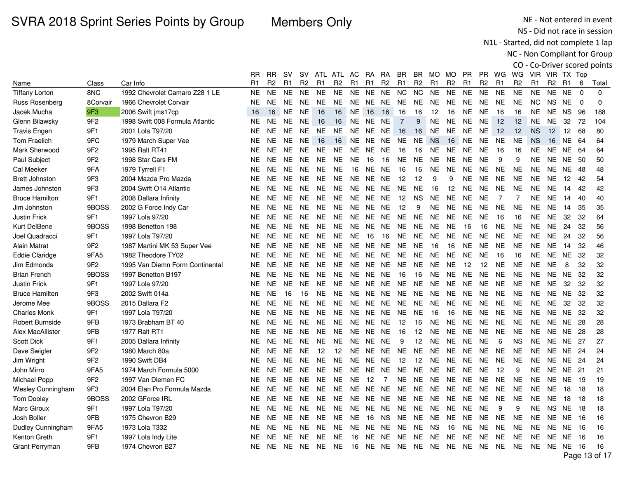Members Only

NE - Not entered in event NS - Did not race in session

N1L - Started, did not complete 1 lap

|                          |                 |                                 |                |           |                |                |                |                |                |                |                |                |                |                |                |                |                |                |                | CO - Co-Driver scored points |                |                 |             |               |
|--------------------------|-----------------|---------------------------------|----------------|-----------|----------------|----------------|----------------|----------------|----------------|----------------|----------------|----------------|----------------|----------------|----------------|----------------|----------------|----------------|----------------|------------------------------|----------------|-----------------|-------------|---------------|
|                          |                 |                                 | RR             | <b>RR</b> | <b>SV</b>      |                |                | SV ATL ATL AC  |                |                | RA RA          | BR.            | BR             | MO MO          |                | <b>PR</b>      | <b>PR</b>      | WG             | WG             |                              | VIR VIR TX Top |                 |             |               |
| Name                     | Class           | Car Info                        | R <sub>1</sub> | R2        | R <sub>1</sub> | R <sub>2</sub> | R <sub>1</sub> | R <sub>2</sub> | R <sub>1</sub> | R <sub>1</sub> | R <sub>2</sub> | R <sub>1</sub> | R <sub>2</sub> | R <sub>1</sub> | R <sub>2</sub> | R <sub>1</sub> | R <sub>2</sub> | R <sub>1</sub> | R <sub>2</sub> | R <sub>1</sub>               | R <sub>2</sub> | <b>R1</b>       | 6           | Total         |
| <b>Tiffany Lorton</b>    | 8NC             | 1992 Chevrolet Camaro Z28 1 LE  | <b>NE</b>      | <b>NE</b> | <b>NE</b>      | <b>NE</b>      | <b>NE</b>      | <b>NE</b>      | <b>NE</b>      | <b>NE</b>      | <b>NE</b>      | <b>NC</b>      | <b>NC</b>      | <b>NE</b>      | <b>NE</b>      | <b>NE</b>      | <b>NE</b>      | <b>NE</b>      | <b>NE</b>      | <b>NE</b>                    | <b>NE</b>      | <b>NE</b>       | $\Omega$    | $\Omega$      |
| Russ Rosenberg           | 8Corvair        | 1966 Chevrolet Corvair          | <b>NE</b>      | <b>NE</b> | <b>NE</b>      | <b>NE</b>      | <b>NE</b>      | <b>NE</b>      | <b>NE</b>      | <b>NE</b>      | <b>NE</b>      | <b>NE</b>      | <b>NE</b>      | <b>NE</b>      | <b>NE</b>      | NE             | <b>NE</b>      | <b>NE</b>      | <b>NE</b>      | NC                           | <b>NS</b>      | <b>NE</b>       | $\mathbf 0$ | 0             |
| Jacek Mucha              | 9F3             | 2006 Swift jms17cp              | 16             | 16        | <b>NE</b>      | <b>NE</b>      | 16             | 16             | <b>NE</b>      | 16             | 16             | 16             | 16             | 12             | 16             | <b>NE</b>      | <b>NE</b>      | 16             | 16             | <b>NE</b>                    |                | <b>NE NS 96</b> |             | 188           |
| Glenn Bilawsky           | 9F <sub>2</sub> | 1998 Swift 008 Formula Atlantic | <b>NE</b>      | <b>NE</b> | <b>NE</b>      | <b>NE</b>      | 16             | 16             | <b>NE</b>      | <b>NE</b>      | <b>NE</b>      | $\overline{7}$ | 9              | <b>NE</b>      | <b>NE</b>      | <b>NE</b>      | <b>NE</b>      | 12             | 12             | <b>NE</b>                    | <b>NE</b>      | 32              | -72         | 104           |
| <b>Travis Engen</b>      | 9F1             | 2001 Lola T97/20                | <b>NE</b>      | <b>NE</b> | <b>NE</b>      | <b>NE</b>      | <b>NE</b>      | <b>NE</b>      | NE.            |                | NE NE          | 16             | 16             | <b>NE</b>      | <b>NE</b>      | <b>NE</b>      | <b>NE</b>      | 12             | 12             | <b>NS</b>                    | 12             | 12              | 68          | 80            |
| <b>Tom Fraelich</b>      | 9FC             | 1979 March Super Vee            | <b>NE</b>      | <b>NE</b> | <b>NE</b>      | NE.            | 16             | 16             | NE.            | <b>NE</b>      | <b>NE</b>      | <b>NE</b>      | <b>NE</b>      | <b>NS</b>      | 16             | <b>NE</b>      | <b>NE</b>      | <b>NE</b>      | <b>NE</b>      | <b>NS</b>                    | 16             | NE              | 64          | 64            |
| Mark Sherwood            | 9F <sub>2</sub> | 1995 Ralt RT41                  | <b>NE</b>      | <b>NE</b> | <b>NE</b>      | <b>NE</b>      | <b>NE</b>      | <b>NE</b>      | <b>NE</b>      | <b>NE</b>      | <b>NE</b>      | 16             | 16             | <b>NE</b>      | <b>NE</b>      | <b>NE</b>      | <b>NE</b>      | 16             | 16             | <b>NE</b>                    | <b>NE</b>      | <b>NE</b>       | 64          | 64            |
| Paul Subject             | 9F <sub>2</sub> | 1998 Star Cars FM               | <b>NE</b>      | <b>NE</b> | NE.            | <b>NE</b>      | <b>NE</b>      | <b>NE</b>      | NE.            | 16             | 16             | <b>NE</b>      | <b>NE</b>      | <b>NE</b>      | <b>NE</b>      | <b>NE</b>      | <b>NE</b>      | 9              | 9              | <b>NE</b>                    |                | NE NE 50        |             | 50            |
| Cal Meeker               | 9FA             | 1979 Tyrrell F1                 | <b>NE</b>      | <b>NE</b> | <b>NE</b>      | <b>NE</b>      | <b>NE</b>      | <b>NE</b>      | 16             | <b>NE</b>      | <b>NE</b>      | 16             | 16             | <b>NE</b>      | <b>NE</b>      | <b>NE</b>      | <b>NE</b>      | <b>NE</b>      | <b>NE</b>      | <b>NE</b>                    | NE             | <b>NE</b>       | -48         | 48            |
| <b>Brett Johnston</b>    | 9F3             | 2004 Mazda Pro Mazda            | <b>NE</b>      | <b>NE</b> | <b>NE</b>      | <b>NE</b>      | <b>NE</b>      | <b>NE</b>      | <b>NE</b>      | NE.            | <b>NE</b>      | 12             | 12             | 9              | 9              | <b>NE</b>      | <b>NE</b>      | <b>NE</b>      | <b>NE</b>      | <b>NE</b>                    | <b>NE</b>      | 12              | 42          | 54            |
| James Johnston           | 9F3             | 2004 Swift O14 Atlantic         | <b>NE</b>      | <b>NE</b> | <b>NE</b>      | <b>NE</b>      | NE.            | <b>NE</b>      | NE.            | NE.            | NE.            | <b>NE</b>      | <b>NE</b>      | 16             | 12             | <b>NE</b>      | NE.            | <b>NE</b>      | <b>NE</b>      | <b>NE</b>                    | <b>NE</b>      | 14              | 42          | 42            |
| <b>Bruce Hamilton</b>    | 9F1             | 2008 Dallara Infinity           | <b>NE</b>      | <b>NE</b> | <b>NE</b>      | <b>NE</b>      | <b>NE</b>      | <b>NE</b>      | <b>NE</b>      | <b>NE</b>      | <b>NE</b>      | 12             | <b>NS</b>      | <b>NE</b>      | <b>NE</b>      | <b>NE</b>      | <b>NE</b>      | $\overline{7}$ | $\overline{7}$ | <b>NE</b>                    | <b>NE</b>      | 14              | 40          | 40            |
| Jim Johnston             | 9BOSS           | 2002 G Force Indy Car           | <b>NE</b>      | <b>NE</b> | <b>NE</b>      | <b>NE</b>      | <b>NE</b>      | <b>NE</b>      | <b>NE</b>      |                | NE NE          | 12             | 9              | <b>NE</b>      | <b>NE</b>      | <b>NE</b>      | <b>NE</b>      | <b>NE</b>      | <b>NE</b>      | <b>NE</b>                    | <b>NE</b>      | 14              | 35          | 35            |
| <b>Justin Frick</b>      | 9F1             | 1997 Lola 97/20                 | <b>NE</b>      | <b>NE</b> | <b>NE</b>      | NE.            | <b>NE</b>      | <b>NE</b>      | NE.            | NE             | <b>NE</b>      | <b>NE</b>      | <b>NE</b>      | $N\mathsf{E}$  | <b>NE</b>      | <b>NE</b>      | <b>NE</b>      | 16             | 16             | <b>NE</b>                    | <b>NE</b>      | 32              | 32          | 64            |
| Kurt DelBene             | 9BOSS           | 1998 Benetton 198               | <b>NE</b>      | <b>NE</b> | <b>NE</b>      | NE.            | <b>NE</b>      | <b>NE</b>      | <b>NE</b>      | <b>NE</b>      | <b>NE</b>      | <b>NE</b>      | <b>NE</b>      | <b>NE</b>      | <b>NE</b>      | 16             | 16             | <b>NE</b>      | <b>NE</b>      | <b>NE</b>                    | <b>NE</b>      | 24              | 32          | 56            |
| Joel Quadracci           | 9F1             | 1997 Lola T97/20                | <b>NE</b>      | <b>NE</b> | <b>NE</b>      | NE.            | <b>NE</b>      | <b>NE</b>      | NE.            | 16             | 16             | <b>NE</b>      | <b>NE</b>      | <b>NE</b>      | <b>NE</b>      | <b>NE</b>      | <b>NE</b>      | <b>NE</b>      | <b>NE</b>      | <b>NE</b>                    | <b>NE</b>      | 24              | 32          | 56            |
| Alain Matrat             | 9F <sub>2</sub> | 1987 Martini MK 53 Super Vee    | <b>NE</b>      | <b>NE</b> | <b>NE</b>      | <b>NE</b>      | <b>NE</b>      | <b>NE</b>      | <b>NE</b>      | <b>NE</b>      | <b>NE</b>      | <b>NE</b>      | <b>NE</b>      | 16             | 16             | <b>NE</b>      | <b>NE</b>      | <b>NE</b>      | <b>NE</b>      | <b>NE</b>                    | <b>NE</b>      | 14              | 32          | 46            |
| <b>Eddie Claridge</b>    | 9FA5            | 1982 Theodore TY02              | <b>NE</b>      | <b>NE</b> | <b>NE</b>      | NE.            | <b>NE</b>      | <b>NE</b>      | NE.            |                | NE NE          | <b>NE</b>      | <b>NE</b>      | <b>NE</b>      | <b>NE</b>      | <b>NE</b>      | <b>NE</b>      | 16             | 16             | <b>NE</b>                    |                | NE NE           | -32         | 32            |
| Jim Edmonds              | 9F <sub>2</sub> | 1995 Van Diemn Form Continental | <b>NE</b>      | <b>NE</b> | <b>NE</b>      | NE.            | NE.            | <b>NE</b>      | NE.            |                | NE NE          | <b>NE</b>      | <b>NE</b>      | <b>NE</b>      | <b>NE</b>      | 12             | 12             | <b>NE</b>      | <b>NE</b>      | <b>NE</b>                    | <b>NE</b>      | 8               | 32          | 32            |
| <b>Brian French</b>      | 9BOSS           | 1997 Benetton B197              | <b>NE</b>      | <b>NE</b> | <b>NE</b>      | NE.            | <b>NE</b>      | <b>NE</b>      | NE.            | NE.            | <b>NE</b>      | 16             | 16             | <b>NE</b>      | <b>NE</b>      | <b>NE</b>      | <b>NE</b>      | <b>NE</b>      | <b>NE</b>      | <b>NE</b>                    |                | NE NE           | 32          | 32            |
| <b>Justin Frick</b>      | 9F1             | 1997 Lola 97/20                 | <b>NE</b>      | <b>NE</b> | <b>NE</b>      | <b>NE</b>      | <b>NE</b>      | <b>NE</b>      | <b>NE</b>      | <b>NE</b>      | <b>NE</b>      | <b>NE</b>      | <b>NE</b>      | <b>NE</b>      | <b>NE</b>      | <b>NE</b>      | <b>NE</b>      | <b>NE</b>      | <b>NE</b>      | <b>NE</b>                    | <b>NE</b>      | 32              | 32          | 32            |
| <b>Bruce Hamilton</b>    | 9F3             | 2002 Swift 014a                 | <b>NE</b>      | <b>NE</b> | 16             | 16             | <b>NE</b>      | <b>NE</b>      | NE.            |                | NE NE          | NE.            | <b>NE</b>      | <b>NE</b>      | <b>NE</b>      | <b>NE</b>      | <b>NE</b>      | <b>NE</b>      | <b>NE</b>      | <b>NE</b>                    |                | NE NE           | -32         | 32            |
| Jerome Mee               | 9BOSS           | 2015 Dallara F2                 | <b>NE</b>      | <b>NE</b> | <b>NE</b>      | NE.            | NE.            | <b>NE</b>      | <b>NE</b>      |                | NE NE          | NE.            | <b>NE</b>      | <b>NE</b>      | <b>NE</b>      | <b>NE</b>      | <b>NE</b>      | <b>NE</b>      | <b>NE</b>      | <b>NE</b>                    | <b>NE</b>      | 32              | 32          | 32            |
| <b>Charles Monk</b>      | 9F1             | 1997 Lola T97/20                | <b>NE</b>      | <b>NE</b> | <b>NE</b>      | <b>NE</b>      | NE.            | <b>NE</b>      | NE.            | <b>NE</b>      | <b>NE</b>      | <b>NE</b>      | <b>NE</b>      | 16             | 16             | <b>NE</b>      | <b>NE</b>      | <b>NE</b>      | <b>NE</b>      | <b>NE</b>                    | NE.            | <b>NE</b>       | 32          | 32            |
| <b>Robert Burnside</b>   | 9FB             | 1973 Brabham BT 40              | <b>NE</b>      | <b>NE</b> | NE.            | NE.            | <b>NE</b>      | <b>NE</b>      | NE.            | <b>NE</b>      | NE.            | 12             | 16             | <b>NE</b>      | <b>NE</b>      | <b>NE</b>      | <b>NE</b>      | <b>NE</b>      | NE.            | <b>NE</b>                    |                | NE NE           | -28         | 28            |
| Alex MacAllister         | 9FB             | 1977 Ralt RT1                   | <b>NE</b>      | <b>NE</b> | <b>NE</b>      | <b>NE</b>      | <b>NE</b>      | <b>NE</b>      | NE.            | <b>NE</b>      | <b>NE</b>      | 16             | 12             | <b>NE</b>      | <b>NE</b>      | <b>NE</b>      | <b>NE</b>      | <b>NE</b>      | <b>NE</b>      | <b>NE</b>                    | <b>NE</b>      | <b>NE</b>       | 28          | 28            |
| <b>Scott Dick</b>        | 9F1             | 2005 Dallara Infinity           | <b>NE</b>      | <b>NE</b> | <b>NE</b>      | <b>NE</b>      | <b>NE</b>      | <b>NE</b>      | <b>NE</b>      | NE NE          |                | 9              | 12             | <b>NE</b>      | <b>NE</b>      | <b>NE</b>      | <b>NE</b>      | 6              | <b>NS</b>      | <b>NE</b>                    |                | <b>NE NE 27</b> |             | 27            |
| Dave Swigler             | 9F <sub>2</sub> | 1980 March 80a                  | <b>NE</b>      | <b>NE</b> | <b>NE</b>      | <b>NE</b>      | 12             | 12             | <b>NE</b>      | <b>NE</b>      | <b>NE</b>      | <b>NE</b>      | <b>NE</b>      | <b>NE</b>      | <b>NE</b>      | <b>NE</b>      | <b>NE</b>      | <b>NE</b>      | <b>NE</b>      | <b>NE</b>                    |                | NE NE           | -24         | 24            |
| Jim Wright               | 9F <sub>2</sub> | 1990 Swift DB4                  | <b>NE</b>      | <b>NE</b> | <b>NE</b>      | <b>NE</b>      | NE.            | <b>NE</b>      | NE.            | <b>NE</b>      | NE             | 12             | 12             | <b>NE</b>      | <b>NE</b>      | <b>NE</b>      | <b>NE</b>      | <b>NE</b>      | <b>NE</b>      | <b>NE</b>                    |                | NE NE           | -24         | 24            |
| John Mirro               | 9FA5            | 1974 March Formula 5000         | <b>NE</b>      | <b>NE</b> | NE.            | NE.            | <b>NE</b>      | <b>NE</b>      | NE.            | NE.            | NE.            | <b>NE</b>      | <b>NE</b>      | <b>NE</b>      | <b>NE</b>      | NE.            | <b>NE</b>      | 12             | 9              | <b>NE</b>                    | NE.            | <b>NE</b>       | 21          | 21            |
| Michael Popp             | 9F <sub>2</sub> | 1997 Van Diemen FC              | <b>NE</b>      | <b>NE</b> | <b>NE</b>      | NE.            | <b>NE</b>      | <b>NE</b>      | NE.            | 12             | $\overline{7}$ | <b>NE</b>      | <b>NE</b>      | <b>NE</b>      | <b>NE</b>      | <b>NE</b>      | <b>NE</b>      | <b>NE</b>      | <b>NE</b>      | <b>NE</b>                    | NE.            | <b>NE</b>       | - 19        | 19            |
| <b>Wesley Cunningham</b> | 9F3             | 2004 Elan Pro Formula Mazda     | <b>NE</b>      | <b>NE</b> | NE.            | NE.            | <b>NE</b>      | <b>NE</b>      | NE.            |                | NE NE          | <b>NE</b>      | <b>NE</b>      | <b>NE</b>      | <b>NE</b>      | <b>NE</b>      | <b>NE</b>      | <b>NE</b>      | <b>NE</b>      | <b>NE</b>                    | <b>NE</b>      | 18              | -18         | 18            |
| <b>Tom Dooley</b>        | 9BOSS           | 2002 GForce IRL                 | <b>NE</b>      | <b>NE</b> | NE.            | NE.            | NE.            | <b>NE</b>      | NE.            |                | NE NE          | <b>NE</b>      | <b>NE</b>      | <b>NE</b>      | <b>NE</b>      | NE.            | NE.            | <b>NE</b>      | <b>NE</b>      | <b>NE</b>                    | <b>NE</b>      | 18              | -18         | 18            |
| Marc Giroux              | 9F1             | 1997 Lola T97/20                | <b>NE</b>      | <b>NE</b> | <b>NE</b>      | <b>NE</b>      | <b>NE</b>      | <b>NE</b>      | NE.            | <b>NE</b>      | <b>NE</b>      | <b>NE</b>      | <b>NE</b>      | <b>NE</b>      | <b>NE</b>      | <b>NE</b>      | <b>NE</b>      | 9              | 9              | <b>NE</b>                    | <b>NS</b>      | <b>NE</b>       | 18          | 18            |
| Josh Boller              | 9FB             | 1975 Chevron B29                | <b>NE</b>      | <b>NE</b> | <b>NE</b>      | NE.            | <b>NE</b>      | <b>NE</b>      | NE.            | 16             | <b>NS</b>      | <b>NE</b>      | <b>NE</b>      | <b>NE</b>      | <b>NE</b>      | NE.            | NE.            | <b>NE</b>      | <b>NE</b>      | <b>NE</b>                    | NE.            | NE.             | -16         | 16            |
| Dudley Cunningham        | 9FA5            | 1973 Lola T332                  | <b>NE</b>      | <b>NE</b> | NE.            | NE.            | <b>NE</b>      | <b>NE</b>      | <b>NE</b>      | NE.            | <b>NE</b>      | <b>NE</b>      | <b>NE</b>      | <b>NS</b>      | 16             | <b>NE</b>      | <b>NE</b>      | <b>NE</b>      | <b>NE</b>      | <b>NE</b>                    |                | NE NE           | 16          | 16            |
| Kenton Greth             | 9F1             | 1997 Lola Indy Lite             | <b>NE</b>      | <b>NE</b> | <b>NE</b>      | <b>NE</b>      | <b>NE</b>      | <b>NE</b>      | 16             |                | NE NE          | <b>NE</b>      | <b>NE</b>      | <b>NE</b>      | <b>NE</b>      | <b>NE</b>      | <b>NE</b>      | <b>NE</b>      | <b>NE</b>      | <b>NE</b>                    |                | NE NE           | - 16        | 16            |
| Grant Perryman           | 9FB             | 1974 Chevron B27                | NE.            | <b>NE</b> | NE.            | NE.            | NE.            | <b>NE</b>      | 16             |                | NE NE          | NE.            | NE             | <b>NE</b>      | NE.            | NE.            | NE.            | NE.            | NE.            | <b>NE</b>                    |                | NE NE           | -16         | 16            |
|                          |                 |                                 |                |           |                |                |                |                |                |                |                |                |                |                |                |                |                |                |                |                              |                |                 |             | Page 13 of 17 |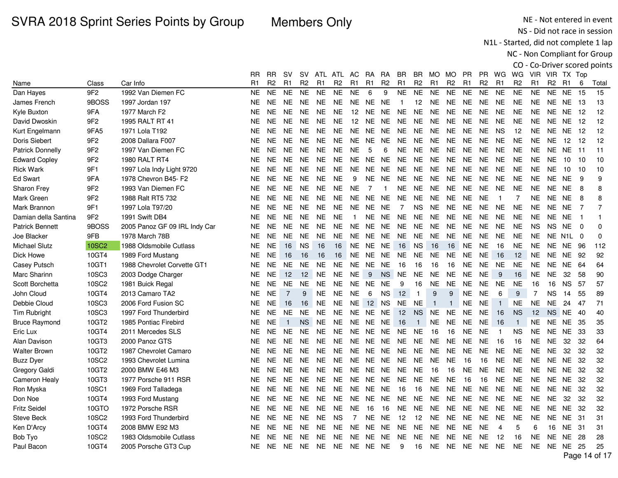Members Only

NE - Not entered in event NS - Did not race in session

N1L - Started, did not complete 1 lap

NC - Non Compliant for Group

|                         |                   |                               | RR             | RR             | sv             | <b>SV</b>      |                | ATL ATL        | AC.            | RA              | RA             | BR             | BR.            | MO.            | MO             | <b>PR</b>      | PR.            | WG           | WG             | VIR.           |                | VIR TX Top            |                |                   |
|-------------------------|-------------------|-------------------------------|----------------|----------------|----------------|----------------|----------------|----------------|----------------|-----------------|----------------|----------------|----------------|----------------|----------------|----------------|----------------|--------------|----------------|----------------|----------------|-----------------------|----------------|-------------------|
| Name                    | Class             | Car Info                      | R <sub>1</sub> | R <sub>2</sub> | R <sub>1</sub> | R <sub>2</sub> | R <sub>1</sub> | R <sub>2</sub> | R <sub>1</sub> | R <sub>1</sub>  | R <sub>2</sub> | R <sub>1</sub> | R <sub>2</sub> | R <sub>1</sub> | R <sub>2</sub> | R <sub>1</sub> | R <sub>2</sub> | R1           | R <sub>2</sub> | R <sub>1</sub> | R <sub>2</sub> | <b>R1</b>             | 6              | Total             |
| Dan Hayes               | 9F <sub>2</sub>   | 1992 Van Diemen FC            | <b>NE</b>      | <b>NE</b>      | <b>NE</b>      | <b>NE</b>      | <b>NE</b>      | <b>NE</b>      | <b>NE</b>      | 6               | 9              | <b>NE</b>      | <b>NE</b>      | <b>NE</b>      | <b>NE</b>      | <b>NE</b>      | <b>NE</b>      | <b>NE</b>    | <b>NE</b>      | <b>NE</b>      | <b>NE</b>      | <b>NE</b>             | 15             | 15                |
| James French            | 9BOSS             | 1997 Jordan 197               | NE.            | <b>NE</b>      | <b>NE</b>      | <b>NE</b>      | <b>NE</b>      | <b>NE</b>      | <b>NE</b>      | <b>NE</b>       | <b>NE</b>      | $\overline{1}$ | 12             | <b>NE</b>      | <b>NE</b>      | <b>NE</b>      | <b>NE</b>      | <b>NE</b>    | <b>NE</b>      | <b>NE</b>      |                | NE NE 13              |                | 13                |
| Kyle Buxton             | 9FA               | 1977 March F2                 | <b>NE</b>      | <b>NE</b>      | <b>NE</b>      | <b>NE</b>      | NE.            | <b>NE</b>      | 12             | NE.             | <b>NE</b>      | NE.            | <b>NE</b>      | <b>NE</b>      | <b>NE</b>      | <b>NE</b>      | NE.            | NE.          | <b>NE</b>      | <b>NE</b>      |                | NE NE                 | 12             | 12                |
| David Dwoskin           | 9F <sub>2</sub>   | 1995 RALT RT 41               | <b>NE</b>      | <b>NE</b>      | <b>NE</b>      | <b>NE</b>      | NE.            | <b>NE</b>      | 12             | NE.             | NE.            | NE.            | <b>NE</b>      | NE.            | <b>NE</b>      | <b>NE</b>      | <b>NE</b>      | <b>NE</b>    | <b>NE</b>      | <b>NE</b>      |                | <b>NE NE 12</b>       |                | 12                |
| Kurt Engelmann          | 9FA5              | 1971 Lola T192                | NE             | <b>NE</b>      | <b>NE</b>      | <b>NE</b>      | <b>NE</b>      | <b>NE</b>      | <b>NE</b>      | NE.             | NE.            | NE.            | <b>NE</b>      | <b>NE</b>      | <b>NE</b>      | <b>NE</b>      | <b>NE</b>      | <b>NS</b>    | 12             | <b>NE</b>      |                | NE NE                 | -12            | $12 \overline{ }$ |
| Doris Siebert           | 9F <sub>2</sub>   | 2008 Dallara F007             | <b>NE</b>      | <b>NE</b>      | <b>NE</b>      | <b>NE</b>      | NE.            | <b>NE</b>      | <b>NE</b>      | <b>NE</b>       | NE.            | <b>NE</b>      | <b>NE</b>      | <b>NE</b>      | <b>NE</b>      | <b>NE</b>      | <b>NE</b>      | <b>NE</b>    | <b>NE</b>      | <b>NE</b>      | <b>NE</b>      | 12                    | 12             | 12                |
| <b>Patrick Donnelly</b> | 9F <sub>2</sub>   | 1997 Van Diemen FC            | NE.            | <b>NE</b>      | <b>NE</b>      | <b>NE</b>      | <b>NE</b>      | <b>NE</b>      | <b>NE</b>      | 5               | 6              | NE.            | <b>NE</b>      | <b>NE</b>      | <b>NE</b>      | <b>NE</b>      | <b>NE</b>      | <b>NE</b>    | <b>NE</b>      | <b>NE</b>      | <b>NE</b>      | NE                    | $-11$          | 11                |
| <b>Edward Copley</b>    | 9F <sub>2</sub>   | <b>1980 RALT RT4</b>          | NE.            | <b>NE</b>      | <b>NE</b>      | <b>NE</b>      | <b>NE</b>      | <b>NE</b>      | <b>NE</b>      | NE              | <b>NE</b>      | NE.            | <b>NE</b>      | <b>NE</b>      | <b>NE</b>      | <b>NE</b>      | <b>NE</b>      | <b>NE</b>    | <b>NE</b>      | <b>NE</b>      | <b>NE</b>      | 10                    | 10             | 10                |
| <b>Rick Wark</b>        | 9F1               | 1997 Lola Indy Light 9720     | <b>NE</b>      | <b>NE</b>      | <b>NE</b>      | <b>NE</b>      | <b>NE</b>      | <b>NE</b>      | <b>NE</b>      | NE              | <b>NE</b>      | <b>NE</b>      | <b>NE</b>      | <b>NE</b>      | <b>NE</b>      | <b>NE</b>      | <b>NE</b>      | <b>NE</b>    | <b>NE</b>      | NE.            | <b>NE</b>      | 10                    | 10             | 10                |
| <b>Ed Swart</b>         | 9FA               | 1978 Chevron B45- F2          | NE.            | <b>NE</b>      | <b>NE</b>      | <b>NE</b>      | <b>NE</b>      | <b>NE</b>      | 9              | <b>NE</b>       | <b>NE</b>      | <b>NE</b>      | <b>NE</b>      | <b>NE</b>      | <b>NE</b>      | <b>NE</b>      | <b>NE</b>      | <b>NE</b>    | <b>NE</b>      | <b>NE</b>      | <b>NE</b>      | <b>NE</b>             | 9              | 9                 |
| Sharon Frey             | 9F <sub>2</sub>   | 1993 Van Diemen FC            | NΕ             | <b>NE</b>      | <b>NE</b>      | <b>NE</b>      | NE.            | <b>NE</b>      | <b>NE</b>      | $\overline{7}$  | $\mathbf{1}$   | NE.            | <b>NE</b>      | <b>NE</b>      | <b>NE</b>      | <b>NE</b>      | <b>NE</b>      | <b>NE</b>    | <b>NE</b>      | <b>NE</b>      |                | NE NE                 | 8              | 8                 |
| Mark Green              | 9F <sub>2</sub>   | 1988 Ralt RT5 732             | NE.            | <b>NE</b>      | <b>NE</b>      | <b>NE</b>      | NE.            | <b>NE</b>      | <b>NE</b>      | NE              | <b>NE</b>      | <b>NE</b>      | <b>NE</b>      | <b>NE</b>      | <b>NE</b>      | <b>NE</b>      | <b>NE</b>      | -1           | $\overline{7}$ | <b>NE</b>      |                | NE NE                 | 8              | 8                 |
| Mark Brannon            | 9F1               | 1997 Lola T97/20              | <b>NE</b>      | <b>NE</b>      | <b>NE</b>      | <b>NE</b>      | <b>NE</b>      | <b>NE</b>      | <b>NE</b>      | NE              | <b>NE</b>      | $\overline{7}$ | <b>NS</b>      | <b>NE</b>      | <b>NE</b>      | <b>NE</b>      | <b>NE</b>      | <b>NE</b>    | <b>NE</b>      | <b>NE</b>      | <b>NE</b>      | <b>NE</b>             | $\overline{7}$ | $\overline{7}$    |
| Damian della Santina    | 9F <sub>2</sub>   | 1991 Swift DB4                | <b>NE</b>      | <b>NE</b>      | <b>NE</b>      | <b>NE</b>      | <b>NE</b>      | <b>NE</b>      | $\overline{1}$ | <b>NE</b>       | <b>NE</b>      | <b>NE</b>      | <b>NE</b>      | <b>NE</b>      | <b>NE</b>      | <b>NE</b>      | <b>NE</b>      | <b>NE</b>    | <b>NE</b>      | <b>NE</b>      | NE.            | <b>NE</b>             |                | 1                 |
| <b>Patrick Bennett</b>  | 9BOSS             | 2005 Panoz GF 09 IRL Indy Car | NE.            | <b>NE</b>      | <b>NE</b>      | <b>NE</b>      | <b>NE</b>      | <b>NE</b>      | <b>NE</b>      | <b>NE</b>       | <b>NE</b>      | <b>NE</b>      | <b>NE</b>      | <b>NE</b>      | <b>NE</b>      | <b>NE</b>      | <b>NE</b>      | <b>NE</b>    | <b>NE</b>      | <b>NS</b>      | <b>NS</b>      | <b>NE</b>             | $\overline{0}$ | $\Omega$          |
| Joe Blacker             | 9FB               | 1978 March 78B                | <b>NE</b>      | <b>NE</b>      | <b>NE</b>      | <b>NE</b>      | <b>NE</b>      | <b>NE</b>      | <b>NE</b>      | <b>NE</b>       | NE.            | <b>NE</b>      | <b>NE</b>      | <b>NE</b>      | <b>NE</b>      | <b>NE</b>      | <b>NE</b>      | <b>NE</b>    | <b>NE</b>      | <b>NE</b>      |                | NE N <sub>1</sub> L 0 |                | $\Omega$          |
| <b>Michael Slutz</b>    | 10SC <sub>2</sub> | 1988 Oldsmobile Cutlass       | NΕ             | <b>NE</b>      | 16             | <b>NS</b>      | 16             | 16             |                | NE NE NE        |                | 16             | <b>NS</b>      | 16             | 16             | <b>NE</b>      | <b>NE</b>      | 16           | <b>NE</b>      | NE.            |                | <b>NE NE 96</b>       |                | 112               |
| <b>Dick Howe</b>        | 10GT4             | 1989 Ford Mustang             | NE             | <b>NE</b>      | 16             | 16             | 16             | 16             |                | NE NE           | NE.            | NE             | <b>NE</b>      | <b>NE</b>      | NE             | <b>NE</b>      | <b>NE</b>      | 16           | 12             | <b>NE</b>      |                | NE NE                 | -92            | 92                |
| Casey Putsch            | 10GT1             | 1988 Chevrolet Corvette GT1   | NE             | <b>NE</b>      | <b>NE</b>      | <b>NE</b>      | NE.            | <b>NE</b>      | <b>NE</b>      | NE              | <b>NE</b>      | 16             | 16             | 16             | 16             | <b>NE</b>      | <b>NE</b>      | <b>NE</b>    | <b>NE</b>      | <b>NE</b>      | <b>NE</b>      | NE                    | -64            | 64                |
| Marc Sharinn            | 10SC3             | 2003 Dodge Charger            | <b>NE</b>      | <b>NE</b>      | 12             | 12             | <b>NE</b>      | <b>NE</b>      | <b>NE</b>      | 9               | <b>NS</b>      | <b>NE</b>      | <b>NE</b>      | <b>NE</b>      | <b>NE</b>      | <b>NE</b>      | <b>NE</b>      | 9            | 16             | <b>NE</b>      | <b>NE</b>      | 32                    | 58             | 90                |
| Scott Borchetta         | 10SC2             | 1981 Buick Regal              | NE             | <b>NE</b>      | <b>NE</b>      | <b>NE</b>      | <b>NE</b>      | <b>NE</b>      | <b>NE</b>      | NE              | <b>NE</b>      | 9              | 16             | <b>NE</b>      | <b>NE</b>      | <b>NE</b>      | <b>NE</b>      | <b>NE</b>    | <b>NE</b>      | 16             | 16             | <b>NS</b>             | -57            | 57                |
| John Cloud              | 10GT4             | 2013 Camaro TA2               | <b>NE</b>      | <b>NE</b>      | $\overline{7}$ | 9              | <b>NE</b>      | <b>NE</b>      | <b>NE</b>      | 6               | <b>NS</b>      | 12             | $\mathbf{1}$   | 9              | 9              | <b>NE</b>      | <b>NE</b>      | 6            | 9              | $\overline{7}$ | <b>NS</b>      | 14                    | 55             | 89                |
| Debbie Cloud            | 10SC3             | 2006 Ford Fusion SC           | NE.            | <b>NE</b>      | 16             | 16             | <b>NE</b>      | <b>NE</b>      | <b>NE</b>      | 12 <sup>2</sup> | <b>NS</b>      | <b>NE</b>      | <b>NE</b>      | $\mathbf{1}$   | $\overline{1}$ | <b>NE</b>      | <b>NE</b>      | $\mathbf{1}$ | <b>NE</b>      | <b>NE</b>      | <b>NE</b>      | 24                    | 47             | 71                |
| Tim Rubright            | 10SC3             | 1997 Ford Thunderbird         | NE             | <b>NE</b>      | <b>NE</b>      | <b>NE</b>      | NE.            | <b>NE</b>      |                | NE NE NE        |                | 12             | <b>NS</b>      | <b>NE</b>      | <b>NE</b>      | <b>NE</b>      | <b>NE</b>      | 16           | <b>NS</b>      | 12             |                | NS NE 40              |                | 40                |
| <b>Bruce Raymond</b>    | 10GT2             | 1985 Pontiac Firebird         | NE             | <b>NE</b>      | $\mathbf{1}$   | <b>NS</b>      | <b>NE</b>      | <b>NE</b>      | <b>NE</b>      | NE              | <b>NE</b>      | 16             | $\mathbf{1}$   | <b>NE</b>      | <b>NE</b>      | <b>NE</b>      | <b>NE</b>      | 16           | $\mathbf{1}$   | <b>NE</b>      |                | <b>NE NE 35</b>       |                | 35                |
| Eric Lux                | 10GT4             | 2011 Mercedes SLS             | NE             | <b>NE</b>      | <b>NE</b>      | <b>NE</b>      | <b>NE</b>      | <b>NE</b>      | <b>NE</b>      | <b>NE</b>       | <b>NE</b>      | <b>NE</b>      | <b>NE</b>      | 16             | 16             | <b>NE</b>      | <b>NE</b>      | -1           | <b>NS</b>      | <b>NE</b>      | <b>NE</b>      | <b>NE</b>             | 33             | 33                |
| Alan Davison            | 10GT3             | 2000 Panoz GTS                | <b>NE</b>      | <b>NE</b>      | <b>NE</b>      | <b>NE</b>      | NE.            | <b>NE</b>      | <b>NE</b>      | <b>NE</b>       | <b>NE</b>      | <b>NE</b>      | <b>NE</b>      | <b>NE</b>      | <b>NE</b>      | <b>NE</b>      | <b>NE</b>      | 16           | 16             | <b>NE</b>      | <b>NE</b>      | 32                    | -32            | 64                |
| <b>Walter Brown</b>     | 10GT2             | 1987 Chevrolet Camaro         | NE.            | <b>NE</b>      | <b>NE</b>      | <b>NE</b>      | <b>NE</b>      | <b>NE</b>      | <b>NE</b>      | <b>NE</b>       | NE.            | NE.            | <b>NE</b>      | <b>NE</b>      | <b>NE</b>      | <b>NE</b>      | <b>NE</b>      | <b>NE</b>    | <b>NE</b>      | <b>NE</b>      | <b>NE</b>      | 32                    | -32            | 32                |
| <b>Buzz Dyer</b>        | 10SC2             | 1993 Chevrolet Lumina         | <b>NE</b>      | <b>NE</b>      | <b>NE</b>      | <b>NE</b>      | <b>NE</b>      | <b>NE</b>      | <b>NE</b>      | <b>NE</b>       | NE.            | NE.            | <b>NE</b>      | <b>NE</b>      | <b>NE</b>      | 16             | 16             | <b>NE</b>    | <b>NE</b>      | <b>NE</b>      | <b>NE</b>      | <b>NE</b>             | 32             | 32                |
| Gregory Galdi           | 10GT2             | 2000 BMW E46 M3               | NE.            | <b>NE</b>      | <b>NE</b>      | <b>NE</b>      | <b>NE</b>      | NE.            |                | NE NE NE        |                | NE.            | NE.            | 16             | 16             | <b>NE</b>      | <b>NE</b>      | <b>NE</b>    | <b>NE</b>      | NE.            |                | <b>NE NE 32</b>       |                | 32                |
| Cameron Healy           | 10GT3             | 1977 Porsche 911 RSR          | NΕ             | <b>NE</b>      | <b>NE</b>      | <b>NE</b>      | NE.            | <b>NE</b>      |                |                 | NE NE NE       | NE.            | NE             | <b>NE</b>      | <b>NE</b>      | 16             | 16             | <b>NE</b>    | <b>NE</b>      | <b>NE</b>      |                | NE NE                 | - 32           | 32                |
| Ron Myska               | 10SC1             | 1969 Ford Talladega           | <b>NE</b>      | <b>NE</b>      | <b>NE</b>      | <b>NE</b>      | NE.            | <b>NE</b>      | <b>NE</b>      | <b>NE</b>       | NE             | 16             | 16             | <b>NE</b>      | <b>NE</b>      | <b>NE</b>      | <b>NE</b>      | <b>NE</b>    | <b>NE</b>      | <b>NE</b>      |                | NE NE                 | 32             | 32                |
| Don Noe                 | 10GT4             | 1993 Ford Mustang             | NE             | <b>NE</b>      | <b>NE</b>      | <b>NE</b>      | <b>NE</b>      | <b>NE</b>      | NE.            | NE              | <b>NE</b>      | NE.            | <b>NE</b>      | <b>NE</b>      | <b>NE</b>      | <b>NE</b>      | <b>NE</b>      | <b>NE</b>    | <b>NE</b>      | <b>NE</b>      | <b>NE</b>      | 32                    | 32             | 32                |
| <b>Fritz Seidel</b>     | 10GTO             | 1972 Porsche RSR              | NE.            | <b>NE</b>      | <b>NE</b>      | <b>NE</b>      | NE.            | <b>NE</b>      | <b>NE</b>      | 16              | 16             | NE.            | <b>NE</b>      | <b>NE</b>      | <b>NE</b>      | <b>NE</b>      | <b>NE</b>      | <b>NE</b>    | <b>NE</b>      | <b>NE</b>      |                | NE NE                 | -32            | 32                |
| <b>Steve Beck</b>       | 10SC <sub>2</sub> | 1993 Ford Thunderbird         | <b>NE</b>      | <b>NE</b>      | <b>NE</b>      | <b>NE</b>      | NE             | <b>NS</b>      | $\overline{7}$ | <b>NE</b>       | <b>NE</b>      | 12             | 12             | <b>NE</b>      | <b>NE</b>      | <b>NE</b>      | <b>NE</b>      | <b>NE</b>    | <b>NE</b>      | NE.            | <b>NE</b>      | <b>NE</b>             | -31            | 31                |
| Ken D'Arcy              | 10GT4             | 2008 BMW E92 M3               | NE.            | <b>NE</b>      | <b>NE</b>      | <b>NE</b>      | <b>NE</b>      | <b>NE</b>      | <b>NE</b>      | <b>NE</b>       | <b>NE</b>      | <b>NE</b>      | <b>NE</b>      | <b>NE</b>      | <b>NE</b>      | <b>NE</b>      | <b>NE</b>      | 4            | 5              | 6              | 16             | NE                    | - 31           | 31                |
| Bob Tyo                 | 10SC2             | 1983 Oldsmobile Cutlass       | NE.            | <b>NE</b>      | <b>NE</b>      | <b>NE</b>      | NE.            | <b>NE</b>      |                | NE NE           | <b>NE</b>      | <b>NE</b>      | <b>NE</b>      | <b>NE</b>      | <b>NE</b>      | <b>NE</b>      | <b>NE</b>      | 12           | 16             | <b>NE</b>      |                | NE NE                 | -28            | 28                |
| Paul Bacon              | 10GT4             | 2005 Porsche GT3 Cup          | NE.            | <b>NE</b>      | NE.            | NE.            | NE.            | NE             | NE NE NE       |                 |                | 9              | 16             | NE.            | NE.            | <b>NE</b>      | NE.            | <b>NE</b>    | <b>NE</b>      | <b>NE</b>      |                | NE NE                 | -25            | 25                |
|                         |                   |                               |                |                |                |                |                |                |                |                 |                |                |                |                |                |                |                |              |                |                |                |                       |                | Page 14 of 17     |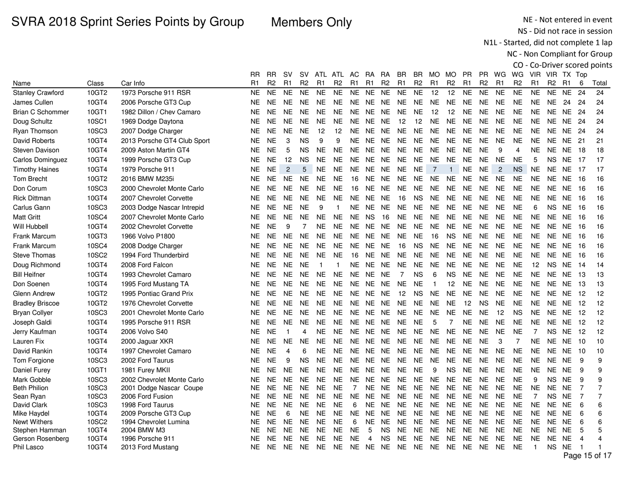Members Only

NE - Not entered in event NS - Did not race in session

N1L - Started, did not complete 1 lap

|                                       |                            |                                      |                        |                        |                        |                        |                        |                        |                |                |                        |                        |                        |                        |                        |                        |                        |                        | CO - Co-Driver scored points |                        |                        |                        |                |                |  |  |  |  |  |
|---------------------------------------|----------------------------|--------------------------------------|------------------------|------------------------|------------------------|------------------------|------------------------|------------------------|----------------|----------------|------------------------|------------------------|------------------------|------------------------|------------------------|------------------------|------------------------|------------------------|------------------------------|------------------------|------------------------|------------------------|----------------|----------------|--|--|--|--|--|
|                                       |                            |                                      | <b>RR</b>              | <b>RR</b>              | <b>SV</b>              | <b>SV</b>              |                        | ATL ATL AC RA          |                |                | <b>RA</b>              | BR.                    | BR                     | MO MO                  |                        | <b>PR</b>              | <b>PR</b>              | WG                     | WG                           |                        | VIR VIR TX Top         |                        |                |                |  |  |  |  |  |
| Name                                  | Class                      | Car Info                             | R1                     | R2                     | R <sub>1</sub>         | R <sub>2</sub>         | R <sub>1</sub>         | R <sub>2</sub>         | R1             | R <sub>1</sub> | R <sub>2</sub>         | R <sub>1</sub>         | R <sub>2</sub>         | R <sub>1</sub>         | R <sub>2</sub>         | R1                     | R <sub>2</sub>         | R1                     | R <sub>2</sub>               | R <sub>1</sub>         | R <sub>2</sub>         | - R1                   | 6              | Total          |  |  |  |  |  |
| <b>Stanley Crawford</b>               | 10GT2                      | 1973 Porsche 911 RSR                 | <b>NE</b>              | <b>NE</b>              | <b>NE</b>              | <b>NE</b>              | <b>NE</b>              | <b>NE</b>              | <b>NE</b>      | <b>NE</b>      | <b>NE</b>              | <b>NE</b>              | <b>NE</b>              | 12                     | 12                     | <b>NE</b>              | <b>NE</b>              | <b>NE</b>              | <b>NE</b>                    | <b>NE</b>              | <b>NE</b>              | <b>NE</b>              | 24             | 24             |  |  |  |  |  |
| James Cullen                          | 10GT4                      | 2006 Porsche GT3 Cup                 | <b>NE</b>              | <b>NE</b>              | <b>NE</b>              | <b>NE</b>              | NE.                    | <b>NE</b>              | NE.            | NE.            | <b>NE</b>              | <b>NE</b>              | <b>NE</b>              | <b>NE</b>              | <b>NE</b>              | <b>NE</b>              | <b>NE</b>              | <b>NE</b>              | <b>NE</b>                    | <b>NE</b>              | <b>NE</b>              | 24                     | 24             | 24             |  |  |  |  |  |
| <b>Brian C Schommer</b>               | 10GT1                      | 1982 Dillon / Chev Camaro            | <b>NE</b>              | <b>NE</b>              | <b>NE</b>              | <b>NE</b>              | <b>NE</b>              | <b>NE</b>              | <b>NE</b>      | NE NE          |                        | <b>NE</b>              | <b>NE</b>              | 12                     | 12                     | <b>NE</b>              | <b>NE</b>              | <b>NE</b>              | <b>NE</b>                    | <b>NE</b>              |                        | <b>NE NE 24</b>        |                | 24             |  |  |  |  |  |
| Doug Schultz                          | 10SC1                      | 1969 Dodge Daytona                   | <b>NE</b>              | <b>NE</b>              | <b>NE</b>              | <b>NE</b>              | <b>NE</b>              | <b>NE</b>              | <b>NE</b>      | <b>NE</b>      | <b>NE</b>              | 12                     | 12                     | $N\mathsf{E}$          | <b>NE</b>              | <b>NE</b>              | <b>NE</b>              | <b>NE</b>              | <b>NE</b>                    | <b>NE</b>              | <b>NE</b>              | <b>NE</b>              | -24            | 24             |  |  |  |  |  |
| Ryan Thomson                          | 10SC3                      | 2007 Dodge Charger                   | <b>NE</b>              | <b>NE</b>              | <b>NE</b>              | <b>NE</b>              | 12                     | 12                     | <b>NE</b>      | <b>NE</b>      | <b>NE</b>              | <b>NE</b>              | <b>NE</b>              | <b>NE</b>              | <b>NE</b>              | <b>NE</b>              | <b>NE</b>              | <b>NE</b>              | <b>NE</b>                    | <b>NE</b>              | NE.                    | <b>NE</b>              | -24            | 24             |  |  |  |  |  |
| <b>David Roberts</b>                  | 10GT4                      | 2013 Porsche GT4 Club Sport          | <b>NE</b>              | <b>NE</b>              | 3                      | <b>NS</b>              | 9                      | 9                      | <b>NE</b>      | <b>NE</b>      | <b>NE</b>              | <b>NE</b>              | <b>NE</b>              | <b>NE</b>              | <b>NE</b>              | <b>NE</b>              | <b>NE</b>              | <b>NE</b>              | <b>NE</b>                    | <b>NE</b>              | <b>NE</b>              | <b>NE</b>              | 21             | 21             |  |  |  |  |  |
| <b>Steven Davison</b>                 | 10GT4                      | 2009 Aston Martin GT4                | <b>NE</b>              | <b>NE</b>              | 5                      | <b>NS</b>              | <b>NE</b>              | <b>NE</b>              | <b>NE</b>      | <b>NE</b>      | <b>NE</b>              | <b>NE</b>              | <b>NE</b>              | <b>NE</b>              | <b>NE</b>              | <b>NE</b>              | <b>NE</b>              | 9                      | 4                            | <b>NE</b>              | <b>NE</b>              | <b>NE</b>              | -18            | 18             |  |  |  |  |  |
| Carlos Dominguez                      | 10GT4                      | 1999 Porsche GT3 Cup                 | <b>NE</b>              | <b>NE</b>              | 12                     | <b>NS</b>              | <b>NE</b>              | <b>NE</b>              | <b>NE</b>      | NE NE          |                        | <b>NE</b>              | <b>NE</b>              | <b>NE</b>              | <b>NE</b>              | <b>NE</b>              | <b>NE</b>              | <b>NE</b>              | <b>NE</b>                    | 5                      |                        | NS NE 17               |                | 17             |  |  |  |  |  |
| <b>Timothy Haines</b>                 | 10GT4                      | 1979 Porsche 911                     | <b>NE</b>              | <b>NE</b>              | $\sqrt{2}$             | 5                      | NE                     | <b>NE</b>              | NE             |                | NE NE                  | <b>NE</b>              | <b>NE</b>              | $\overline{7}$         | $\mathbf{1}$           | <b>NE</b>              | <b>NE</b>              | $\mathbf{2}$           | <b>NS</b>                    | <b>NE</b>              | <b>NE</b>              | NE                     | 17             | 17             |  |  |  |  |  |
| Tom Brecht                            | 10GT2                      | 2016 BMW M235i                       | <b>NE</b>              | <b>NE</b>              | <b>NE</b>              | <b>NE</b>              | <b>NE</b>              | <b>NE</b>              | 16             | <b>NE</b>      | <b>NE</b>              | NE.                    | <b>NE</b>              | <b>NE</b>              | <b>NE</b>              | <b>NE</b>              | <b>NE</b>              | <b>NE</b>              | <b>NE</b>                    | <b>NE</b>              | NE.                    | <b>NE</b>              | - 16           | 16             |  |  |  |  |  |
| Don Corum                             | 10SC3                      | 2000 Chevrolet Monte Carlo           | <b>NE</b>              | <b>NE</b>              | <b>NE</b>              | <b>NE</b>              | <b>NE</b>              | <b>NE</b>              | 16             | <b>NE</b>      | <b>NE</b>              | <b>NE</b>              | <b>NE</b>              | <b>NE</b>              | <b>NE</b>              | <b>NE</b>              | <b>NE</b>              | <b>NE</b>              | <b>NE</b>                    | <b>NE</b>              | <b>NE</b>              | <b>NE</b>              | -16            | 16             |  |  |  |  |  |
| <b>Rick Dittman</b>                   | 10GT4                      | 2007 Chevrolet Corvette              | <b>NE</b>              | <b>NE</b>              | <b>NE</b>              | <b>NE</b>              | <b>NE</b>              | <b>NE</b>              | <b>NE</b>      | <b>NE</b>      | <b>NE</b>              | 16                     | <b>NS</b>              | <b>NE</b>              | <b>NE</b>              | <b>NE</b>              | <b>NE</b>              | <b>NE</b>              | <b>NE</b>                    | <b>NE</b>              | <b>NE</b>              | <b>NE</b>              | - 16           | 16             |  |  |  |  |  |
| Carlus Gann                           | 10SC3                      | 2003 Dodge Nascar Intrepid           | <b>NE</b>              | <b>NE</b>              | <b>NE</b>              | <b>NE</b>              | 9                      | $\overline{1}$         | NE             | NE NE          |                        | NE.                    | <b>NE</b>              | <b>NE</b>              | <b>NE</b>              | <b>NE</b>              | <b>NE</b>              | <b>NE</b>              | <b>NE</b>                    | 6                      |                        | NS NE                  | - 16           | 16             |  |  |  |  |  |
| <b>Matt Gritt</b>                     | 10SC4                      | 2007 Chevrolet Monte Carlo           | <b>NE</b>              | <b>NE</b>              | <b>NE</b>              | <b>NE</b>              | <b>NE</b>              | <b>NE</b>              | <b>NE</b>      | <b>NS</b>      | 16                     | <b>NE</b>              | <b>NE</b>              | <b>NE</b>              | <b>NE</b>              | <b>NE</b>              | <b>NE</b>              | <b>NE</b>              | <b>NE</b>                    | <b>NE</b>              | NE.                    | <b>NE</b>              | 16             | 16             |  |  |  |  |  |
| Will Hubbell                          | 10GT4                      | 2002 Chevrolet Corvette              | <b>NE</b>              | <b>NE</b>              | 9                      | $\overline{7}$         | NE.                    | <b>NE</b>              | <b>NE</b>      | <b>NE</b>      | <b>NE</b>              | NE.                    | <b>NE</b>              | <b>NE</b>              | <b>NE</b>              | <b>NE</b>              | <b>NE</b>              | <b>NE</b>              | <b>NE</b>                    | <b>NE</b>              | NE.                    | <b>NE</b>              | 16             | 16             |  |  |  |  |  |
| Frank Marcum                          | 10GT3                      | 1966 Volvo P1800                     | <b>NE</b>              | <b>NE</b>              | <b>NE</b>              | <b>NE</b>              | <b>NE</b>              | <b>NE</b>              | NE.            | <b>NE</b>      | <b>NE</b>              | <b>NE</b>              | <b>NE</b>              | 16                     | <b>NS</b>              | <b>NE</b>              | <b>NE</b>              | <b>NE</b>              | <b>NE</b>                    | <b>NE</b>              | <b>NE</b>              | <b>NE</b>              | -16            | 16             |  |  |  |  |  |
| <b>Frank Marcum</b>                   | 10SC4                      | 2008 Dodge Charger                   | <b>NE</b>              | <b>NE</b>              | <b>NE</b>              | <b>NE</b>              | <b>NE</b>              | <b>NE</b>              | NE.            | NE.            | <b>NE</b>              | 16                     | <b>NS</b>              | <b>NE</b>              | <b>NE</b>              | <b>NE</b>              | <b>NE</b>              | <b>NE</b>              | <b>NE</b>                    | <b>NE</b>              |                        | NE NE                  | - 16           | 16             |  |  |  |  |  |
| <b>Steve Thomas</b>                   | 10SC2                      | 1994 Ford Thunderbird                | <b>NE</b>              | <b>NE</b>              | <b>NE</b>              | <b>NE</b>              | <b>NE</b>              | <b>NE</b>              | 16             | <b>NE</b>      | <b>NE</b>              | <b>NE</b>              | <b>NE</b>              | <b>NE</b>              | <b>NE</b>              | <b>NE</b>              | <b>NE</b>              | <b>NE</b>              | <b>NE</b>                    | <b>NE</b>              |                        | NE NE                  | - 16           | 16             |  |  |  |  |  |
| Doug Richmond                         | 10GT4                      | 2008 Ford Falcon                     | <b>NE</b>              | <b>NE</b>              | <b>NE</b>              | <b>NE</b>              | $\mathbf 1$            | -1                     | <b>NE</b>      | NE             | <b>NE</b>              | <b>NE</b>              | <b>NE</b>              | <b>NE</b>              | <b>NE</b>              | <b>NE</b>              | <b>NE</b>              | <b>NE</b>              | <b>NE</b>                    | 12                     | <b>NS</b>              | <b>NE</b>              | -14            | 14             |  |  |  |  |  |
| <b>Bill Heifner</b>                   | 10GT4                      | 1993 Chevrolet Camaro                | <b>NE</b>              | <b>NE</b>              | <b>NE</b>              | NE.                    | <b>NE</b>              | <b>NE</b>              | NE.            | NE NE          |                        | $\overline{7}$         | <b>NS</b>              | 6                      | <b>NS</b>              | <b>NE</b>              | <b>NE</b>              | <b>NE</b>              | <b>NE</b>                    | <b>NE</b>              | NE.                    | <b>NE</b>              | -13            | 13             |  |  |  |  |  |
| Don Soenen                            | 10GT4                      | 1995 Ford Mustang TA                 | <b>NE</b>              | <b>NE</b>              | <b>NE</b>              | <b>NE</b>              | <b>NE</b>              | <b>NE</b>              | NE.            | <b>NE</b>      | <b>NE</b>              | <b>NE</b>              | <b>NE</b>              | $\overline{1}$         | 12                     | <b>NE</b>              | <b>NE</b>              | <b>NE</b>              | <b>NE</b>                    | <b>NE</b>              |                        | NE NE                  | -13            | 13             |  |  |  |  |  |
| Glenn Andrew                          | 10GT2                      | 1995 Pontiac Grand Prix              | <b>NE</b>              | <b>NE</b>              | <b>NE</b>              | <b>NE</b>              | <b>NE</b>              | <b>NE</b>              |                | NE NE NE       |                        | 12                     | <b>NS</b>              | <b>NE</b>              | <b>NE</b>              | <b>NE</b>              | <b>NE</b>              | <b>NE</b>              | <b>NE</b>                    | <b>NE</b>              |                        | <b>NE NE 12</b>        |                | 12             |  |  |  |  |  |
| <b>Bradley Briscoe</b>                | 10GT2                      | 1976 Chevrolet Corvette              | <b>NE</b>              | <b>NE</b>              | <b>NE</b>              | <b>NE</b>              | <b>NE</b>              | <b>NE</b>              | NE             | NE             | <b>NE</b>              | <b>NE</b>              | <b>NE</b>              | <b>NE</b>              | <b>NE</b>              | 12                     | <b>NS</b>              | <b>NE</b>              | <b>NE</b>                    | <b>NE</b>              |                        | NE NE                  | 12             | 12             |  |  |  |  |  |
| <b>Bryan Collyer</b>                  | 10SC3                      | 2001 Chevrolet Monte Carlo           | <b>NE</b>              | <b>NE</b>              | <b>NE</b>              | <b>NE</b>              | <b>NE</b>              | <b>NE</b>              | <b>NE</b>      | NE             | <b>NE</b>              | <b>NE</b>              | <b>NE</b>              | <b>NE</b>              | <b>NE</b>              | <b>NE</b>              | <b>NE</b>              | 12                     | <b>NS</b>                    | <b>NE</b>              |                        | NE NE                  | 12             | 12             |  |  |  |  |  |
| Joseph Galdi                          | 10GT4                      | 1995 Porsche 911 RSR                 | <b>NE</b>              | <b>NE</b>              | <b>NE</b>              | <b>NE</b>              | <b>NE</b>              | <b>NE</b>              | NE.            | <b>NE</b>      | <b>NE</b>              | NE.                    | <b>NE</b>              | 5                      | $\overline{7}$         | <b>NE</b>              | <b>NE</b>              | <b>NE</b>              | <b>NE</b>                    | <b>NE</b>              | NE.                    | <b>NE</b>              | 12             | 12             |  |  |  |  |  |
| Jerry Kaufman                         | 10GT4                      | 2006 Volvo S40                       | <b>NE</b>              | <b>NE</b>              | -1                     | 4                      | NE.                    | <b>NE</b>              | NE.            | <b>NE</b>      | <b>NE</b>              | <b>NE</b>              | <b>NE</b>              | <b>NE</b>              | <b>NE</b>              | <b>NE</b>              | <b>NE</b>              | <b>NE</b>              | <b>NE</b>                    | $\overline{7}$         | <b>NS</b>              | <b>NE</b>              | 12             | 12             |  |  |  |  |  |
| Lauren Fix                            | 10GT4                      | 2000 Jaguar XKR                      | <b>NE</b>              | <b>NE</b>              | <b>NE</b>              | <b>NE</b>              | <b>NE</b>              | <b>NE</b>              |                | NE NE NE       |                        | NE NE                  |                        | <b>NE</b>              | <b>NE</b>              | <b>NE</b>              | <b>NE</b>              | 3                      | $\overline{7}$               | <b>NE</b>              |                        | NE NE 10               |                | 10             |  |  |  |  |  |
| David Rankin                          | 10GT4                      | 1997 Chevrolet Camaro                | <b>NE</b>              | <b>NE</b>              | 4                      | 6                      | NE.                    | <b>NE</b>              | NE.            | NE             | <b>NE</b>              | <b>NE</b>              | <b>NE</b>              | <b>NE</b>              | <b>NE</b>              | <b>NE</b>              | <b>NE</b>              | <b>NE</b>              | <b>NE</b>                    | <b>NE</b>              | <b>NE</b>              | <b>NE</b>              | 10             | 10             |  |  |  |  |  |
| Tom Forgione                          | 10SC3                      | 2002 Ford Taurus                     | <b>NE</b>              | <b>NE</b>              | 9                      | NS                     | <b>NE</b>              | NE.                    | NE.            | NE             | NE                     | NE.                    | NE                     | NE                     | <b>NE</b>              | <b>NE</b>              | <b>NE</b>              | <b>NE</b>              | <b>NE</b>                    | <b>NE</b>              | NE.                    | <b>NE</b>              | 9              | 9              |  |  |  |  |  |
| Daniel Furey                          | 10GT1                      | 1981 Furey MKII                      | <b>NE</b>              | <b>NE</b>              | <b>NE</b>              | <b>NE</b>              | NE                     | <b>NE</b>              | <b>NE</b>      | <b>NE</b>      | NE.                    | <b>NE</b>              | <b>NE</b>              | 9                      | <b>NS</b>              | <b>NE</b>              | <b>NE</b>              | <b>NE</b>              | <b>NE</b>                    | <b>NE</b>              | <b>NE</b>              | <b>NE</b>              | 9              | 9              |  |  |  |  |  |
| Mark Gobble                           | 10SC3                      | 2002 Chevrolet Monte Carlo           | <b>NE</b>              | <b>NE</b>              | <b>NE</b>              | <b>NE</b>              | <b>NE</b>              | <b>NE</b>              | <b>NE</b>      | <b>NE</b>      | <b>NE</b>              | <b>NE</b>              | <b>NE</b>              | <b>NE</b>              | <b>NE</b>              | <b>NE</b>              | <b>NE</b>              | <b>NE</b>              | <b>NE</b>                    | 9                      | <b>NS</b>              | <b>NE</b>              | 9              | 9              |  |  |  |  |  |
| <b>Beth Philion</b>                   | 10SC3                      | 2001 Dodge Nascar Coupe              | <b>NE</b>              | <b>NE</b>              | <b>NE</b>              | NE.                    | <b>NE</b>              | <b>NE</b>              | $\overline{7}$ | <b>NE</b>      | <b>NE</b>              | <b>NE</b>              | <b>NE</b>              | <b>NE</b>              | <b>NE</b>              | <b>NE</b>              | <b>NE</b>              | <b>NE</b>              | <b>NE</b>                    | <b>NE</b>              | <b>NE</b>              | <b>NE</b>              | $\overline{7}$ | $\overline{7}$ |  |  |  |  |  |
| Sean Ryan                             | 10SC3                      | 2006 Ford Fusion                     | <b>NE</b>              | <b>NE</b>              | <b>NE</b>              | <b>NE</b>              | <b>NE</b>              | <b>NE</b>              | <b>NE</b>      | <b>NE</b>      | <b>NE</b>              | <b>NE</b>              | <b>NE</b>              | <b>NE</b>              | <b>NE</b>              | <b>NE</b>              | <b>NE</b>              | <b>NE</b>              | <b>NE</b>                    | $\overline{7}$         | <b>NS</b>              | <b>NE</b>              | $\overline{7}$ | $\overline{7}$ |  |  |  |  |  |
| David Clark                           | 10SC3                      | 1998 Ford Taurus                     | <b>NE</b>              | <b>NE</b>              | <b>NE</b>              | <b>NE</b>              | <b>NE</b>              | <b>NE</b>              | 6              | <b>NE</b>      | <b>NE</b>              | <b>NE</b>              | <b>NE</b>              | <b>NE</b>              | <b>NE</b>              | <b>NE</b>              | <b>NE</b>              | <b>NE</b>              | <b>NE</b>                    | <b>NE</b>              | NE.                    | <b>NE</b>              | 6              | 6              |  |  |  |  |  |
| Mike Haydel                           | 10GT4                      | 2009 Porsche GT3 Cup                 | <b>NE</b>              | <b>NE</b>              | 6                      | <b>NE</b>              | <b>NE</b>              | <b>NE</b>              | <b>NE</b>      | <b>NE</b>      | <b>NE</b>              | <b>NE</b>              | <b>NE</b>              | <b>NE</b>              | <b>NE</b>              | <b>NE</b>              | <b>NE</b>              | <b>NE</b>              | <b>NE</b>                    | <b>NE</b>              | <b>NE</b>              | <b>NE</b>              | 6              | 6<br>6         |  |  |  |  |  |
| <b>Newt Withers</b><br>Stephen Hamman | 10SC <sub>2</sub><br>10GT4 | 1994 Chevrolet Lumina<br>2004 BMW M3 | <b>NE</b><br><b>NE</b> | <b>NE</b><br><b>NE</b> | <b>NE</b><br><b>NE</b> | <b>NE</b><br><b>NE</b> | <b>NE</b><br><b>NE</b> | <b>NE</b><br><b>NE</b> | 6<br><b>NE</b> | <b>NE</b><br>5 | <b>NE</b><br><b>NS</b> | <b>NE</b><br><b>NE</b> | <b>NE</b><br><b>NE</b> | <b>NE</b><br><b>NE</b> | <b>NE</b><br><b>NE</b> | <b>NE</b><br><b>NE</b> | <b>NE</b><br><b>NE</b> | <b>NE</b><br><b>NE</b> | <b>NE</b><br><b>NE</b>       | <b>NE</b><br><b>NE</b> | <b>NE</b><br><b>NE</b> | <b>NE</b><br><b>NE</b> | 6<br>5         | 5              |  |  |  |  |  |
| Gerson Rosenberg                      | 10GT4                      | 1996 Porsche 911                     | <b>NE</b>              | <b>NE</b>              | <b>NE</b>              | <b>NE</b>              | <b>NE</b>              | <b>NE</b>              | <b>NE</b>      | $\overline{4}$ | <b>NS</b>              | <b>NE</b>              | <b>NE</b>              | <b>NE</b>              | <b>NE</b>              | <b>NE</b>              | <b>NE</b>              | <b>NE</b>              | <b>NE</b>                    | <b>NE</b>              | <b>NE</b>              | <b>NE</b>              | $\overline{4}$ |                |  |  |  |  |  |
| Phil Lasco                            | 10GT4                      | 2013 Ford Mustang                    | <b>NE</b>              | NE.                    | <b>NE</b>              | NE.                    | NE.                    | NE.                    |                | NE NE NE       |                        | NE.                    | NE.                    | <b>NE</b>              | <b>NE</b>              | <b>NE</b>              | NE.                    | <b>NE</b>              | <b>NE</b>                    | $\mathbf{1}$           | NS.                    | NE.                    | -1             | -1             |  |  |  |  |  |
|                                       |                            |                                      |                        |                        |                        |                        |                        |                        |                |                |                        |                        |                        |                        |                        |                        |                        |                        |                              |                        |                        |                        |                | Page 15 of 17  |  |  |  |  |  |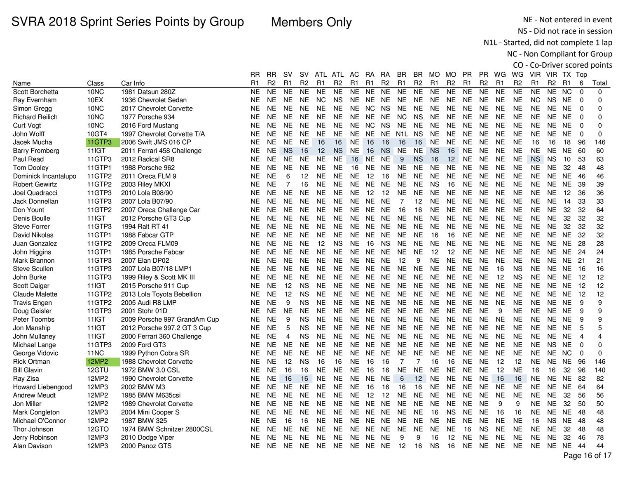Members Only

NE - Not entered in event NS - Did not race in session

N1L - Started, did not complete 1 lap

NC - Non Compliant for Group

|                        |               |                              | RR             | RR.            | sv             | sv              | ATL            | ATL            | AC             | <b>RA</b> | RA             | BR               | BR.             | MO.            | MO             | <b>PR</b>      | <b>PR</b>      | WG             | WG             | VIR.           | VIR.           | TX Top         |             |                |
|------------------------|---------------|------------------------------|----------------|----------------|----------------|-----------------|----------------|----------------|----------------|-----------|----------------|------------------|-----------------|----------------|----------------|----------------|----------------|----------------|----------------|----------------|----------------|----------------|-------------|----------------|
| Name                   | Class         | Car Info                     | R <sub>1</sub> | R <sub>2</sub> | R <sub>1</sub> | R <sub>2</sub>  | R <sub>1</sub> | R <sub>2</sub> | R <sub>1</sub> | R1        | R <sub>2</sub> | R <sub>1</sub>   | R <sub>2</sub>  | R <sub>1</sub> | R <sub>2</sub> | R <sub>1</sub> | R <sub>2</sub> | R <sub>1</sub> | R <sub>2</sub> | R <sub>1</sub> | R <sub>2</sub> | R <sub>1</sub> | 6           | Total          |
| Scott Borchetta        | 10NC          | 1981 Datsun 280Z             | <b>NE</b>      | <b>NE</b>      | <b>NE</b>      | <b>NE</b>       | <b>NE</b>      | <b>NE</b>      | <b>NE</b>      | NE.       | <b>NE</b>      | <b>NE</b>        | <b>NE</b>       | <b>NE</b>      | <b>NE</b>      | <b>NE</b>      | <b>NE</b>      | <b>NE</b>      | <b>NE</b>      | <b>NE</b>      | <b>NE</b>      | <b>NC</b>      | $\mathbf 0$ | $\mathbf 0$    |
| Ray Evernham           | 10EX          | 1936 Chevrolet Sedan         | NE.            | NE.            | <b>NE</b>      | <b>NE</b>       | <b>NC</b>      | <b>NS</b>      | <b>NE</b>      | <b>NE</b> | <b>NE</b>      | NE.              | <b>NE</b>       | <b>NE</b>      | <b>NE</b>      | NE.            | NE.            | NE.            | <b>NE</b>      | NC.            | NS.            | <b>NE</b>      | 0           | $\mathbf 0$    |
| Simon Gregg            | 10NC          | 2017 Chevrolet Corvette      | <b>NE</b>      | <b>NE</b>      | <b>NE</b>      | <b>NE</b>       | <b>NE</b>      | <b>NE</b>      | <b>NE</b>      | NC.       | <b>NS</b>      | <b>NE</b>        | <b>NE</b>       | <b>NE</b>      | <b>NE</b>      | <b>NE</b>      | <b>NE</b>      | <b>NE</b>      | <b>NE</b>      | <b>NE</b>      | <b>NE</b>      | <b>NE</b>      | $\Omega$    | $\mathbf 0$    |
| <b>Richard Reilich</b> | 10NC          | 1977 Porsche 934             | <b>NE</b>      | <b>NE</b>      | <b>NE</b>      | <b>NE</b>       | <b>NE</b>      | <b>NE</b>      | <b>NE</b>      | <b>NE</b> | <b>NE</b>      | <b>NC</b>        | <b>NS</b>       | <b>NE</b>      | <b>NE</b>      | <b>NE</b>      | <b>NE</b>      | <b>NE</b>      | <b>NE</b>      | <b>NE</b>      | <b>NE</b>      | <b>NE</b>      | $\mathbf 0$ | $\overline{0}$ |
| <b>Curt Vogt</b>       | 10NC          | 2016 Ford Mustang            | NE.            | NE.            | NE.            | NE.             | <b>NE</b>      | <b>NE</b>      | <b>NE</b>      | NC.       | <b>NS</b>      | <b>NE</b>        | <b>NE</b>       | <b>NE</b>      | <b>NE</b>      | <b>NE</b>      | NE.            | <b>NE</b>      | <b>NE</b>      | NE.            | NE.            | <b>NE</b>      | $\Omega$    | $\mathbf 0$    |
| John Wolff             | 10GT4         | 1997 Chevrolet Corvette T/A  | <b>NE</b>      | <b>NE</b>      | <b>NE</b>      | <b>NE</b>       | <b>NE</b>      | <b>NE</b>      | <b>NE</b>      | <b>NE</b> | <b>NE</b>      | N <sub>1</sub> L | <b>NS</b>       | <b>NE</b>      | <b>NE</b>      | <b>NE</b>      | <b>NE</b>      | <b>NE</b>      | <b>NE</b>      | <b>NE</b>      | <b>NE</b>      | <b>NE</b>      | 0           | 0              |
| Jacek Mucha            | <b>11GTP3</b> | 2006 Swift JMS 016 CP        | <b>NE</b>      | <b>NE</b>      | <b>NE</b>      | <b>NE</b>       | 16             | 16             | <b>NE</b>      | 16        | 16             | 16               | 16              | <b>NE</b>      | <b>NE</b>      | <b>NE</b>      | <b>NE</b>      | <b>NE</b>      | <b>NE</b>      | 16             | 16             | 18             | 96          | 146            |
| <b>Barry Fromberg</b>  | 11IGT         | 2011 Ferrari 458 Challenge   | <b>NE</b>      | NE.            | <b>NS</b>      | 16              | 12             | <b>NS</b>      | <b>NE</b>      | 16        | <b>NS</b>      | <b>NE</b>        | <b>NE</b>       | <b>NS</b>      | 16             | <b>NE</b>      | NE.            | <b>NE</b>      | <b>NE</b>      | <b>NE</b>      | NE.            | <b>NE</b>      | 60          | 60             |
| Paul Read              | 11GTP3        | 2012 Radical SR8             | <b>NE</b>      | <b>NE</b>      | <b>NE</b>      | <b>NE</b>       | <b>NE</b>      | <b>NE</b>      | 16             | NE        | <b>NE</b>      | 9                | <b>NS</b>       | 16             | 12             | <b>NE</b>      | <b>NE</b>      | <b>NE</b>      | <b>NE</b>      | <b>NS</b>      | <b>NS</b>      | 10             | 53          | 63             |
| Tom Dooley             | 11GTP1        | 1988 Porsche 962             | <b>NE</b>      | <b>NE</b>      | <b>NE</b>      | <b>NE</b>       | <b>NE</b>      | <b>NE</b>      | 16             | <b>NE</b> | <b>NE</b>      | <b>NE</b>        | <b>NE</b>       | <b>NE</b>      | <b>NE</b>      | <b>NE</b>      | NE.            | <b>NE</b>      | <b>NE</b>      | <b>NE</b>      | <b>NE</b>      | 32             | 48          | 48             |
| Dominick Incantalupo   | 11GTP2        | 2011 Oreca FLM 9             | NE.            | <b>NE</b>      | 6              | 12 <sup>2</sup> | <b>NE</b>      | <b>NE</b>      | <b>NE</b>      | 12        | 16             | <b>NE</b>        | <b>NE</b>       | <b>NE</b>      | <b>NE</b>      | <b>NE</b>      | NE.            | <b>NE</b>      | <b>NE</b>      | <b>NE</b>      | NE.            | <b>NE</b>      | 46          | 46             |
| <b>Robert Gewirtz</b>  | 11GTP2        | 2003 Riley MKXI              | <b>NE</b>      | <b>NE</b>      | $\overline{7}$ | 16              | <b>NE</b>      | <b>NE</b>      | <b>NE</b>      | <b>NE</b> | <b>NE</b>      | <b>NE</b>        | <b>NE</b>       | <b>NS</b>      | 16             | <b>NE</b>      | <b>NE</b>      | <b>NE</b>      | <b>NE</b>      | <b>NE</b>      | <b>NE</b>      | <b>NE</b>      | 39          | 39             |
| Joel Quadracci         | 11GTP3        | 2010 Lola B08/90             | <b>NE</b>      | <b>NE</b>      | <b>NE</b>      | <b>NE</b>       | <b>NE</b>      | <b>NE</b>      | <b>NE</b>      | 12        | 12             | <b>NE</b>        | <b>NE</b>       | <b>NE</b>      | <b>NE</b>      | <b>NE</b>      | <b>NE</b>      | <b>NE</b>      | <b>NE</b>      | <b>NE</b>      | <b>NE</b>      | 12             | 36          | 36             |
| Jack Donnellan         | 11GTP3        | 2007 Lola B07/90             | <b>NE</b>      | <b>NE</b>      | <b>NE</b>      | <b>NE</b>       | <b>NE</b>      | <b>NE</b>      | <b>NE</b>      | NE.       | <b>NE</b>      | $\overline{7}$   | 12 <sup>2</sup> | <b>NE</b>      | <b>NE</b>      | <b>NE</b>      | NE.            | <b>NE</b>      | <b>NE</b>      | <b>NE</b>      | NE.            | 14             | 33          | 33             |
| Don Yount              | 11GTP2        | 2007 Oreca Challenge Car     | <b>NE</b>      | <b>NE</b>      | <b>NE</b>      | <b>NE</b>       | <b>NE</b>      | <b>NE</b>      | <b>NE</b>      | <b>NE</b> | <b>NE</b>      | 16               | 16              | <b>NE</b>      | <b>NE</b>      | NE.            | <b>NE</b>      | <b>NE</b>      | <b>NE</b>      | <b>NE</b>      | NE.            | 32             | 32          | 64             |
| Denis Boulle           | 11IGT         | 2012 Porsche GT3 Cup         | <b>NE</b>      | <b>NE</b>      | <b>NE</b>      | <b>NE</b>       | <b>NE</b>      | <b>NE</b>      | <b>NE</b>      | <b>NE</b> | <b>NE</b>      | <b>NE</b>        | <b>NE</b>       | <b>NE</b>      | <b>NE</b>      | <b>NE</b>      | <b>NE</b>      | <b>NE</b>      | <b>NE</b>      | <b>NE</b>      | <b>NE</b>      | 32             | 32          | 32             |
| Steve Forrer           | 11GTP3        | 1994 Ralt RT 41              | <b>NE</b>      | <b>NE</b>      | <b>NE</b>      | <b>NE</b>       | <b>NE</b>      | <b>NE</b>      | <b>NE</b>      | <b>NE</b> | <b>NE</b>      | <b>NE</b>        | <b>NE</b>       | <b>NE</b>      | <b>NE</b>      | <b>NE</b>      | NE.            | <b>NE</b>      | <b>NE</b>      | <b>NE</b>      | <b>NE</b>      | 32             | 32          | 32             |
| David Nikolas          | 11GTP1        | 1988 Fabcar GTP              | <b>NE</b>      | <b>NE</b>      | <b>NE</b>      | <b>NE</b>       | <b>NE</b>      | <b>NE</b>      | <b>NE</b>      | <b>NE</b> | <b>NE</b>      | <b>NE</b>        | <b>NE</b>       | 16             | 16             | <b>NE</b>      | <b>NE</b>      | <b>NE</b>      | <b>NE</b>      | <b>NE</b>      | <b>NE</b>      | <b>NE</b>      | 32          | 32             |
| Juan Gonzalez          | 11GTP2        | 2009 Oreca FLM09             | <b>NE</b>      | <b>NE</b>      | <b>NE</b>      | <b>NE</b>       | 12             | <b>NS</b>      | <b>NE</b>      | 16        | <b>NS</b>      | <b>NE</b>        | <b>NE</b>       | <b>NE</b>      | <b>NE</b>      | <b>NE</b>      | <b>NE</b>      | <b>NE</b>      | <b>NE</b>      | <b>NE</b>      | <b>NE</b>      | <b>NE</b>      | 28          | 28             |
| John Higgins           | 11GTP1        | 1985 Porsche Fabcar          | <b>NE</b>      | <b>NE</b>      | <b>NE</b>      | <b>NE</b>       | <b>NE</b>      | <b>NE</b>      | <b>NE</b>      | <b>NE</b> | <b>NE</b>      | <b>NE</b>        | <b>NE</b>       | 12             | 12             | <b>NE</b>      | <b>NE</b>      | <b>NE</b>      | <b>NE</b>      | <b>NE</b>      | <b>NE</b>      | <b>NE</b>      | 24          | 24             |
| Mark Brannon           | 11GTP3        | 2007 Elan DP02               | <b>NE</b>      | <b>NE</b>      | <b>NE</b>      | <b>NE</b>       | <b>NE</b>      | <b>NE</b>      | <b>NE</b>      | <b>NE</b> | <b>NE</b>      | 12               | 9               | <b>NE</b>      | <b>NE</b>      | <b>NE</b>      | NE.            | <b>NE</b>      | <b>NE</b>      | <b>NE</b>      | <b>NE</b>      | <b>NE</b>      | 21          | 21             |
| <b>Steve Scullen</b>   | 11GTP3        | 2007 Lola B07/18 LMP1        | <b>NE</b>      | <b>NE</b>      | <b>NE</b>      | NE.             | <b>NE</b>      | NE.            | <b>NE</b>      | NE.       | <b>NE</b>      | <b>NE</b>        | <b>NE</b>       | <b>NE</b>      | <b>NE</b>      | <b>NE</b>      | <b>NE</b>      | 16             | <b>NS</b>      | <b>NE</b>      | <b>NE</b>      | <b>NE</b>      | -16         | 16             |
| John Burke             | 11GTP3        | 1999 Riley & Scott MK III    | <b>NE</b>      | <b>NE</b>      | <b>NE</b>      | <b>NE</b>       | <b>NE</b>      | <b>NE</b>      | <b>NE</b>      | <b>NE</b> | <b>NE</b>      | <b>NE</b>        | <b>NE</b>       | <b>NE</b>      | <b>NE</b>      | <b>NE</b>      | <b>NE</b>      | 12             | <b>NS</b>      | <b>NE</b>      | <b>NE</b>      | <b>NE</b>      | 12          | 12             |
| Scott Daiger           | 11IGT         | 2015 Porsche 911 Cup         | <b>NE</b>      | <b>NE</b>      | 12             | <b>NS</b>       | <b>NE</b>      | <b>NE</b>      | <b>NE</b>      | <b>NE</b> | <b>NE</b>      | <b>NE</b>        | <b>NE</b>       | <b>NE</b>      | <b>NE</b>      | <b>NE</b>      | NE.            | <b>NE</b>      | <b>NE</b>      | <b>NE</b>      | NE.            | <b>NE</b>      | 12          | 12             |
| <b>Claude Malette</b>  | 11GTP2        | 2013 Lola Toyota Bebellion   | <b>NE</b>      | <b>NE</b>      | 12             | <b>NS</b>       | <b>NE</b>      | <b>NE</b>      | <b>NE</b>      | <b>NE</b> | <b>NE</b>      | <b>NE</b>        | <b>NE</b>       | <b>NE</b>      | <b>NE</b>      | <b>NE</b>      | <b>NE</b>      | <b>NE</b>      | <b>NE</b>      | <b>NE</b>      | NE.            | <b>NE</b>      | 12          | 12             |
| <b>Travis Engen</b>    | 11GTP2        | 2005 Audi R8 LMP             | <b>NE</b>      | <b>NE</b>      | 9              | <b>NS</b>       | <b>NE</b>      | <b>NE</b>      | <b>NE</b>      | <b>NE</b> | <b>NE</b>      | <b>NE</b>        | <b>NE</b>       | <b>NE</b>      | <b>NE</b>      | <b>NE</b>      | <b>NE</b>      | <b>NE</b>      | <b>NE</b>      | <b>NE</b>      | <b>NE</b>      | <b>NE</b>      | 9           | 9              |
| Doug Geisler           | 11GTP3        | 2001 Stohr 01D               | NE             | <b>NE</b>      | <b>NE</b>      | <b>NE</b>       | <b>NE</b>      | <b>NE</b>      | <b>NE</b>      | <b>NE</b> | <b>NE</b>      | <b>NE</b>        | <b>NE</b>       | <b>NE</b>      | <b>NE</b>      | <b>NE</b>      | <b>NE</b>      | 9              | <b>NE</b>      | <b>NE</b>      | NE.            | <b>NE</b>      | 9           | 9              |
| Peter Toombs           | 11IGT         | 2009 Porsche 997 GrandAm Cup | NE.            | <b>NE</b>      | 9              | <b>NS</b>       | <b>NE</b>      | NE.            | <b>NE</b>      | NE.       | <b>NE</b>      | <b>NE</b>        | <b>NE</b>       | <b>NE</b>      | <b>NE</b>      | <b>NE</b>      | NE.            | <b>NE</b>      | <b>NE</b>      | <b>NE</b>      | NE.            | <b>NE</b>      | 9           | 9              |
| Jon Manship            | 11IGT         | 2012 Porsche 997.2 GT 3 Cup  | <b>NE</b>      | <b>NE</b>      | 5              | <b>NS</b>       | <b>NE</b>      | <b>NE</b>      | <b>NE</b>      | <b>NE</b> | <b>NE</b>      | <b>NE</b>        | <b>NE</b>       | <b>NE</b>      | <b>NE</b>      | <b>NE</b>      | <b>NE</b>      | <b>NE</b>      | <b>NE</b>      | <b>NE</b>      | <b>NE</b>      | <b>NE</b>      | 5           | 5              |
| John Mullaney          | 11IGT         | 2000 Ferrari 360 Challenge   | <b>NE</b>      | <b>NE</b>      | $\overline{4}$ | <b>NS</b>       | <b>NE</b>      | <b>NE</b>      | <b>NE</b>      | <b>NE</b> | <b>NE</b>      | <b>NE</b>        | <b>NE</b>       | <b>NE</b>      | <b>NE</b>      | <b>NE</b>      | NE.            | <b>NE</b>      | <b>NE</b>      | <b>NE</b>      | NE.            | <b>NE</b>      | 4           | 4              |
| Michael Lange          | 11GTP3        | 2009 Ford GT3                | NE             | <b>NE</b>      | <b>NE</b>      | <b>NE</b>       | <b>NE</b>      | NE.            | <b>NE</b>      | NE        | <b>NE</b>      | <b>NE</b>        | <b>NE</b>       | <b>NE</b>      | <b>NE</b>      | <b>NE</b>      | <b>NE</b>      | <b>NE</b>      | <b>NE</b>      | <b>NE</b>      | NS.            | <b>NE</b>      | $\Omega$    | $\Omega$       |
| George Vidovic         | 11NC          | 1999 Python Cobra SR         | <b>NE</b>      | <b>NE</b>      | <b>NE</b>      | <b>NE</b>       | <b>NE</b>      | <b>NE</b>      | <b>NE</b>      | <b>NE</b> | <b>NE</b>      | <b>NE</b>        | <b>NE</b>       | <b>NE</b>      | <b>NE</b>      | <b>NE</b>      | <b>NE</b>      | <b>NE</b>      | <b>NE</b>      | <b>NE</b>      | <b>NE</b>      | <b>NC</b>      | 0           | $\mathbf 0$    |
| <b>Rick Ortman</b>     | <b>12MP2</b>  | 1988 Chevrolet Corvette      | <b>NE</b>      | <b>NE</b>      | 12             | <b>NS</b>       | 16             | 16             | <b>NE</b>      | 16        | 16             | $\overline{7}$   | $\overline{7}$  | 16             | 16             | <b>NE</b>      | NE.            | 12             | 12             | <b>NE</b>      | NE.            | <b>NE</b>      | 96          | 146            |
| <b>Bill Glavin</b>     | 12GTU         | 1972 BMW 3.0 CSL             | <b>NE</b>      | <b>NE</b>      | 16             | 16              | <b>NE</b>      | <b>NE</b>      | <b>NE</b>      | 16        | 16             | <b>NE</b>        | <b>NE</b>       | <b>NE</b>      | <b>NE</b>      | <b>NE</b>      | <b>NE</b>      | 12             | <b>NE</b>      | 16             | 16             | 32             | 96          | 140            |
| Ray Zisa               | 12MP2         | 1990 Chevrolet Corvette      | <b>NE</b>      | $N\mathsf{E}$  | 16             | 16              | <b>NE</b>      | <b>NE</b>      | <b>NE</b>      | <b>NE</b> | <b>NE</b>      | 6                | 12              | <b>NE</b>      | <b>NE</b>      | <b>NE</b>      | <b>NE</b>      | 16             | 16             | <b>NE</b>      | <b>NE</b>      | <b>NE</b>      | 82          | 82             |
| Howard Liebengood      | 12MP3         | 2002 BMW M3                  | <b>NE</b>      | <b>NE</b>      | <b>NE</b>      | <b>NE</b>       | <b>NE</b>      | NE.            | <b>NE</b>      | 16        | 16             | 16               | 16              | <b>NE</b>      | <b>NE</b>      | <b>NE</b>      | <b>NE</b>      | <b>NE</b>      | <b>NE</b>      | <b>NE</b>      | <b>NE</b>      | <b>NE</b>      | 64          | 64             |
| <b>Andrew Meudt</b>    | 12MP2         | 1985 BMW M635csi             | <b>NE</b>      | <b>NE</b>      | <b>NE</b>      | <b>NE</b>       | <b>NE</b>      | <b>NE</b>      | <b>NE</b>      | 12        | 12             | <b>NE</b>        | <b>NE</b>       | <b>NE</b>      | <b>NE</b>      | <b>NE</b>      | NE.            | <b>NE</b>      | <b>NE</b>      | <b>NE</b>      | NE.            | 32             | 56          | 56             |
| Jon Miller             | 12MP2         | 1989 Chevrolet Corvette      | NE.            | NE.            | <b>NE</b>      | <b>NE</b>       | <b>NE</b>      | <b>NE</b>      | <b>NE</b>      | <b>NE</b> | <b>NE</b>      | <b>NE</b>        | <b>NE</b>       | <b>NE</b>      | <b>NE</b>      | <b>NE</b>      | <b>NE</b>      | 9              | 9              | <b>NE</b>      | <b>NE</b>      | 32             | 50          | 50             |
| Mark Congleton         | 12MP3         | 2004 Mini Cooper S           | <b>NE</b>      | <b>NE</b>      | <b>NE</b>      | <b>NE</b>       | <b>NE</b>      | <b>NE</b>      | <b>NE</b>      | <b>NE</b> | <b>NE</b>      | <b>NE</b>        | <b>NE</b>       | 16             | <b>NS</b>      | <b>NE</b>      | <b>NE</b>      | 16             | 16             | <b>NE</b>      | <b>NE</b>      | <b>NE</b>      | 48          | 48             |
| Michael O'Connor       | 12MP2         | 1987 BMW 325                 | <b>NE</b>      | <b>NE</b>      | 16             | 16              | <b>NE</b>      | <b>NE</b>      | <b>NE</b>      | NE        | <b>NE</b>      | <b>NE</b>        | <b>NE</b>       | <b>NE</b>      | <b>NE</b>      | <b>NE</b>      | NE.            | <b>NE</b>      | <b>NE</b>      | 16             | <b>NS</b>      | <b>NE</b>      | 48          | 48             |
| Thor Johnson           | 12GTO         | 1974 BMW Schnitzer 2800CSL   | NE.            | NE.            | <b>NE</b>      | NE.             | <b>NE</b>      | NE.            | NE.            | <b>NE</b> | <b>NE</b>      | <b>NE</b>        | <b>NE</b>       | <b>NE</b>      | <b>NE</b>      | 16             | NS.            | <b>NE</b>      | <b>NE</b>      | NE.            | NE.            | 32             | 48          | 48             |
| Jerry Robinson         | 12MP3         | 2010 Dodge Viper             | <b>NE</b>      | <b>NE</b>      | <b>NE</b>      | <b>NE</b>       | <b>NE</b>      | <b>NE</b>      | <b>NE</b>      | <b>NE</b> | <b>NE</b>      | 9                | 9               | 16             | 12             | <b>NE</b>      | <b>NE</b>      | <b>NE</b>      | <b>NE</b>      | <b>NE</b>      | <b>NE</b>      | 32             | 46          | 78             |
| Alan Davison           | 12MP3         | 2000 Panoz GTS               | <b>NE</b>      | NE.            | <b>NE</b>      | <b>NE</b>       | NE.            | <b>NE</b>      | <b>NE</b>      | NE NE     |                | 12               | 16              | <b>NS</b>      | 16             | <b>NE</b>      | <b>NE</b>      | <b>NE</b>      | <b>NE</b>      | NE.            | NE.            | <b>NE</b>      | 44          | 44             |
|                        |               |                              |                |                |                |                 |                |                |                |           |                |                  |                 |                |                |                |                |                |                |                |                |                | $\sim$ 40   |                |